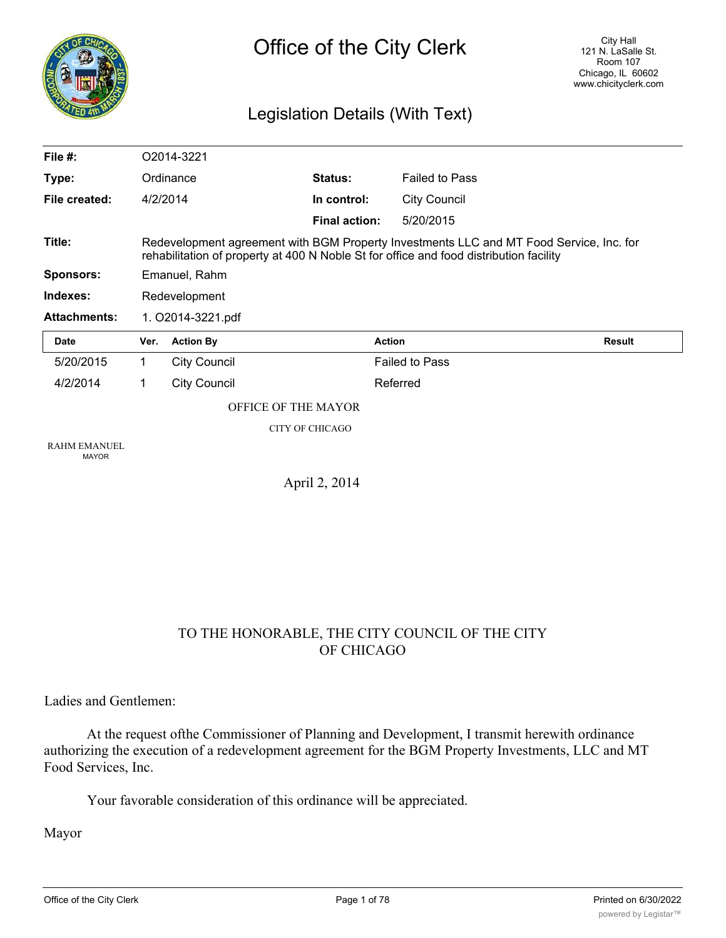

# Legislation Details (With Text)

| File $#$ :                          |                                                                                                                                                                                   | O2014-3221                 |                      |                       |               |
|-------------------------------------|-----------------------------------------------------------------------------------------------------------------------------------------------------------------------------------|----------------------------|----------------------|-----------------------|---------------|
| Type:                               |                                                                                                                                                                                   | Ordinance                  | Status:              | <b>Failed to Pass</b> |               |
| File created:                       |                                                                                                                                                                                   | 4/2/2014                   | In control:          | <b>City Council</b>   |               |
|                                     |                                                                                                                                                                                   |                            | <b>Final action:</b> | 5/20/2015             |               |
| Title:                              | Redevelopment agreement with BGM Property Investments LLC and MT Food Service, Inc. for<br>rehabilitation of property at 400 N Noble St for office and food distribution facility |                            |                      |                       |               |
| <b>Sponsors:</b>                    |                                                                                                                                                                                   | Emanuel, Rahm              |                      |                       |               |
| Indexes:                            |                                                                                                                                                                                   | Redevelopment              |                      |                       |               |
| <b>Attachments:</b>                 |                                                                                                                                                                                   | 1. O2014-3221.pdf          |                      |                       |               |
| Date                                | Ver.                                                                                                                                                                              | <b>Action By</b>           |                      | <b>Action</b>         | <b>Result</b> |
| 5/20/2015                           | 1.                                                                                                                                                                                | <b>City Council</b>        |                      | <b>Failed to Pass</b> |               |
| 4/2/2014                            | 1                                                                                                                                                                                 | <b>City Council</b>        |                      | Referred              |               |
|                                     |                                                                                                                                                                                   | <b>OFFICE OF THE MAYOR</b> |                      |                       |               |
|                                     |                                                                                                                                                                                   |                            | CITY OF CHICAGO      |                       |               |
| <b>RAHM EMANUEL</b><br><b>MAYOR</b> |                                                                                                                                                                                   |                            |                      |                       |               |
|                                     |                                                                                                                                                                                   |                            |                      |                       |               |

April 2, 2014

# TO THE HONORABLE, THE CITY COUNCIL OF THE CITY OF CHICAGO

Ladies and Gentlemen:

At the request ofthe Commissioner of Planning and Development, I transmit herewith ordinance authorizing the execution of a redevelopment agreement for the BGM Property Investments, LLC and MT Food Services, Inc.

Your favorable consideration of this ordinance will be appreciated.

Mayor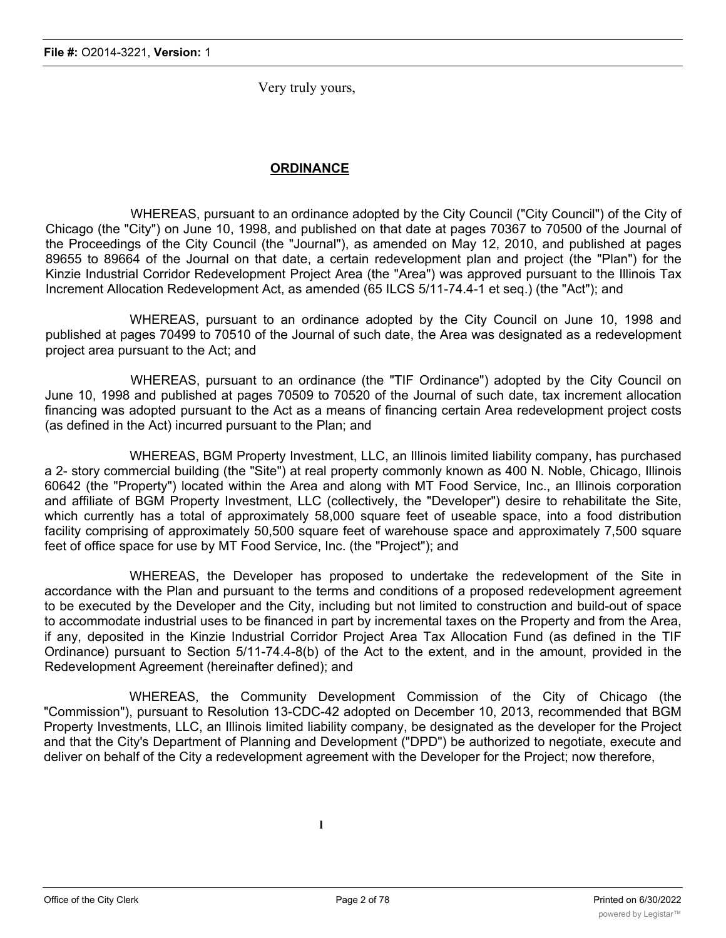Very truly yours,

# **ORDINANCE**

WHEREAS, pursuant to an ordinance adopted by the City Council ("City Council") of the City of Chicago (the "City") on June 10, 1998, and published on that date at pages 70367 to 70500 of the Journal of the Proceedings of the City Council (the "Journal"), as amended on May 12, 2010, and published at pages 89655 to 89664 of the Journal on that date, a certain redevelopment plan and project (the "Plan") for the Kinzie Industrial Corridor Redevelopment Project Area (the "Area") was approved pursuant to the Illinois Tax Increment Allocation Redevelopment Act, as amended (65 ILCS 5/11-74.4-1 et seq.) (the "Act"); and

WHEREAS, pursuant to an ordinance adopted by the City Council on June 10, 1998 and published at pages 70499 to 70510 of the Journal of such date, the Area was designated as a redevelopment project area pursuant to the Act; and

WHEREAS, pursuant to an ordinance (the "TIF Ordinance") adopted by the City Council on June 10, 1998 and published at pages 70509 to 70520 of the Journal of such date, tax increment allocation financing was adopted pursuant to the Act as a means of financing certain Area redevelopment project costs (as defined in the Act) incurred pursuant to the Plan; and

WHEREAS, BGM Property Investment, LLC, an Illinois limited liability company, has purchased a 2- story commercial building (the "Site") at real property commonly known as 400 N. Noble, Chicago, Illinois 60642 (the "Property") located within the Area and along with MT Food Service, Inc., an Illinois corporation and affiliate of BGM Property Investment, LLC (collectively, the "Developer") desire to rehabilitate the Site, which currently has a total of approximately 58,000 square feet of useable space, into a food distribution facility comprising of approximately 50,500 square feet of warehouse space and approximately 7,500 square feet of office space for use by MT Food Service, Inc. (the "Project"); and

WHEREAS, the Developer has proposed to undertake the redevelopment of the Site in accordance with the Plan and pursuant to the terms and conditions of a proposed redevelopment agreement to be executed by the Developer and the City, including but not limited to construction and build-out of space to accommodate industrial uses to be financed in part by incremental taxes on the Property and from the Area, if any, deposited in the Kinzie Industrial Corridor Project Area Tax Allocation Fund (as defined in the TIF Ordinance) pursuant to Section 5/11-74.4-8(b) of the Act to the extent, and in the amount, provided in the Redevelopment Agreement (hereinafter defined); and

WHEREAS, the Community Development Commission of the City of Chicago (the "Commission"), pursuant to Resolution 13-CDC-42 adopted on December 10, 2013, recommended that BGM Property Investments, LLC, an Illinois limited liability company, be designated as the developer for the Project and that the City's Department of Planning and Development ("DPD") be authorized to negotiate, execute and deliver on behalf of the City a redevelopment agreement with the Developer for the Project; now therefore,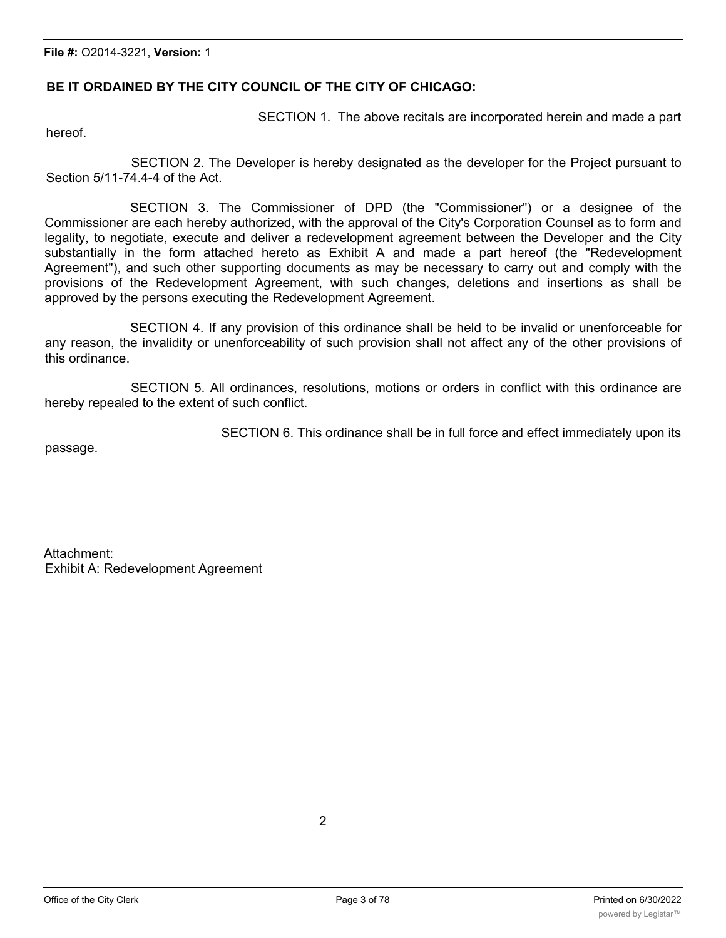### **BE IT ORDAINED BY THE CITY COUNCIL OF THE CITY OF CHICAGO:**

hereof.

SECTION 1. The above recitals are incorporated herein and made a part

SECTION 2. The Developer is hereby designated as the developer for the Project pursuant to Section 5/11-74.4-4 of the Act.

SECTION 3. The Commissioner of DPD (the "Commissioner") or a designee of the Commissioner are each hereby authorized, with the approval of the City's Corporation Counsel as to form and legality, to negotiate, execute and deliver a redevelopment agreement between the Developer and the City substantially in the form attached hereto as Exhibit A and made a part hereof (the "Redevelopment Agreement"), and such other supporting documents as may be necessary to carry out and comply with the provisions of the Redevelopment Agreement, with such changes, deletions and insertions as shall be approved by the persons executing the Redevelopment Agreement.

SECTION 4. If any provision of this ordinance shall be held to be invalid or unenforceable for any reason, the invalidity or unenforceability of such provision shall not affect any of the other provisions of this ordinance.

SECTION 5. All ordinances, resolutions, motions or orders in conflict with this ordinance are hereby repealed to the extent of such conflict.

passage.

SECTION 6. This ordinance shall be in full force and effect immediately upon its

Attachment: Exhibit A: Redevelopment Agreement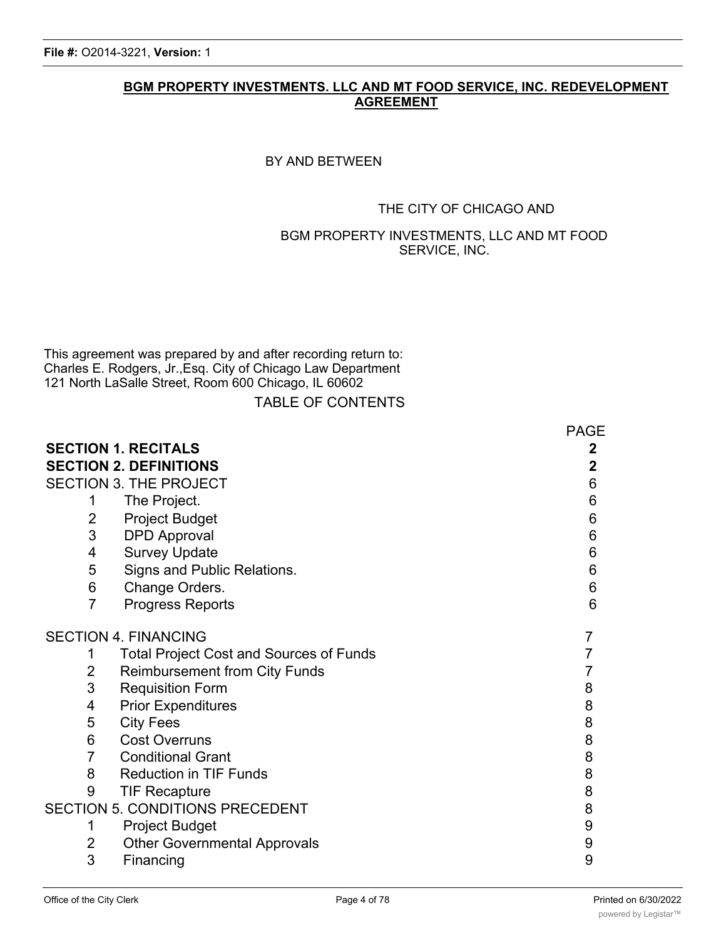# **BGM PROPERTY INVESTMENTS. LLC AND MT FOOD SERVICE, INC. REDEVELOPMENT AGREEMENT**

# BY AND BETWEEN

# THE CITY OF CHICAGO AND

# BGM PROPERTY INVESTMENTS, LLC AND MT FOOD SERVICE, INC.

This agreement was prepared by and after recording return to: Charles E. Rodgers, Jr.,Esq. City of Chicago Law Department 121 North LaSalle Street, Room 600 Chicago, IL 60602

TABLE OF CONTENTS

|                |                                                | <b>PAGE</b> |
|----------------|------------------------------------------------|-------------|
|                | <b>SECTION 1. RECITALS</b>                     | 2           |
|                | <b>SECTION 2. DEFINITIONS</b>                  | $\mathbf 2$ |
|                | SECTION 3. THE PROJECT                         | 6           |
| 1              | The Project.                                   | 6           |
| 2              | <b>Project Budget</b>                          | 6           |
| 3              | <b>DPD Approval</b>                            | 6           |
| 4              | <b>Survey Update</b>                           | 6           |
| 5              | Signs and Public Relations.                    | 6           |
| 6              | Change Orders.                                 | 6           |
| $\overline{7}$ | <b>Progress Reports</b>                        | 6           |
|                | <b>SECTION 4. FINANCING</b>                    | 7           |
| 1              | <b>Total Project Cost and Sources of Funds</b> |             |
| $\overline{2}$ | <b>Reimbursement from City Funds</b>           | 7           |
| 3              | <b>Requisition Form</b>                        | 8           |
| 4              | <b>Prior Expenditures</b>                      | 8           |
| 5              | <b>City Fees</b>                               | 8           |
| 6              | <b>Cost Overruns</b>                           | 8           |
| $\overline{7}$ | <b>Conditional Grant</b>                       | 8           |
| 8              | <b>Reduction in TIF Funds</b>                  | 8           |
| 9              | <b>TIF Recapture</b>                           | 8           |
|                | <b>SECTION 5. CONDITIONS PRECEDENT</b>         | 8           |
| 1              | <b>Project Budget</b>                          | 9           |
| $\overline{2}$ | <b>Other Governmental Approvals</b>            | 9           |
| 3              | Financing                                      | 9           |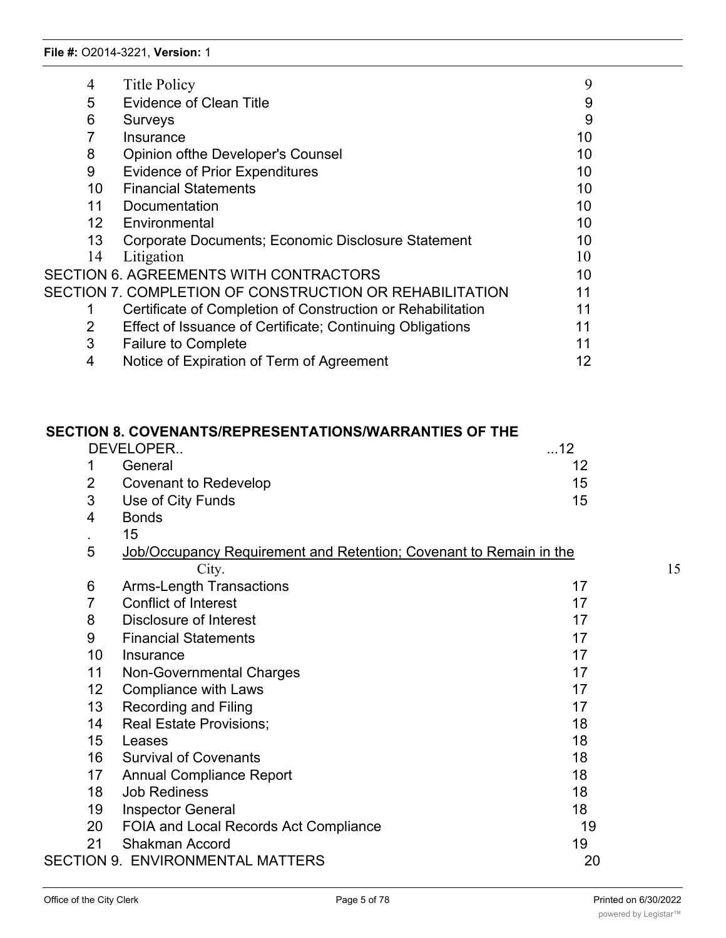| 4               | <b>Title Policy</b>                                         | 9  |
|-----------------|-------------------------------------------------------------|----|
| 5               | <b>Evidence of Clean Title</b>                              | 9  |
| 6               | <b>Surveys</b>                                              | 9  |
|                 | Insurance                                                   | 10 |
| 8               | <b>Opinion of the Developer's Counsel</b>                   | 10 |
| 9               | <b>Evidence of Prior Expenditures</b>                       | 10 |
| 10              | <b>Financial Statements</b>                                 | 10 |
| 11              | Documentation                                               | 10 |
| 12 <sup>2</sup> | Environmental                                               | 10 |
| 13              | Corporate Documents; Economic Disclosure Statement          | 10 |
| 14              | Litigation                                                  | 10 |
|                 | <b>SECTION 6. AGREEMENTS WITH CONTRACTORS</b>               | 10 |
|                 | SECTION 7. COMPLETION OF CONSTRUCTION OR REHABILITATION     | 11 |
|                 | Certificate of Completion of Construction or Rehabilitation | 11 |
| 2               | Effect of Issuance of Certificate; Continuing Obligations   | 11 |
| 3               | <b>Failure to Complete</b>                                  | 11 |
| 4               | Notice of Expiration of Term of Agreement                   | 12 |

|                | <b>SECTION 8. COVENANTS/REPRESENTATIONS/WARRANTIES OF THE</b>      |    |    |
|----------------|--------------------------------------------------------------------|----|----|
|                | DEVELOPER                                                          | 12 |    |
| 1              | General                                                            | 12 |    |
| $\overline{2}$ | <b>Covenant to Redevelop</b>                                       | 15 |    |
| 3              | Use of City Funds                                                  | 15 |    |
| $\overline{4}$ | <b>Bonds</b>                                                       |    |    |
| $\sim$         | 15                                                                 |    |    |
| 5              | Job/Occupancy Requirement and Retention; Covenant to Remain in the |    |    |
|                | City.                                                              |    | 15 |
| 6              | <b>Arms-Length Transactions</b>                                    | 17 |    |
| $\overline{7}$ | Conflict of Interest                                               | 17 |    |
| 8              | Disclosure of Interest                                             | 17 |    |
| 9              | <b>Financial Statements</b>                                        | 17 |    |
| 10             | Insurance                                                          | 17 |    |
| 11             | <b>Non-Governmental Charges</b>                                    | 17 |    |
| 12             | <b>Compliance with Laws</b>                                        | 17 |    |
| 13             | <b>Recording and Filing</b>                                        | 17 |    |
| 14             | <b>Real Estate Provisions;</b>                                     | 18 |    |
| 15             | Leases                                                             | 18 |    |
| 16             | <b>Survival of Covenants</b>                                       | 18 |    |
| 17             | <b>Annual Compliance Report</b>                                    | 18 |    |
| 18             | <b>Job Rediness</b>                                                | 18 |    |
| 19             | <b>Inspector General</b>                                           | 18 |    |
| 20             | FOIA and Local Records Act Compliance                              | 19 |    |
| 21             | <b>Shakman Accord</b>                                              | 19 |    |
|                | <b>SECTION 9. ENVIRONMENTAL MATTERS</b>                            | 20 |    |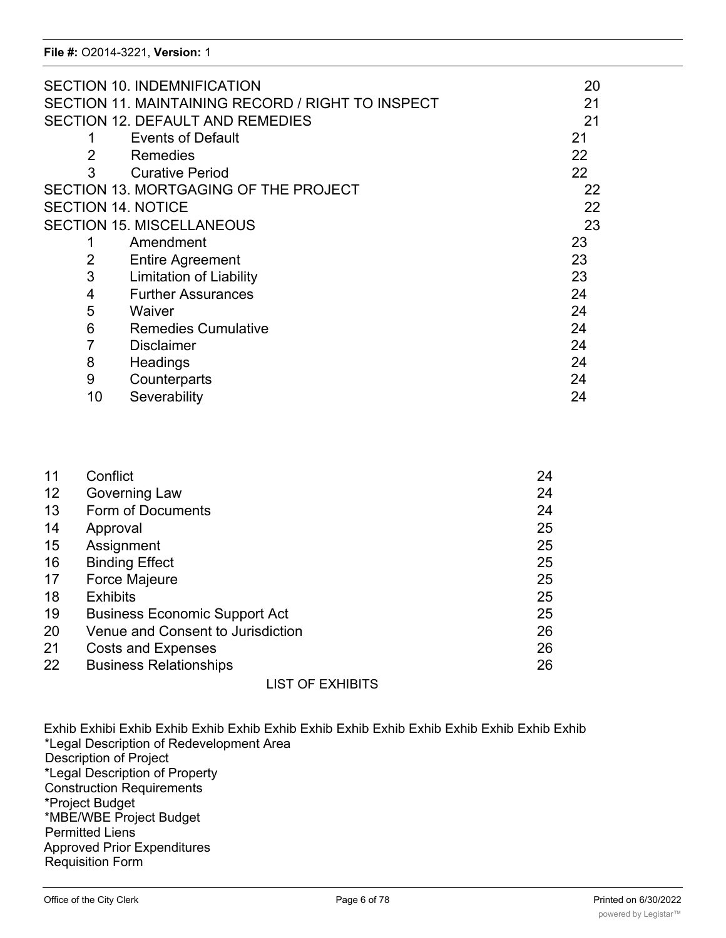|                           | <b>SECTION 10. INDEMNIFICATION</b>                | 20 |
|---------------------------|---------------------------------------------------|----|
|                           | SECTION 11. MAINTAINING RECORD / RIGHT TO INSPECT | 21 |
|                           | <b>SECTION 12. DEFAULT AND REMEDIES</b>           | 21 |
|                           | <b>Events of Default</b>                          | 21 |
| $\overline{2}$            | Remedies                                          | 22 |
| 3                         | <b>Curative Period</b>                            | 22 |
|                           | SECTION 13. MORTGAGING OF THE PROJECT             | 22 |
| <b>SECTION 14. NOTICE</b> |                                                   | 22 |
|                           | <b>SECTION 15. MISCELLANEOUS</b>                  | 23 |
|                           | Amendment                                         | 23 |
| 2                         | <b>Entire Agreement</b>                           | 23 |
| 3                         | <b>Limitation of Liability</b>                    | 23 |
| 4                         | <b>Further Assurances</b>                         | 24 |
| 5                         | Waiver                                            | 24 |
| 6                         | <b>Remedies Cumulative</b>                        | 24 |
| 7                         | <b>Disclaimer</b>                                 | 24 |
| 8                         | Headings                                          | 24 |
| 9                         | Counterparts                                      | 24 |
| 10                        | Severability                                      | 24 |

| 11 | Conflict                             | 24 |
|----|--------------------------------------|----|
| 12 | Governing Law                        | 24 |
| 13 | Form of Documents                    | 24 |
| 14 | Approval                             | 25 |
| 15 | Assignment                           | 25 |
| 16 | <b>Binding Effect</b>                | 25 |
| 17 | <b>Force Majeure</b>                 | 25 |
| 18 | <b>Exhibits</b>                      | 25 |
| 19 | <b>Business Economic Support Act</b> | 25 |
| 20 | Venue and Consent to Jurisdiction    | 26 |
| 21 | <b>Costs and Expenses</b>            | 26 |
| 22 | <b>Business Relationships</b>        | 26 |
|    | <b>LIST OF EXHIBITS</b>              |    |

Exhib Exhibi Exhib Exhib Exhib Exhib Exhib Exhib Exhib Exhib Exhib Exhib Exhib Exhib Exhib \*Legal Description of Redevelopment Area Description of Project \*Legal Description of Property Construction Requirements \*Project Budget \*MBE/WBE Project Budget Permitted Liens Approved Prior Expenditures Requisition Form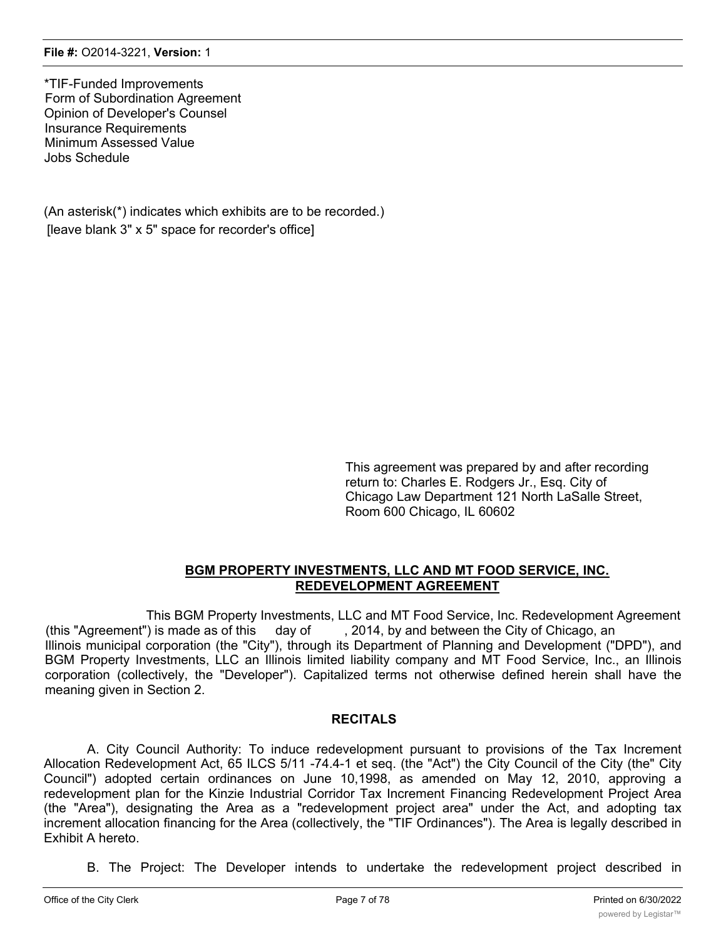\*TIF-Funded Improvements Form of Subordination Agreement Opinion of Developer's Counsel Insurance Requirements Minimum Assessed Value Jobs Schedule

(An asterisk(\*) indicates which exhibits are to be recorded.) [leave blank 3" x 5" space for recorder's office]

> This agreement was prepared by and after recording return to: Charles E. Rodgers Jr., Esq. City of Chicago Law Department 121 North LaSalle Street, Room 600 Chicago, IL 60602

# **BGM PROPERTY INVESTMENTS, LLC AND MT FOOD SERVICE, INC. REDEVELOPMENT AGREEMENT**

This BGM Property Investments, LLC and MT Food Service, Inc. Redevelopment Agreement (this "Agreement") is made as of this day of , 2014, by and between the City of Chicago, an Illinois municipal corporation (the "City"), through its Department of Planning and Development ("DPD"), and BGM Property Investments, LLC an Illinois limited liability company and MT Food Service, Inc., an Illinois corporation (collectively, the "Developer"). Capitalized terms not otherwise defined herein shall have the meaning given in Section 2.

# **RECITALS**

A. City Council Authority: To induce redevelopment pursuant to provisions of the Tax Increment Allocation Redevelopment Act, 65 ILCS 5/11 -74.4-1 et seq. (the "Act") the City Council of the City (the" City Council") adopted certain ordinances on June 10,1998, as amended on May 12, 2010, approving a redevelopment plan for the Kinzie Industrial Corridor Tax Increment Financing Redevelopment Project Area (the "Area"), designating the Area as a "redevelopment project area" under the Act, and adopting tax increment allocation financing for the Area (collectively, the "TIF Ordinances"). The Area is legally described in Exhibit A hereto.

B. The Project: The Developer intends to undertake the redevelopment project described in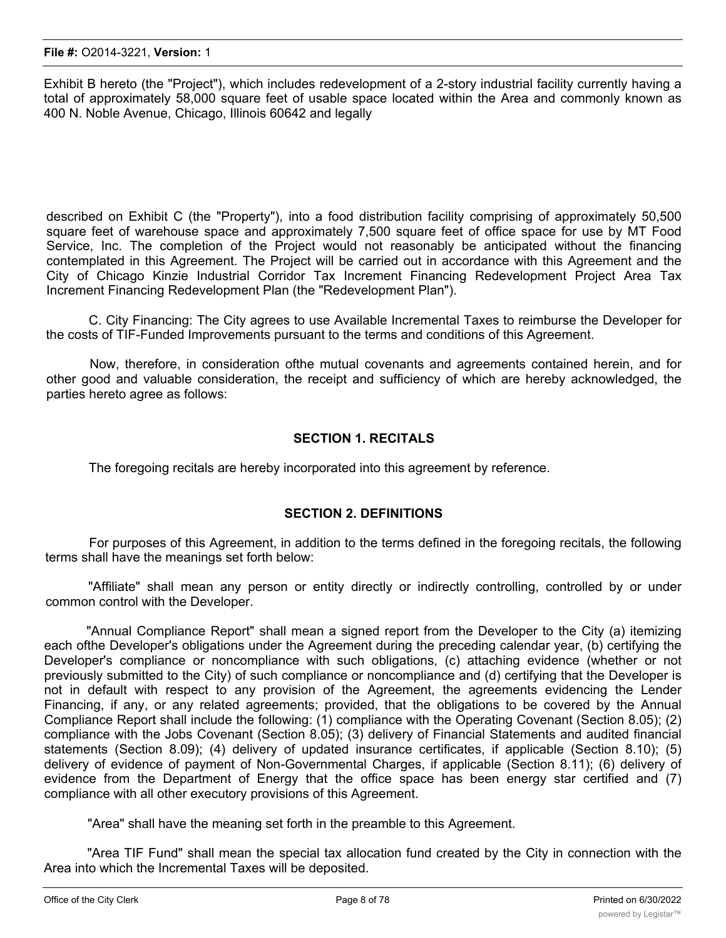Exhibit B hereto (the "Project"), which includes redevelopment of a 2-story industrial facility currently having a total of approximately 58,000 square feet of usable space located within the Area and commonly known as 400 N. Noble Avenue, Chicago, Illinois 60642 and legally

described on Exhibit C (the "Property"), into a food distribution facility comprising of approximately 50,500 square feet of warehouse space and approximately 7,500 square feet of office space for use by MT Food Service, Inc. The completion of the Project would not reasonably be anticipated without the financing contemplated in this Agreement. The Project will be carried out in accordance with this Agreement and the City of Chicago Kinzie Industrial Corridor Tax Increment Financing Redevelopment Project Area Tax Increment Financing Redevelopment Plan (the "Redevelopment Plan").

C. City Financing: The City agrees to use Available Incremental Taxes to reimburse the Developer for the costs of TIF-Funded Improvements pursuant to the terms and conditions of this Agreement.

Now, therefore, in consideration ofthe mutual covenants and agreements contained herein, and for other good and valuable consideration, the receipt and sufficiency of which are hereby acknowledged, the parties hereto agree as follows:

### **SECTION 1. RECITALS**

The foregoing recitals are hereby incorporated into this agreement by reference.

#### **SECTION 2. DEFINITIONS**

For purposes of this Agreement, in addition to the terms defined in the foregoing recitals, the following terms shall have the meanings set forth below:

"Affiliate" shall mean any person or entity directly or indirectly controlling, controlled by or under common control with the Developer.

"Annual Compliance Report" shall mean a signed report from the Developer to the City (a) itemizing each ofthe Developer's obligations under the Agreement during the preceding calendar year, (b) certifying the Developer's compliance or noncompliance with such obligations, (c) attaching evidence (whether or not previously submitted to the City) of such compliance or noncompliance and (d) certifying that the Developer is not in default with respect to any provision of the Agreement, the agreements evidencing the Lender Financing, if any, or any related agreements; provided, that the obligations to be covered by the Annual Compliance Report shall include the following: (1) compliance with the Operating Covenant (Section 8.05); (2) compliance with the Jobs Covenant (Section 8.05); (3) delivery of Financial Statements and audited financial statements (Section 8.09); (4) delivery of updated insurance certificates, if applicable (Section 8.10); (5) delivery of evidence of payment of Non-Governmental Charges, if applicable (Section 8.11); (6) delivery of evidence from the Department of Energy that the office space has been energy star certified and (7) compliance with all other executory provisions of this Agreement.

"Area" shall have the meaning set forth in the preamble to this Agreement.

"Area TIF Fund" shall mean the special tax allocation fund created by the City in connection with the Area into which the Incremental Taxes will be deposited.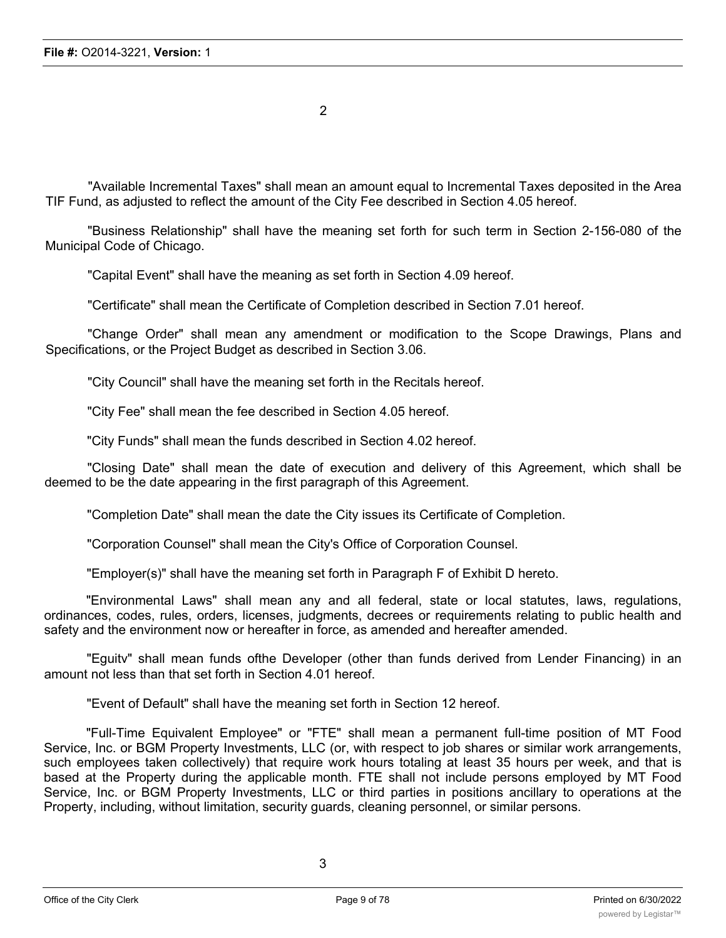2

"Available Incremental Taxes" shall mean an amount equal to Incremental Taxes deposited in the Area TIF Fund, as adjusted to reflect the amount of the City Fee described in Section 4.05 hereof.

"Business Relationship" shall have the meaning set forth for such term in Section 2-156-080 of the Municipal Code of Chicago.

"Capital Event" shall have the meaning as set forth in Section 4.09 hereof.

"Certificate" shall mean the Certificate of Completion described in Section 7.01 hereof.

"Change Order" shall mean any amendment or modification to the Scope Drawings, Plans and Specifications, or the Project Budget as described in Section 3.06.

"City Council" shall have the meaning set forth in the Recitals hereof.

"City Fee" shall mean the fee described in Section 4.05 hereof.

"City Funds" shall mean the funds described in Section 4.02 hereof.

"Closing Date" shall mean the date of execution and delivery of this Agreement, which shall be deemed to be the date appearing in the first paragraph of this Agreement.

"Completion Date" shall mean the date the City issues its Certificate of Completion.

"Corporation Counsel" shall mean the City's Office of Corporation Counsel.

"Employer(s)" shall have the meaning set forth in Paragraph F of Exhibit D hereto.

"Environmental Laws" shall mean any and all federal, state or local statutes, laws, regulations, ordinances, codes, rules, orders, licenses, judgments, decrees or requirements relating to public health and safety and the environment now or hereafter in force, as amended and hereafter amended.

"Eguitv" shall mean funds ofthe Developer (other than funds derived from Lender Financing) in an amount not less than that set forth in Section 4.01 hereof.

"Event of Default" shall have the meaning set forth in Section 12 hereof.

"Full-Time Equivalent Employee" or "FTE" shall mean a permanent full-time position of MT Food Service, Inc. or BGM Property Investments, LLC (or, with respect to job shares or similar work arrangements, such employees taken collectively) that require work hours totaling at least 35 hours per week, and that is based at the Property during the applicable month. FTE shall not include persons employed by MT Food Service, Inc. or BGM Property Investments, LLC or third parties in positions ancillary to operations at the Property, including, without limitation, security guards, cleaning personnel, or similar persons.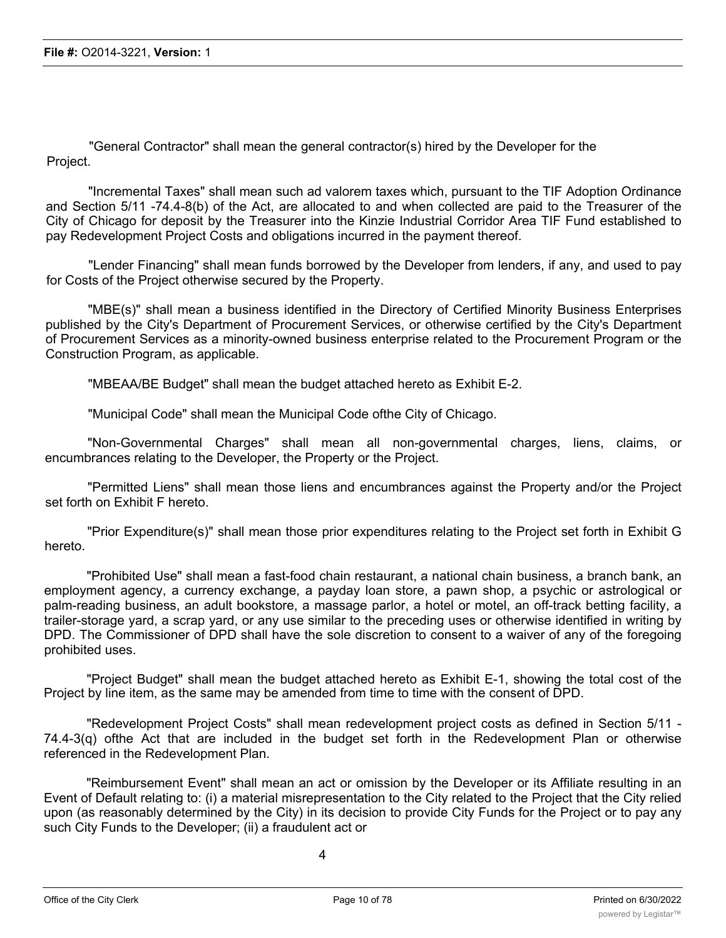"General Contractor" shall mean the general contractor(s) hired by the Developer for the Project.

"Incremental Taxes" shall mean such ad valorem taxes which, pursuant to the TIF Adoption Ordinance and Section 5/11 -74.4-8(b) of the Act, are allocated to and when collected are paid to the Treasurer of the City of Chicago for deposit by the Treasurer into the Kinzie Industrial Corridor Area TIF Fund established to pay Redevelopment Project Costs and obligations incurred in the payment thereof.

"Lender Financing" shall mean funds borrowed by the Developer from lenders, if any, and used to pay for Costs of the Project otherwise secured by the Property.

"MBE(s)" shall mean a business identified in the Directory of Certified Minority Business Enterprises published by the City's Department of Procurement Services, or otherwise certified by the City's Department of Procurement Services as a minority-owned business enterprise related to the Procurement Program or the Construction Program, as applicable.

"MBEAA/BE Budget" shall mean the budget attached hereto as Exhibit E-2.

"Municipal Code" shall mean the Municipal Code ofthe City of Chicago.

"Non-Governmental Charges" shall mean all non-governmental charges, liens, claims, or encumbrances relating to the Developer, the Property or the Project.

"Permitted Liens" shall mean those liens and encumbrances against the Property and/or the Project set forth on Exhibit F hereto.

"Prior Expenditure(s)" shall mean those prior expenditures relating to the Project set forth in Exhibit G hereto.

"Prohibited Use" shall mean a fast-food chain restaurant, a national chain business, a branch bank, an employment agency, a currency exchange, a payday loan store, a pawn shop, a psychic or astrological or palm-reading business, an adult bookstore, a massage parlor, a hotel or motel, an off-track betting facility, a trailer-storage yard, a scrap yard, or any use similar to the preceding uses or otherwise identified in writing by DPD. The Commissioner of DPD shall have the sole discretion to consent to a waiver of any of the foregoing prohibited uses.

"Project Budget" shall mean the budget attached hereto as Exhibit E-1, showing the total cost of the Project by line item, as the same may be amended from time to time with the consent of DPD.

"Redevelopment Project Costs" shall mean redevelopment project costs as defined in Section 5/11 - 74.4-3(q) ofthe Act that are included in the budget set forth in the Redevelopment Plan or otherwise referenced in the Redevelopment Plan.

"Reimbursement Event" shall mean an act or omission by the Developer or its Affiliate resulting in an Event of Default relating to: (i) a material misrepresentation to the City related to the Project that the City relied upon (as reasonably determined by the City) in its decision to provide City Funds for the Project or to pay any such City Funds to the Developer; (ii) a fraudulent act or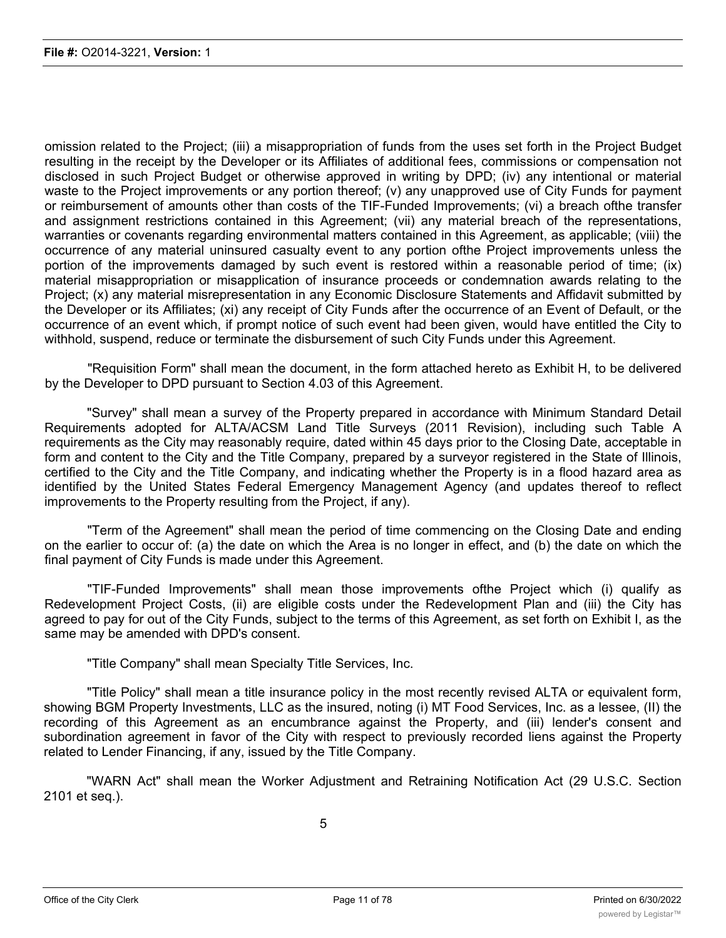omission related to the Project; (iii) a misappropriation of funds from the uses set forth in the Project Budget resulting in the receipt by the Developer or its Affiliates of additional fees, commissions or compensation not disclosed in such Project Budget or otherwise approved in writing by DPD; (iv) any intentional or material waste to the Project improvements or any portion thereof; (v) any unapproved use of City Funds for payment or reimbursement of amounts other than costs of the TIF-Funded Improvements; (vi) a breach ofthe transfer and assignment restrictions contained in this Agreement; (vii) any material breach of the representations, warranties or covenants regarding environmental matters contained in this Agreement, as applicable; (viii) the occurrence of any material uninsured casualty event to any portion ofthe Project improvements unless the portion of the improvements damaged by such event is restored within a reasonable period of time; (ix) material misappropriation or misapplication of insurance proceeds or condemnation awards relating to the Project; (x) any material misrepresentation in any Economic Disclosure Statements and Affidavit submitted by the Developer or its Affiliates; (xi) any receipt of City Funds after the occurrence of an Event of Default, or the occurrence of an event which, if prompt notice of such event had been given, would have entitled the City to withhold, suspend, reduce or terminate the disbursement of such City Funds under this Agreement.

"Requisition Form" shall mean the document, in the form attached hereto as Exhibit H, to be delivered by the Developer to DPD pursuant to Section 4.03 of this Agreement.

"Survey" shall mean a survey of the Property prepared in accordance with Minimum Standard Detail Requirements adopted for ALTA/ACSM Land Title Surveys (2011 Revision), including such Table A requirements as the City may reasonably require, dated within 45 days prior to the Closing Date, acceptable in form and content to the City and the Title Company, prepared by a surveyor registered in the State of Illinois, certified to the City and the Title Company, and indicating whether the Property is in a flood hazard area as identified by the United States Federal Emergency Management Agency (and updates thereof to reflect improvements to the Property resulting from the Project, if any).

"Term of the Agreement" shall mean the period of time commencing on the Closing Date and ending on the earlier to occur of: (a) the date on which the Area is no longer in effect, and (b) the date on which the final payment of City Funds is made under this Agreement.

"TIF-Funded Improvements" shall mean those improvements ofthe Project which (i) qualify as Redevelopment Project Costs, (ii) are eligible costs under the Redevelopment Plan and (iii) the City has agreed to pay for out of the City Funds, subject to the terms of this Agreement, as set forth on Exhibit I, as the same may be amended with DPD's consent.

"Title Company" shall mean Specialty Title Services, Inc.

"Title Policy" shall mean a title insurance policy in the most recently revised ALTA or equivalent form, showing BGM Property Investments, LLC as the insured, noting (i) MT Food Services, Inc. as a lessee, (II) the recording of this Agreement as an encumbrance against the Property, and (iii) lender's consent and subordination agreement in favor of the City with respect to previously recorded liens against the Property related to Lender Financing, if any, issued by the Title Company.

"WARN Act" shall mean the Worker Adjustment and Retraining Notification Act (29 U.S.C. Section 2101 et seq.).

5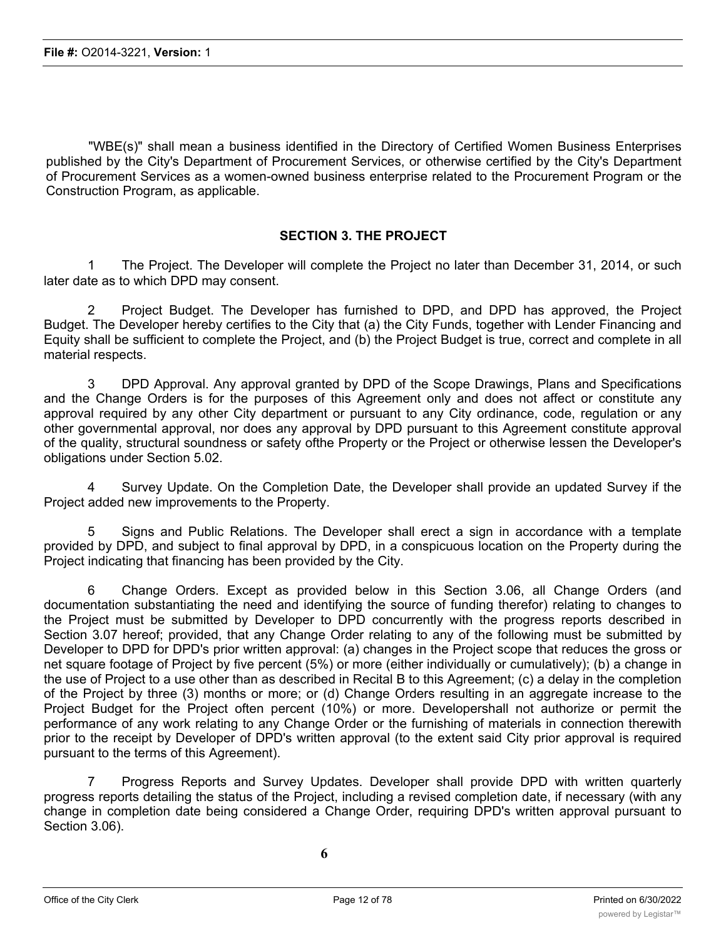"WBE(s)" shall mean a business identified in the Directory of Certified Women Business Enterprises published by the City's Department of Procurement Services, or otherwise certified by the City's Department of Procurement Services as a women-owned business enterprise related to the Procurement Program or the Construction Program, as applicable.

# **SECTION 3. THE PROJECT**

1 The Project. The Developer will complete the Project no later than December 31, 2014, or such later date as to which DPD may consent.

2 Project Budget. The Developer has furnished to DPD, and DPD has approved, the Project Budget. The Developer hereby certifies to the City that (a) the City Funds, together with Lender Financing and Equity shall be sufficient to complete the Project, and (b) the Project Budget is true, correct and complete in all material respects.

3 DPD Approval. Any approval granted by DPD of the Scope Drawings, Plans and Specifications and the Change Orders is for the purposes of this Agreement only and does not affect or constitute any approval required by any other City department or pursuant to any City ordinance, code, regulation or any other governmental approval, nor does any approval by DPD pursuant to this Agreement constitute approval of the quality, structural soundness or safety ofthe Property or the Project or otherwise lessen the Developer's obligations under Section 5.02.

4 Survey Update. On the Completion Date, the Developer shall provide an updated Survey if the Project added new improvements to the Property.

5 Signs and Public Relations. The Developer shall erect a sign in accordance with a template provided by DPD, and subject to final approval by DPD, in a conspicuous location on the Property during the Project indicating that financing has been provided by the City.

6 Change Orders. Except as provided below in this Section 3.06, all Change Orders (and documentation substantiating the need and identifying the source of funding therefor) relating to changes to the Project must be submitted by Developer to DPD concurrently with the progress reports described in Section 3.07 hereof; provided, that any Change Order relating to any of the following must be submitted by Developer to DPD for DPD's prior written approval: (a) changes in the Project scope that reduces the gross or net square footage of Project by five percent (5%) or more (either individually or cumulatively); (b) a change in the use of Project to a use other than as described in Recital B to this Agreement; (c) a delay in the completion of the Project by three (3) months or more; or (d) Change Orders resulting in an aggregate increase to the Project Budget for the Project often percent (10%) or more. Developershall not authorize or permit the performance of any work relating to any Change Order or the furnishing of materials in connection therewith prior to the receipt by Developer of DPD's written approval (to the extent said City prior approval is required pursuant to the terms of this Agreement).

7 Progress Reports and Survey Updates. Developer shall provide DPD with written quarterly progress reports detailing the status of the Project, including a revised completion date, if necessary (with any change in completion date being considered a Change Order, requiring DPD's written approval pursuant to Section 3.06).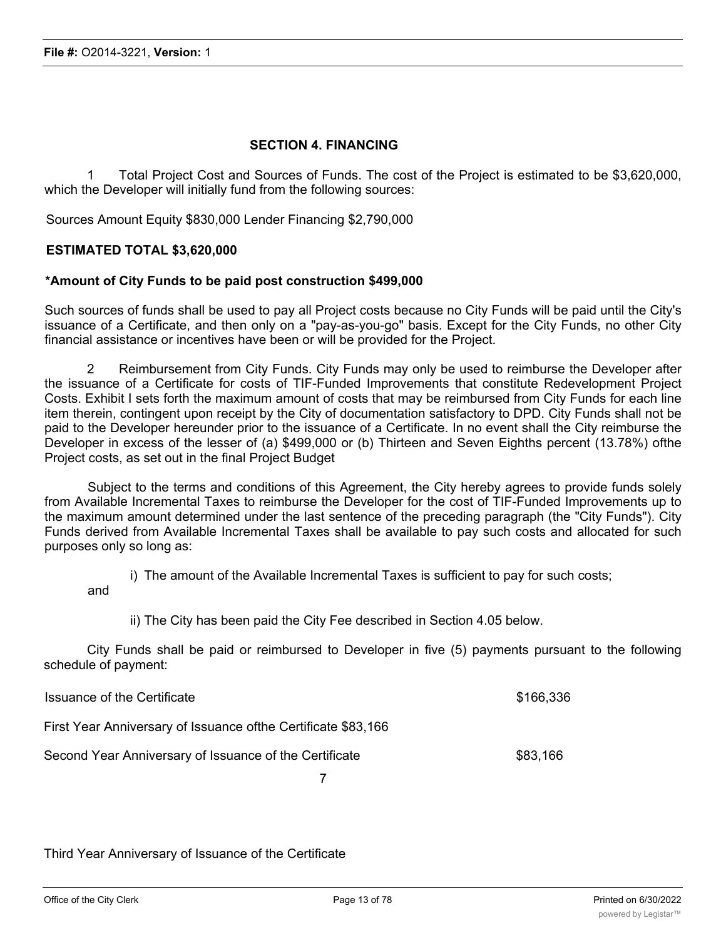#### **SECTION 4. FINANCING**

1 Total Project Cost and Sources of Funds. The cost of the Project is estimated to be \$3,620,000, which the Developer will initially fund from the following sources:

Sources Amount Equity \$830,000 Lender Financing \$2,790,000

#### **ESTIMATED TOTAL \$3,620,000**

#### **\*Amount of City Funds to be paid post construction \$499,000**

Such sources of funds shall be used to pay all Project costs because no City Funds will be paid until the City's issuance of a Certificate, and then only on a "pay-as-you-go" basis. Except for the City Funds, no other City financial assistance or incentives have been or will be provided for the Project.

2 Reimbursement from City Funds. City Funds may only be used to reimburse the Developer after the issuance of a Certificate for costs of TIF-Funded Improvements that constitute Redevelopment Project Costs. Exhibit I sets forth the maximum amount of costs that may be reimbursed from City Funds for each line item therein, contingent upon receipt by the City of documentation satisfactory to DPD. City Funds shall not be paid to the Developer hereunder prior to the issuance of a Certificate. In no event shall the City reimburse the Developer in excess of the lesser of (a) \$499,000 or (b) Thirteen and Seven Eighths percent (13.78%) ofthe Project costs, as set out in the final Project Budget

Subject to the terms and conditions of this Agreement, the City hereby agrees to provide funds solely from Available Incremental Taxes to reimburse the Developer for the cost of TIF-Funded Improvements up to the maximum amount determined under the last sentence of the preceding paragraph (the "City Funds"). City Funds derived from Available Incremental Taxes shall be available to pay such costs and allocated for such purposes only so long as:

i) The amount of the Available Incremental Taxes is sufficient to pay for such costs;

and

ii) The City has been paid the City Fee described in Section 4.05 below.

City Funds shall be paid or reimbursed to Developer in five (5) payments pursuant to the following schedule of payment:

| Issuance of the Certificate                                    | \$166,336 |
|----------------------------------------------------------------|-----------|
| First Year Anniversary of Issuance of the Certificate \$83,166 |           |
| Second Year Anniversary of Issuance of the Certificate         | \$83,166  |

7

Third Year Anniversary of Issuance of the Certificate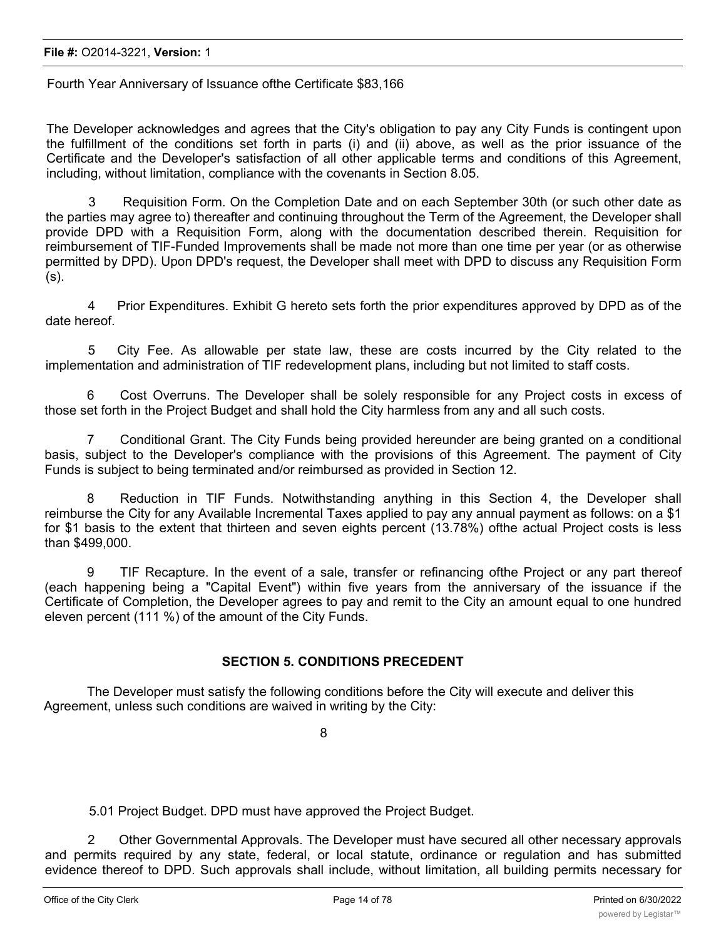Fourth Year Anniversary of Issuance ofthe Certificate \$83,166

The Developer acknowledges and agrees that the City's obligation to pay any City Funds is contingent upon the fulfillment of the conditions set forth in parts (i) and (ii) above, as well as the prior issuance of the Certificate and the Developer's satisfaction of all other applicable terms and conditions of this Agreement, including, without limitation, compliance with the covenants in Section 8.05.

3 Requisition Form. On the Completion Date and on each September 30th (or such other date as the parties may agree to) thereafter and continuing throughout the Term of the Agreement, the Developer shall provide DPD with a Requisition Form, along with the documentation described therein. Requisition for reimbursement of TIF-Funded Improvements shall be made not more than one time per year (or as otherwise permitted by DPD). Upon DPD's request, the Developer shall meet with DPD to discuss any Requisition Form (s).

4 Prior Expenditures. Exhibit G hereto sets forth the prior expenditures approved by DPD as of the date hereof.

5 City Fee. As allowable per state law, these are costs incurred by the City related to the implementation and administration of TIF redevelopment plans, including but not limited to staff costs.

6 Cost Overruns. The Developer shall be solely responsible for any Project costs in excess of those set forth in the Project Budget and shall hold the City harmless from any and all such costs.

7 Conditional Grant. The City Funds being provided hereunder are being granted on a conditional basis, subject to the Developer's compliance with the provisions of this Agreement. The payment of City Funds is subject to being terminated and/or reimbursed as provided in Section 12.

8 Reduction in TIF Funds. Notwithstanding anything in this Section 4, the Developer shall reimburse the City for any Available Incremental Taxes applied to pay any annual payment as follows: on a \$1 for \$1 basis to the extent that thirteen and seven eights percent (13.78%) ofthe actual Project costs is less than \$499,000.

9 TIF Recapture. In the event of a sale, transfer or refinancing ofthe Project or any part thereof (each happening being a "Capital Event") within five years from the anniversary of the issuance if the Certificate of Completion, the Developer agrees to pay and remit to the City an amount equal to one hundred eleven percent (111 %) of the amount of the City Funds.

# **SECTION 5. CONDITIONS PRECEDENT**

The Developer must satisfy the following conditions before the City will execute and deliver this Agreement, unless such conditions are waived in writing by the City:

8

5.01 Project Budget. DPD must have approved the Project Budget.

2 Other Governmental Approvals. The Developer must have secured all other necessary approvals and permits required by any state, federal, or local statute, ordinance or regulation and has submitted evidence thereof to DPD. Such approvals shall include, without limitation, all building permits necessary for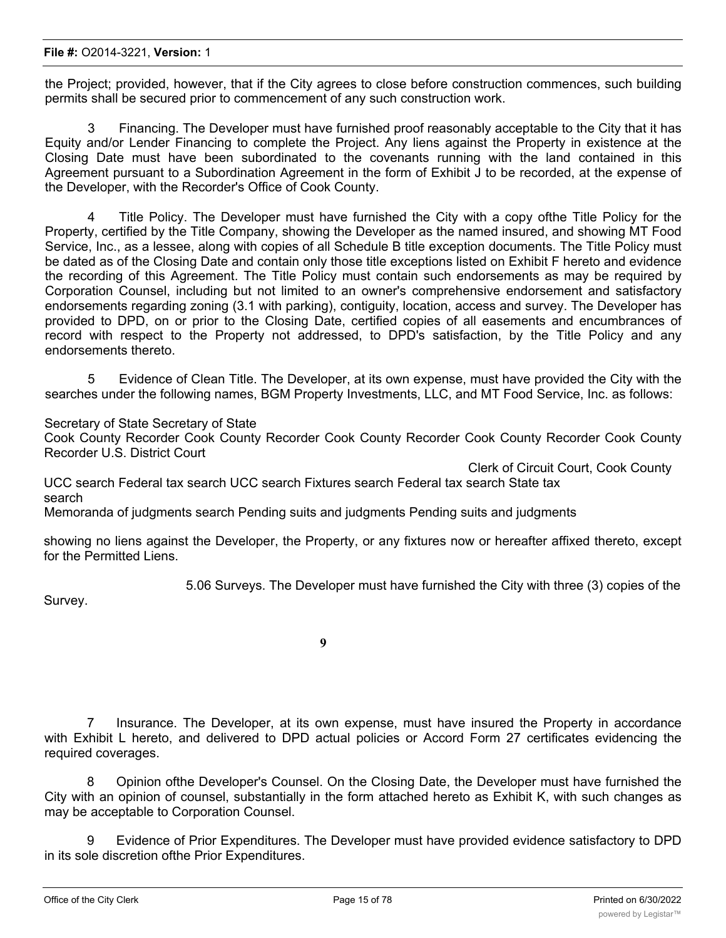#### **File #:** O2014-3221, **Version:** 1

the Project; provided, however, that if the City agrees to close before construction commences, such building permits shall be secured prior to commencement of any such construction work.

3 Financing. The Developer must have furnished proof reasonably acceptable to the City that it has Equity and/or Lender Financing to complete the Project. Any liens against the Property in existence at the Closing Date must have been subordinated to the covenants running with the land contained in this Agreement pursuant to a Subordination Agreement in the form of Exhibit J to be recorded, at the expense of the Developer, with the Recorder's Office of Cook County.

Title Policy. The Developer must have furnished the City with a copy ofthe Title Policy for the Property, certified by the Title Company, showing the Developer as the named insured, and showing MT Food Service, Inc., as a lessee, along with copies of all Schedule B title exception documents. The Title Policy must be dated as of the Closing Date and contain only those title exceptions listed on Exhibit F hereto and evidence the recording of this Agreement. The Title Policy must contain such endorsements as may be required by Corporation Counsel, including but not limited to an owner's comprehensive endorsement and satisfactory endorsements regarding zoning (3.1 with parking), contiguity, location, access and survey. The Developer has provided to DPD, on or prior to the Closing Date, certified copies of all easements and encumbrances of record with respect to the Property not addressed, to DPD's satisfaction, by the Title Policy and any endorsements thereto.

5 Evidence of Clean Title. The Developer, at its own expense, must have provided the City with the searches under the following names, BGM Property Investments, LLC, and MT Food Service, Inc. as follows:

Secretary of State Secretary of State

Cook County Recorder Cook County Recorder Cook County Recorder Cook County Recorder Cook County Recorder U.S. District Court

Clerk of Circuit Court, Cook County

UCC search Federal tax search UCC search Fixtures search Federal tax search State tax search

Memoranda of judgments search Pending suits and judgments Pending suits and judgments

showing no liens against the Developer, the Property, or any fixtures now or hereafter affixed thereto, except for the Permitted Liens.

5.06 Surveys. The Developer must have furnished the City with three (3) copies of the

Survey.

**9**

7 Insurance. The Developer, at its own expense, must have insured the Property in accordance with Exhibit L hereto, and delivered to DPD actual policies or Accord Form 27 certificates evidencing the required coverages.

8 Opinion ofthe Developer's Counsel. On the Closing Date, the Developer must have furnished the City with an opinion of counsel, substantially in the form attached hereto as Exhibit K, with such changes as may be acceptable to Corporation Counsel.

9 Evidence of Prior Expenditures. The Developer must have provided evidence satisfactory to DPD in its sole discretion ofthe Prior Expenditures.

 $10$  Financial Statements. The Developer must have provided DPD with such financial statements as  $\mathcal{L}(\mathcal{L})$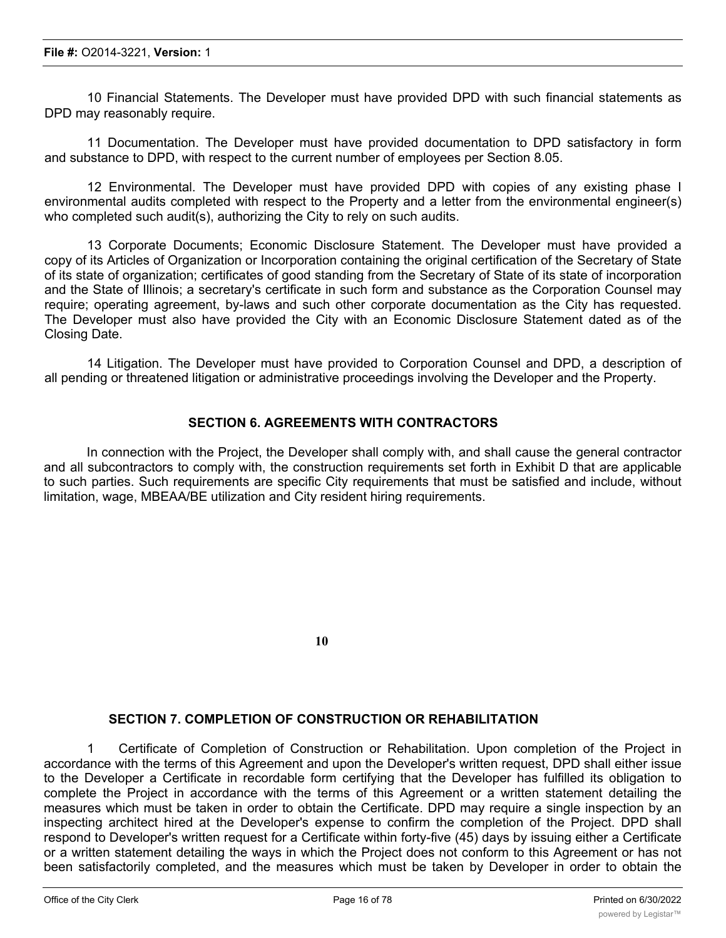10 Financial Statements. The Developer must have provided DPD with such financial statements as DPD may reasonably require.

11 Documentation. The Developer must have provided documentation to DPD satisfactory in form and substance to DPD, with respect to the current number of employees per Section 8.05.

12 Environmental. The Developer must have provided DPD with copies of any existing phase I environmental audits completed with respect to the Property and a letter from the environmental engineer(s) who completed such audit(s), authorizing the City to rely on such audits.

13 Corporate Documents; Economic Disclosure Statement. The Developer must have provided a copy of its Articles of Organization or Incorporation containing the original certification of the Secretary of State of its state of organization; certificates of good standing from the Secretary of State of its state of incorporation and the State of Illinois; a secretary's certificate in such form and substance as the Corporation Counsel may require; operating agreement, by-laws and such other corporate documentation as the City has requested. The Developer must also have provided the City with an Economic Disclosure Statement dated as of the Closing Date.

14 Litigation. The Developer must have provided to Corporation Counsel and DPD, a description of all pending or threatened litigation or administrative proceedings involving the Developer and the Property.

### **SECTION 6. AGREEMENTS WITH CONTRACTORS**

In connection with the Project, the Developer shall comply with, and shall cause the general contractor and all subcontractors to comply with, the construction requirements set forth in Exhibit D that are applicable to such parties. Such requirements are specific City requirements that must be satisfied and include, without limitation, wage, MBEAA/BE utilization and City resident hiring requirements.

**10**

#### **SECTION 7. COMPLETION OF CONSTRUCTION OR REHABILITATION**

1 Certificate of Completion of Construction or Rehabilitation. Upon completion of the Project in accordance with the terms of this Agreement and upon the Developer's written request, DPD shall either issue to the Developer a Certificate in recordable form certifying that the Developer has fulfilled its obligation to complete the Project in accordance with the terms of this Agreement or a written statement detailing the measures which must be taken in order to obtain the Certificate. DPD may require a single inspection by an inspecting architect hired at the Developer's expense to confirm the completion of the Project. DPD shall respond to Developer's written request for a Certificate within forty-five (45) days by issuing either a Certificate or a written statement detailing the ways in which the Project does not conform to this Agreement or has not been satisfactorily completed, and the measures which must be taken by Developer in order to obtain the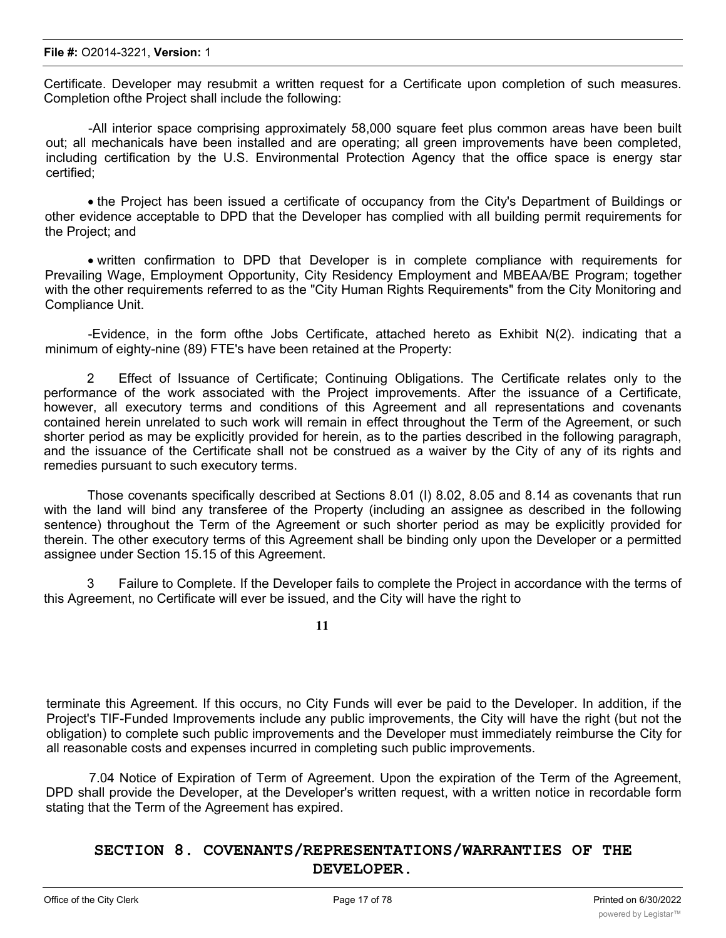Certificate. Developer may resubmit a written request for a Certificate upon completion of such measures. Completion ofthe Project shall include the following:

-All interior space comprising approximately 58,000 square feet plus common areas have been built out; all mechanicals have been installed and are operating; all green improvements have been completed, including certification by the U.S. Environmental Protection Agency that the office space is energy star certified;

· the Project has been issued a certificate of occupancy from the City's Department of Buildings or other evidence acceptable to DPD that the Developer has complied with all building permit requirements for the Project; and

· written confirmation to DPD that Developer is in complete compliance with requirements for Prevailing Wage, Employment Opportunity, City Residency Employment and MBEAA/BE Program; together with the other requirements referred to as the "City Human Rights Requirements" from the City Monitoring and Compliance Unit.

-Evidence, in the form ofthe Jobs Certificate, attached hereto as Exhibit N(2). indicating that a minimum of eighty-nine (89) FTE's have been retained at the Property:

2 Effect of Issuance of Certificate; Continuing Obligations. The Certificate relates only to the performance of the work associated with the Project improvements. After the issuance of a Certificate, however, all executory terms and conditions of this Agreement and all representations and covenants contained herein unrelated to such work will remain in effect throughout the Term of the Agreement, or such shorter period as may be explicitly provided for herein, as to the parties described in the following paragraph, and the issuance of the Certificate shall not be construed as a waiver by the City of any of its rights and remedies pursuant to such executory terms.

Those covenants specifically described at Sections 8.01 (I) 8.02, 8.05 and 8.14 as covenants that run with the land will bind any transferee of the Property (including an assignee as described in the following sentence) throughout the Term of the Agreement or such shorter period as may be explicitly provided for therein. The other executory terms of this Agreement shall be binding only upon the Developer or a permitted assignee under Section 15.15 of this Agreement.

3 Failure to Complete. If the Developer fails to complete the Project in accordance with the terms of this Agreement, no Certificate will ever be issued, and the City will have the right to

**11**

terminate this Agreement. If this occurs, no City Funds will ever be paid to the Developer. In addition, if the Project's TIF-Funded Improvements include any public improvements, the City will have the right (but not the obligation) to complete such public improvements and the Developer must immediately reimburse the City for all reasonable costs and expenses incurred in completing such public improvements.

7.04 Notice of Expiration of Term of Agreement. Upon the expiration of the Term of the Agreement, DPD shall provide the Developer, at the Developer's written request, with a written notice in recordable form stating that the Term of the Agreement has expired.

# **SECTION 8. COVENANTS/REPRESENTATIONS/WARRANTIES OF THE DEVELOPER.**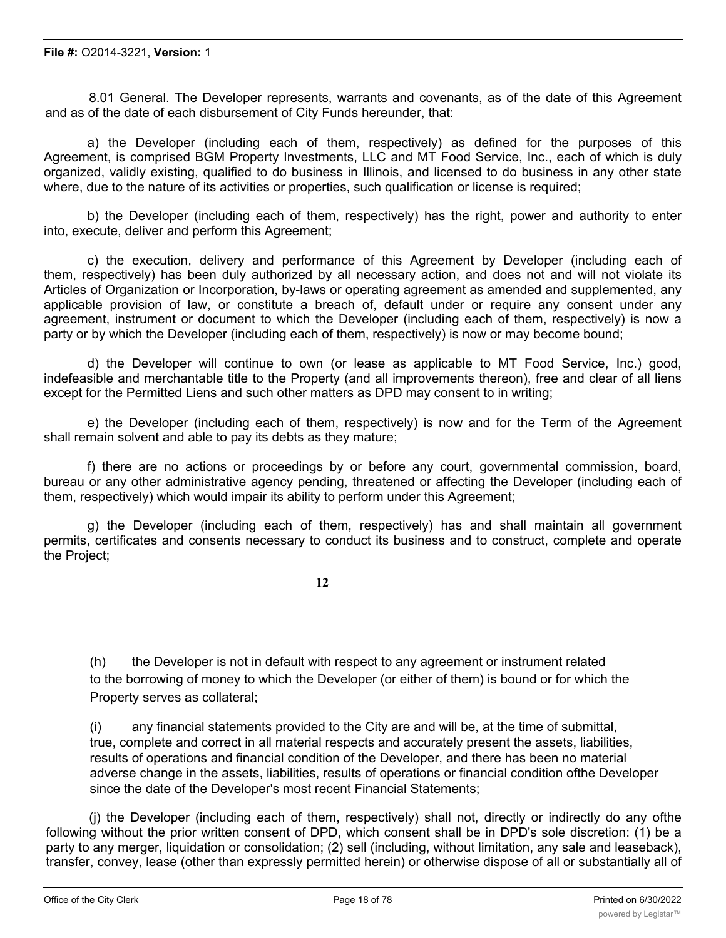8.01 General. The Developer represents, warrants and covenants, as of the date of this Agreement and as of the date of each disbursement of City Funds hereunder, that:

a) the Developer (including each of them, respectively) as defined for the purposes of this Agreement, is comprised BGM Property Investments, LLC and MT Food Service, Inc., each of which is duly organized, validly existing, qualified to do business in Illinois, and licensed to do business in any other state where, due to the nature of its activities or properties, such qualification or license is required;

b) the Developer (including each of them, respectively) has the right, power and authority to enter into, execute, deliver and perform this Agreement;

c) the execution, delivery and performance of this Agreement by Developer (including each of them, respectively) has been duly authorized by all necessary action, and does not and will not violate its Articles of Organization or Incorporation, by-laws or operating agreement as amended and supplemented, any applicable provision of law, or constitute a breach of, default under or require any consent under any agreement, instrument or document to which the Developer (including each of them, respectively) is now a party or by which the Developer (including each of them, respectively) is now or may become bound;

d) the Developer will continue to own (or lease as applicable to MT Food Service, Inc.) good, indefeasible and merchantable title to the Property (and all improvements thereon), free and clear of all liens except for the Permitted Liens and such other matters as DPD may consent to in writing;

e) the Developer (including each of them, respectively) is now and for the Term of the Agreement shall remain solvent and able to pay its debts as they mature;

f) there are no actions or proceedings by or before any court, governmental commission, board, bureau or any other administrative agency pending, threatened or affecting the Developer (including each of them, respectively) which would impair its ability to perform under this Agreement;

g) the Developer (including each of them, respectively) has and shall maintain all government permits, certificates and consents necessary to conduct its business and to construct, complete and operate the Project;

**12**

(h) the Developer is not in default with respect to any agreement or instrument related to the borrowing of money to which the Developer (or either of them) is bound or for which the Property serves as collateral;

(i) any financial statements provided to the City are and will be, at the time of submittal, true, complete and correct in all material respects and accurately present the assets, liabilities, results of operations and financial condition of the Developer, and there has been no material adverse change in the assets, liabilities, results of operations or financial condition ofthe Developer since the date of the Developer's most recent Financial Statements;

(j) the Developer (including each of them, respectively) shall not, directly or indirectly do any ofthe following without the prior written consent of DPD, which consent shall be in DPD's sole discretion: (1) be a party to any merger, liquidation or consolidation; (2) sell (including, without limitation, any sale and leaseback), transfer, convey, lease (other than expressly permitted herein) or otherwise dispose of all or substantially all of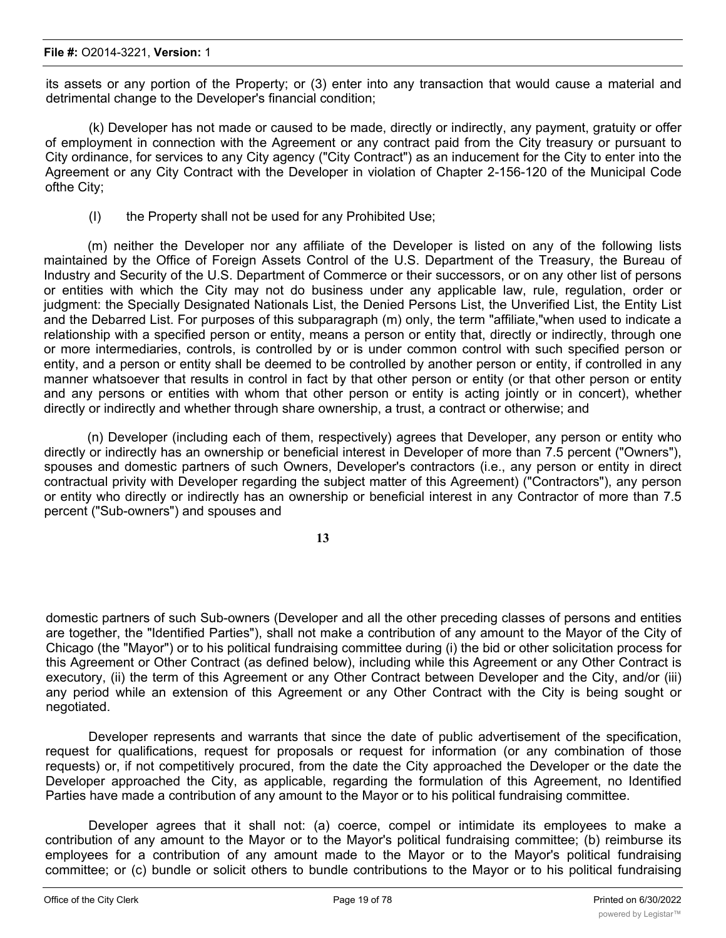#### **File #:** O2014-3221, **Version:** 1

its assets or any portion of the Property; or (3) enter into any transaction that would cause a material and detrimental change to the Developer's financial condition;

(k) Developer has not made or caused to be made, directly or indirectly, any payment, gratuity or offer of employment in connection with the Agreement or any contract paid from the City treasury or pursuant to City ordinance, for services to any City agency ("City Contract") as an inducement for the City to enter into the Agreement or any City Contract with the Developer in violation of Chapter 2-156-120 of the Municipal Code ofthe City;

(I) the Property shall not be used for any Prohibited Use;

(m) neither the Developer nor any affiliate of the Developer is listed on any of the following lists maintained by the Office of Foreign Assets Control of the U.S. Department of the Treasury, the Bureau of Industry and Security of the U.S. Department of Commerce or their successors, or on any other list of persons or entities with which the City may not do business under any applicable law, rule, regulation, order or judgment: the Specially Designated Nationals List, the Denied Persons List, the Unverified List, the Entity List and the Debarred List. For purposes of this subparagraph (m) only, the term "affiliate,"when used to indicate a relationship with a specified person or entity, means a person or entity that, directly or indirectly, through one or more intermediaries, controls, is controlled by or is under common control with such specified person or entity, and a person or entity shall be deemed to be controlled by another person or entity, if controlled in any manner whatsoever that results in control in fact by that other person or entity (or that other person or entity and any persons or entities with whom that other person or entity is acting jointly or in concert), whether directly or indirectly and whether through share ownership, a trust, a contract or otherwise; and

(n) Developer (including each of them, respectively) agrees that Developer, any person or entity who directly or indirectly has an ownership or beneficial interest in Developer of more than 7.5 percent ("Owners"), spouses and domestic partners of such Owners, Developer's contractors (i.e., any person or entity in direct contractual privity with Developer regarding the subject matter of this Agreement) ("Contractors"), any person or entity who directly or indirectly has an ownership or beneficial interest in any Contractor of more than 7.5 percent ("Sub-owners") and spouses and

**13**

domestic partners of such Sub-owners (Developer and all the other preceding classes of persons and entities are together, the "Identified Parties"), shall not make a contribution of any amount to the Mayor of the City of Chicago (the "Mayor") or to his political fundraising committee during (i) the bid or other solicitation process for this Agreement or Other Contract (as defined below), including while this Agreement or any Other Contract is executory, (ii) the term of this Agreement or any Other Contract between Developer and the City, and/or (iii) any period while an extension of this Agreement or any Other Contract with the City is being sought or negotiated.

Developer represents and warrants that since the date of public advertisement of the specification, request for qualifications, request for proposals or request for information (or any combination of those requests) or, if not competitively procured, from the date the City approached the Developer or the date the Developer approached the City, as applicable, regarding the formulation of this Agreement, no Identified Parties have made a contribution of any amount to the Mayor or to his political fundraising committee.

Developer agrees that it shall not: (a) coerce, compel or intimidate its employees to make a contribution of any amount to the Mayor or to the Mayor's political fundraising committee; (b) reimburse its employees for a contribution of any amount made to the Mayor or to the Mayor's political fundraising committee; or (c) bundle or solicit others to bundle contributions to the Mayor or to his political fundraising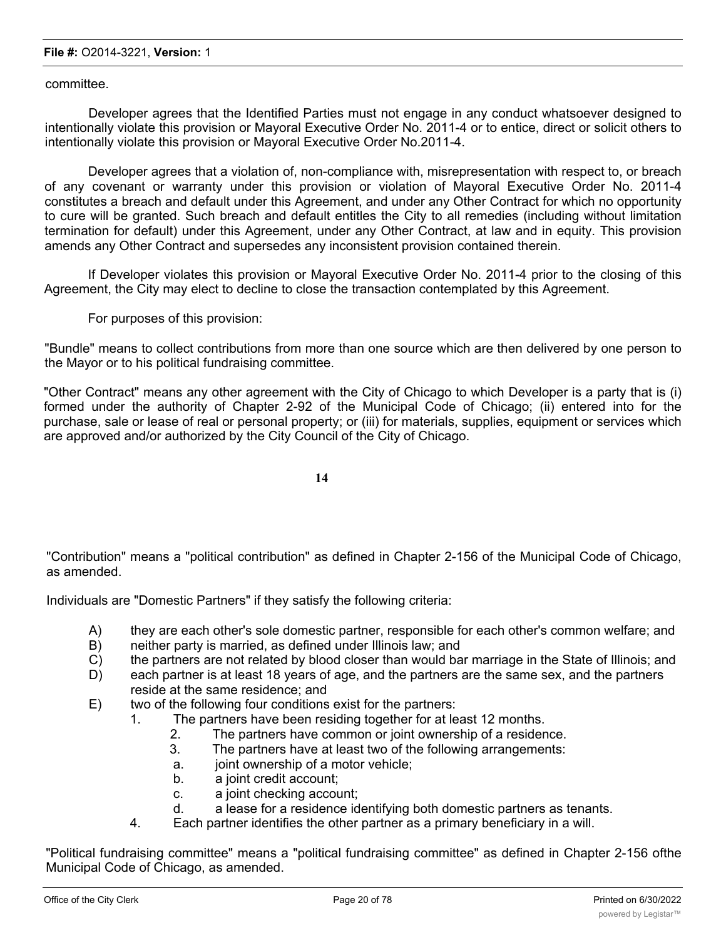committee.

Developer agrees that the Identified Parties must not engage in any conduct whatsoever designed to intentionally violate this provision or Mayoral Executive Order No. 2011-4 or to entice, direct or solicit others to intentionally violate this provision or Mayoral Executive Order No.2011-4.

Developer agrees that a violation of, non-compliance with, misrepresentation with respect to, or breach of any covenant or warranty under this provision or violation of Mayoral Executive Order No. 2011-4 constitutes a breach and default under this Agreement, and under any Other Contract for which no opportunity to cure will be granted. Such breach and default entitles the City to all remedies (including without limitation termination for default) under this Agreement, under any Other Contract, at law and in equity. This provision amends any Other Contract and supersedes any inconsistent provision contained therein.

If Developer violates this provision or Mayoral Executive Order No. 2011-4 prior to the closing of this Agreement, the City may elect to decline to close the transaction contemplated by this Agreement.

For purposes of this provision:

"Bundle" means to collect contributions from more than one source which are then delivered by one person to the Mayor or to his political fundraising committee.

"Other Contract" means any other agreement with the City of Chicago to which Developer is a party that is (i) formed under the authority of Chapter 2-92 of the Municipal Code of Chicago; (ii) entered into for the purchase, sale or lease of real or personal property; or (iii) for materials, supplies, equipment or services which are approved and/or authorized by the City Council of the City of Chicago.

**14**

"Contribution" means a "political contribution" as defined in Chapter 2-156 of the Municipal Code of Chicago, as amended.

Individuals are "Domestic Partners" if they satisfy the following criteria:

- A) they are each other's sole domestic partner, responsible for each other's common welfare; and
- B) neither party is married, as defined under Illinois law; and
- C) the partners are not related by blood closer than would bar marriage in the State of Illinois; and
- D) each partner is at least 18 years of age, and the partners are the same sex, and the partners reside at the same residence; and
- E) two of the following four conditions exist for the partners:
	- 1. The partners have been residing together for at least 12 months.
		- 2. The partners have common or joint ownership of a residence.
		- 3. The partners have at least two of the following arrangements:
		- a. joint ownership of a motor vehicle;
		- b. a joint credit account;
		- c. a joint checking account;
		- d. a lease for a residence identifying both domestic partners as tenants.
	- 4. Each partner identifies the other partner as a primary beneficiary in a will.

"Political fundraising committee" means a "political fundraising committee" as defined in Chapter 2-156 ofthe Municipal Code of Chicago, as amended.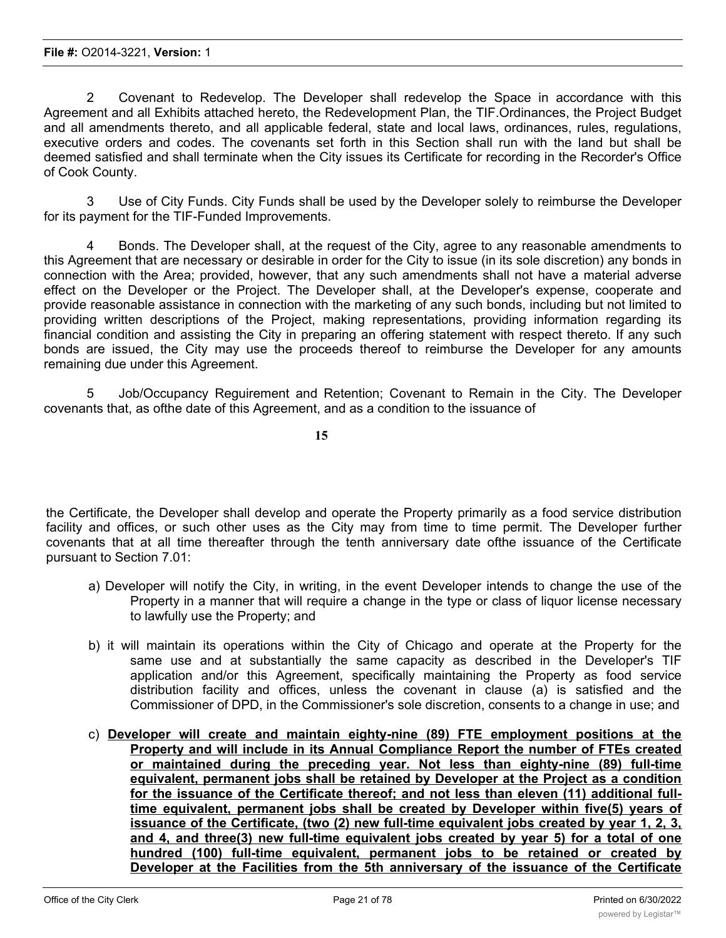2 Covenant to Redevelop. The Developer shall redevelop the Space in accordance with this Agreement and all Exhibits attached hereto, the Redevelopment Plan, the TIF.Ordinances, the Project Budget and all amendments thereto, and all applicable federal, state and local laws, ordinances, rules, regulations, executive orders and codes. The covenants set forth in this Section shall run with the land but shall be deemed satisfied and shall terminate when the City issues its Certificate for recording in the Recorder's Office of Cook County.

3 Use of City Funds. City Funds shall be used by the Developer solely to reimburse the Developer for its payment for the TIF-Funded Improvements.

4 Bonds. The Developer shall, at the request of the City, agree to any reasonable amendments to this Agreement that are necessary or desirable in order for the City to issue (in its sole discretion) any bonds in connection with the Area; provided, however, that any such amendments shall not have a material adverse effect on the Developer or the Project. The Developer shall, at the Developer's expense, cooperate and provide reasonable assistance in connection with the marketing of any such bonds, including but not limited to providing written descriptions of the Project, making representations, providing information regarding its financial condition and assisting the City in preparing an offering statement with respect thereto. If any such bonds are issued, the City may use the proceeds thereof to reimburse the Developer for any amounts remaining due under this Agreement.

5 Job/Occupancy Reguirement and Retention; Covenant to Remain in the City. The Developer covenants that, as ofthe date of this Agreement, and as a condition to the issuance of

**15**

the Certificate, the Developer shall develop and operate the Property primarily as a food service distribution facility and offices, or such other uses as the City may from time to time permit. The Developer further covenants that at all time thereafter through the tenth anniversary date ofthe issuance of the Certificate pursuant to Section 7.01:

- a) Developer will notify the City, in writing, in the event Developer intends to change the use of the Property in a manner that will require a change in the type or class of liquor license necessary to lawfully use the Property; and
- b) it will maintain its operations within the City of Chicago and operate at the Property for the same use and at substantially the same capacity as described in the Developer's TIF application and/or this Agreement, specifically maintaining the Property as food service distribution facility and offices, unless the covenant in clause (a) is satisfied and the Commissioner of DPD, in the Commissioner's sole discretion, consents to a change in use; and
- c) **Developer will create and maintain eighty-nine (89) FTE employment positions at the Property and will include in its Annual Compliance Report the number of FTEs created or maintained during the preceding year. Not less than eighty-nine (89) full-time equivalent, permanent jobs shall be retained by Developer at the Project as a condition for the issuance of the Certificate thereof; and not less than eleven (11) additional fulltime equivalent, permanent jobs shall be created by Developer within five(5) years of issuance of the Certificate, (two (2) new full-time equivalent jobs created by year 1, 2, 3, and 4, and three(3) new full-time equivalent jobs created by year 5) for a total of one hundred (100) full-time equivalent, permanent jobs to be retained or created by Developer at the Facilities from the 5th anniversary of the issuance of the Certificate through the 10th anniversary of the issuance of the Certificate, as more fully provided**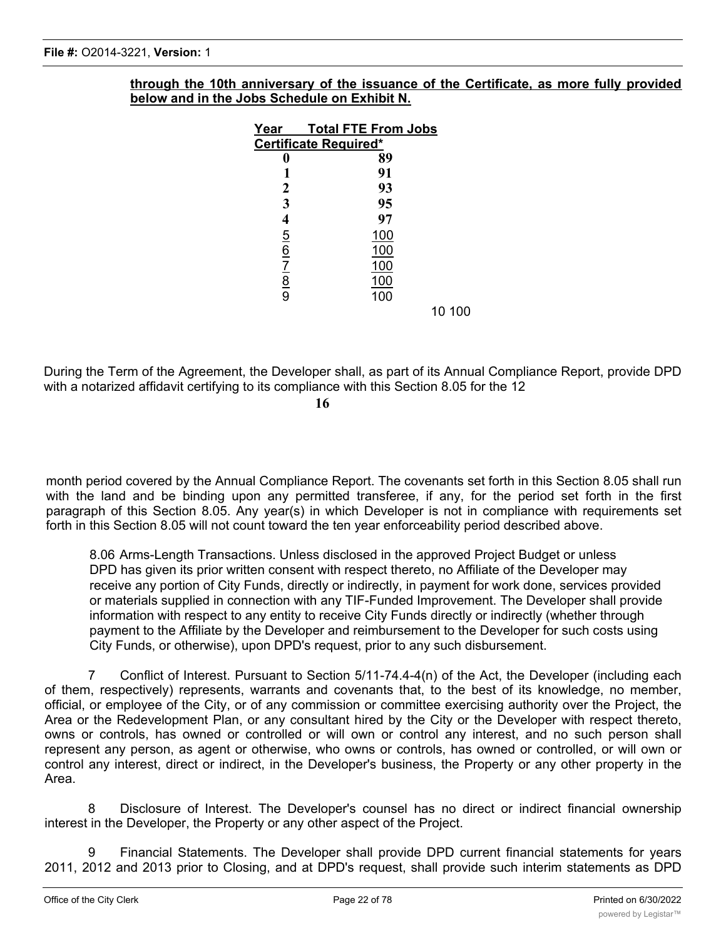| through the 10th anniversary of the issuance of the Certificate, as more fully provided |  |  |
|-----------------------------------------------------------------------------------------|--|--|
| below and in the Jobs Schedule on Exhibit N.                                            |  |  |

| Year                    | <b>Total FTE From Jobs</b> |
|-------------------------|----------------------------|
|                         | Certificate Required*      |
|                         | 89                         |
|                         | 91                         |
| 2                       | 93                         |
| 3                       | 95                         |
| 4                       | 97                         |
| $\overline{5}$          | <u>100</u>                 |
| $rac{6}{7}$ $rac{7}{9}$ | 100                        |
|                         | 100                        |
|                         | 100                        |
|                         | 100                        |
|                         | 10 100                     |

During the Term of the Agreement, the Developer shall, as part of its Annual Compliance Report, provide DPD with a notarized affidavit certifying to its compliance with this Section 8.05 for the 12

**16**

month period covered by the Annual Compliance Report. The covenants set forth in this Section 8.05 shall run with the land and be binding upon any permitted transferee, if any, for the period set forth in the first paragraph of this Section 8.05. Any year(s) in which Developer is not in compliance with requirements set forth in this Section 8.05 will not count toward the ten year enforceability period described above.

8.06 Arms-Length Transactions. Unless disclosed in the approved Project Budget or unless DPD has given its prior written consent with respect thereto, no Affiliate of the Developer may receive any portion of City Funds, directly or indirectly, in payment for work done, services provided or materials supplied in connection with any TIF-Funded Improvement. The Developer shall provide information with respect to any entity to receive City Funds directly or indirectly (whether through payment to the Affiliate by the Developer and reimbursement to the Developer for such costs using City Funds, or otherwise), upon DPD's request, prior to any such disbursement.

7 Conflict of Interest. Pursuant to Section 5/11-74.4-4(n) of the Act, the Developer (including each of them, respectively) represents, warrants and covenants that, to the best of its knowledge, no member, official, or employee of the City, or of any commission or committee exercising authority over the Project, the Area or the Redevelopment Plan, or any consultant hired by the City or the Developer with respect thereto, owns or controls, has owned or controlled or will own or control any interest, and no such person shall represent any person, as agent or otherwise, who owns or controls, has owned or controlled, or will own or control any interest, direct or indirect, in the Developer's business, the Property or any other property in the Area.

8 Disclosure of Interest. The Developer's counsel has no direct or indirect financial ownership interest in the Developer, the Property or any other aspect of the Project.

9 Financial Statements. The Developer shall provide DPD current financial statements for years 2011, 2012 and 2013 prior to Closing, and at DPD's request, shall provide such interim statements as DPD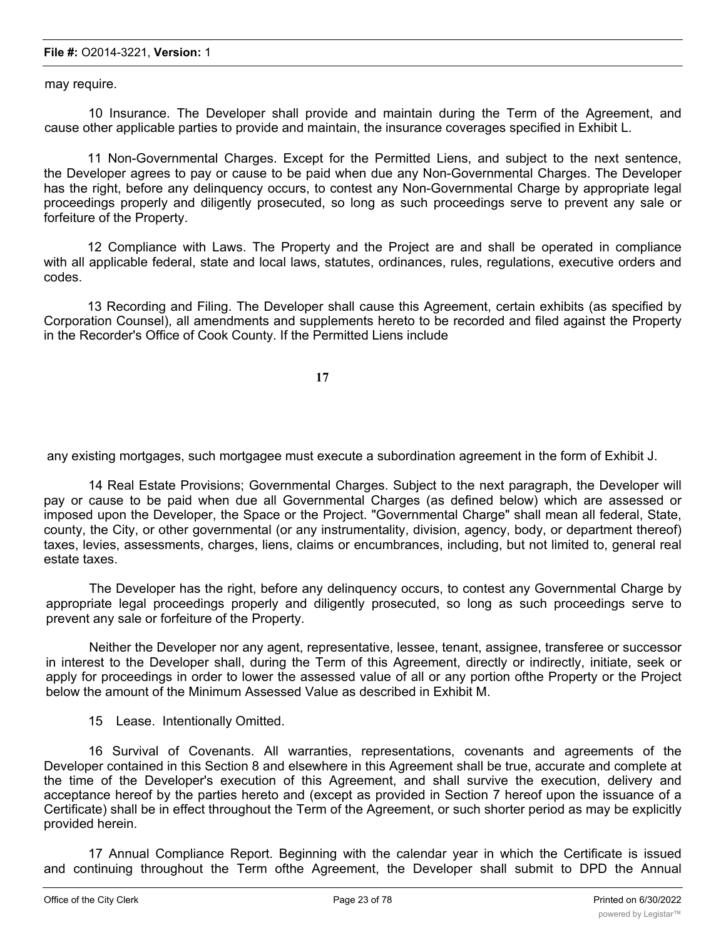#### **File #:** O2014-3221, **Version:** 1

may require.

10 Insurance. The Developer shall provide and maintain during the Term of the Agreement, and cause other applicable parties to provide and maintain, the insurance coverages specified in Exhibit L.

11 Non-Governmental Charges. Except for the Permitted Liens, and subject to the next sentence, the Developer agrees to pay or cause to be paid when due any Non-Governmental Charges. The Developer has the right, before any delinquency occurs, to contest any Non-Governmental Charge by appropriate legal proceedings properly and diligently prosecuted, so long as such proceedings serve to prevent any sale or forfeiture of the Property.

12 Compliance with Laws. The Property and the Project are and shall be operated in compliance with all applicable federal, state and local laws, statutes, ordinances, rules, regulations, executive orders and codes.

13 Recording and Filing. The Developer shall cause this Agreement, certain exhibits (as specified by Corporation Counsel), all amendments and supplements hereto to be recorded and filed against the Property in the Recorder's Office of Cook County. If the Permitted Liens include

**17**

any existing mortgages, such mortgagee must execute a subordination agreement in the form of Exhibit J.

14 Real Estate Provisions; Governmental Charges. Subject to the next paragraph, the Developer will pay or cause to be paid when due all Governmental Charges (as defined below) which are assessed or imposed upon the Developer, the Space or the Project. "Governmental Charge" shall mean all federal, State, county, the City, or other governmental (or any instrumentality, division, agency, body, or department thereof) taxes, levies, assessments, charges, liens, claims or encumbrances, including, but not limited to, general real estate taxes.

The Developer has the right, before any delinquency occurs, to contest any Governmental Charge by appropriate legal proceedings properly and diligently prosecuted, so long as such proceedings serve to prevent any sale or forfeiture of the Property.

Neither the Developer nor any agent, representative, lessee, tenant, assignee, transferee or successor in interest to the Developer shall, during the Term of this Agreement, directly or indirectly, initiate, seek or apply for proceedings in order to lower the assessed value of all or any portion ofthe Property or the Project below the amount of the Minimum Assessed Value as described in Exhibit M.

15 Lease. Intentionally Omitted.

16 Survival of Covenants. All warranties, representations, covenants and agreements of the Developer contained in this Section 8 and elsewhere in this Agreement shall be true, accurate and complete at the time of the Developer's execution of this Agreement, and shall survive the execution, delivery and acceptance hereof by the parties hereto and (except as provided in Section 7 hereof upon the issuance of a Certificate) shall be in effect throughout the Term of the Agreement, or such shorter period as may be explicitly provided herein.

17 Annual Compliance Report. Beginning with the calendar year in which the Certificate is issued and continuing throughout the Term ofthe Agreement, the Developer shall submit to DPD the Annual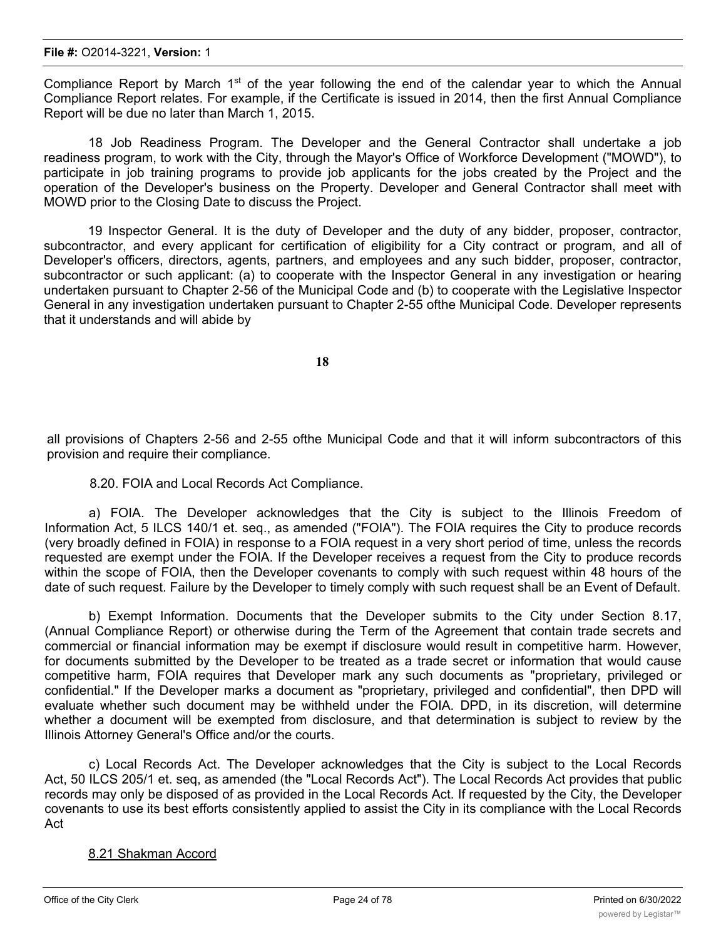Compliance Report by March  $1<sup>st</sup>$  of the year following the end of the calendar year to which the Annual Compliance Report relates. For example, if the Certificate is issued in 2014, then the first Annual Compliance Report will be due no later than March 1, 2015.

18 Job Readiness Program. The Developer and the General Contractor shall undertake a job readiness program, to work with the City, through the Mayor's Office of Workforce Development ("MOWD"), to participate in job training programs to provide job applicants for the jobs created by the Project and the operation of the Developer's business on the Property. Developer and General Contractor shall meet with MOWD prior to the Closing Date to discuss the Project.

19 Inspector General. It is the duty of Developer and the duty of any bidder, proposer, contractor, subcontractor, and every applicant for certification of eligibility for a City contract or program, and all of Developer's officers, directors, agents, partners, and employees and any such bidder, proposer, contractor, subcontractor or such applicant: (a) to cooperate with the Inspector General in any investigation or hearing undertaken pursuant to Chapter 2-56 of the Municipal Code and (b) to cooperate with the Legislative Inspector General in any investigation undertaken pursuant to Chapter 2-55 ofthe Municipal Code. Developer represents that it understands and will abide by

**18**

all provisions of Chapters 2-56 and 2-55 ofthe Municipal Code and that it will inform subcontractors of this provision and require their compliance.

#### 8.20. FOIA and Local Records Act Compliance.

a) FOIA. The Developer acknowledges that the City is subject to the Illinois Freedom of Information Act, 5 ILCS 140/1 et. seq., as amended ("FOIA"). The FOIA requires the City to produce records (very broadly defined in FOIA) in response to a FOIA request in a very short period of time, unless the records requested are exempt under the FOIA. If the Developer receives a request from the City to produce records within the scope of FOIA, then the Developer covenants to comply with such request within 48 hours of the date of such request. Failure by the Developer to timely comply with such request shall be an Event of Default.

b) Exempt Information. Documents that the Developer submits to the City under Section 8.17, (Annual Compliance Report) or otherwise during the Term of the Agreement that contain trade secrets and commercial or financial information may be exempt if disclosure would result in competitive harm. However, for documents submitted by the Developer to be treated as a trade secret or information that would cause competitive harm, FOIA requires that Developer mark any such documents as "proprietary, privileged or confidential." If the Developer marks a document as "proprietary, privileged and confidential", then DPD will evaluate whether such document may be withheld under the FOIA. DPD, in its discretion, will determine whether a document will be exempted from disclosure, and that determination is subject to review by the Illinois Attorney General's Office and/or the courts.

c) Local Records Act. The Developer acknowledges that the City is subject to the Local Records Act, 50 ILCS 205/1 et. seq, as amended (the "Local Records Act"). The Local Records Act provides that public records may only be disposed of as provided in the Local Records Act. If requested by the City, the Developer covenants to use its best efforts consistently applied to assist the City in its compliance with the Local Records Act

#### 8.21 Shakman Accord

a) The Developer shall perform under this Agreement as an independent as an independent contractor to the  $C$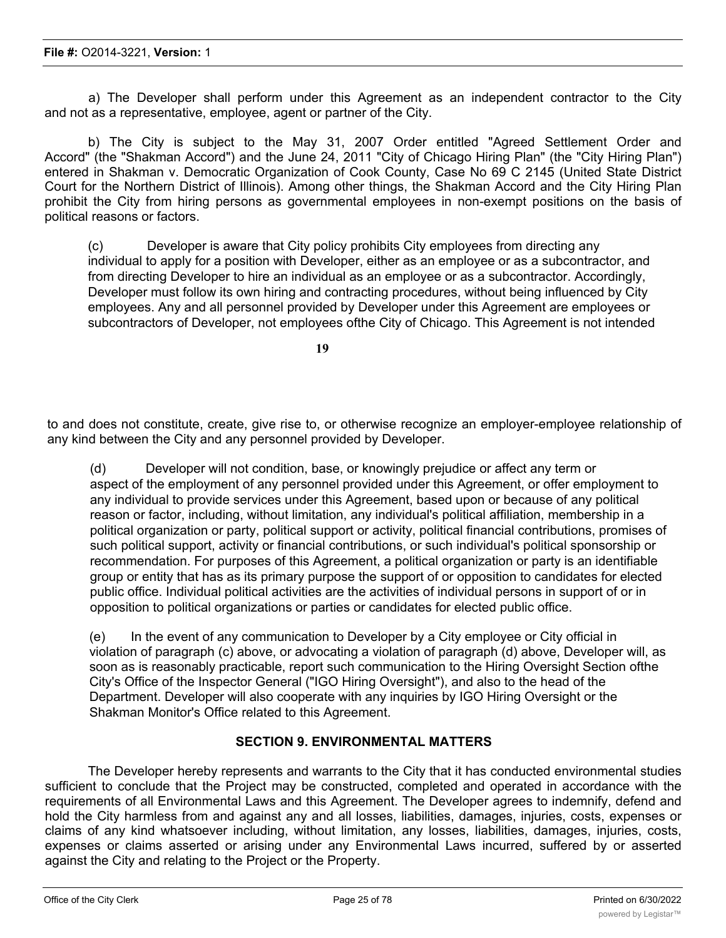a) The Developer shall perform under this Agreement as an independent contractor to the City and not as a representative, employee, agent or partner of the City.

b) The City is subject to the May 31, 2007 Order entitled "Agreed Settlement Order and Accord" (the "Shakman Accord") and the June 24, 2011 "City of Chicago Hiring Plan" (the "City Hiring Plan") entered in Shakman v. Democratic Organization of Cook County, Case No 69 C 2145 (United State District Court for the Northern District of Illinois). Among other things, the Shakman Accord and the City Hiring Plan prohibit the City from hiring persons as governmental employees in non-exempt positions on the basis of political reasons or factors.

(c) Developer is aware that City policy prohibits City employees from directing any individual to apply for a position with Developer, either as an employee or as a subcontractor, and from directing Developer to hire an individual as an employee or as a subcontractor. Accordingly, Developer must follow its own hiring and contracting procedures, without being influenced by City employees. Any and all personnel provided by Developer under this Agreement are employees or subcontractors of Developer, not employees ofthe City of Chicago. This Agreement is not intended

**19**

to and does not constitute, create, give rise to, or otherwise recognize an employer-employee relationship of any kind between the City and any personnel provided by Developer.

(d) Developer will not condition, base, or knowingly prejudice or affect any term or aspect of the employment of any personnel provided under this Agreement, or offer employment to any individual to provide services under this Agreement, based upon or because of any political reason or factor, including, without limitation, any individual's political affiliation, membership in a political organization or party, political support or activity, political financial contributions, promises of such political support, activity or financial contributions, or such individual's political sponsorship or recommendation. For purposes of this Agreement, a political organization or party is an identifiable group or entity that has as its primary purpose the support of or opposition to candidates for elected public office. Individual political activities are the activities of individual persons in support of or in opposition to political organizations or parties or candidates for elected public office.

(e) In the event of any communication to Developer by a City employee or City official in violation of paragraph (c) above, or advocating a violation of paragraph (d) above, Developer will, as soon as is reasonably practicable, report such communication to the Hiring Oversight Section ofthe City's Office of the Inspector General ("IGO Hiring Oversight"), and also to the head of the Department. Developer will also cooperate with any inquiries by IGO Hiring Oversight or the Shakman Monitor's Office related to this Agreement.

# **SECTION 9. ENVIRONMENTAL MATTERS**

The Developer hereby represents and warrants to the City that it has conducted environmental studies sufficient to conclude that the Project may be constructed, completed and operated in accordance with the requirements of all Environmental Laws and this Agreement. The Developer agrees to indemnify, defend and hold the City harmless from and against any and all losses, liabilities, damages, injuries, costs, expenses or claims of any kind whatsoever including, without limitation, any losses, liabilities, damages, injuries, costs, expenses or claims asserted or arising under any Environmental Laws incurred, suffered by or asserted against the City and relating to the Project or the Property.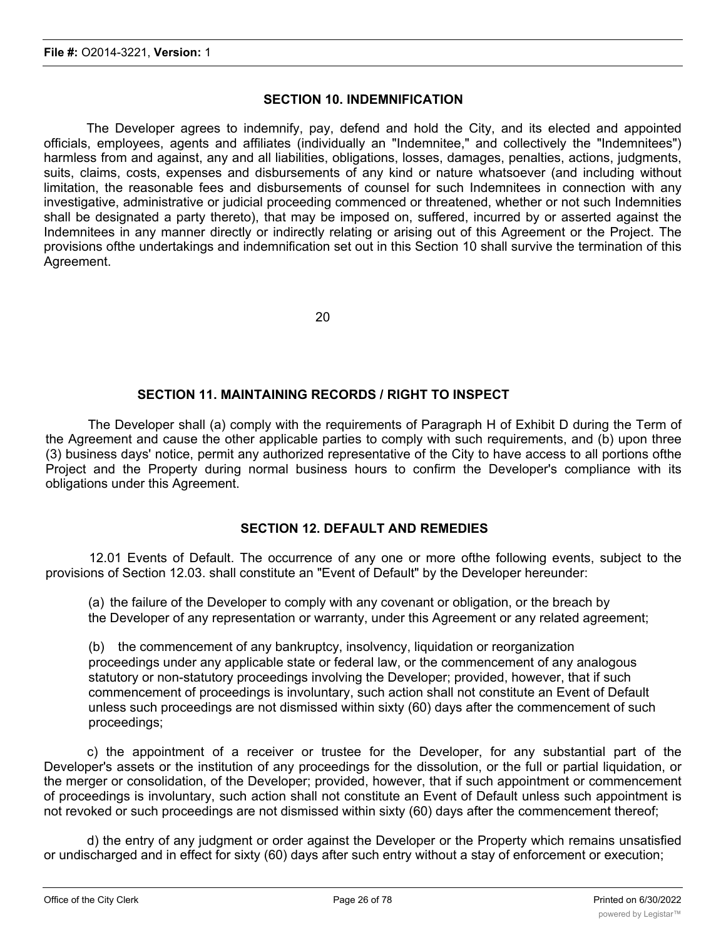### **SECTION 10. INDEMNIFICATION**

The Developer agrees to indemnify, pay, defend and hold the City, and its elected and appointed officials, employees, agents and affiliates (individually an "Indemnitee," and collectively the "Indemnitees") harmless from and against, any and all liabilities, obligations, losses, damages, penalties, actions, judgments, suits, claims, costs, expenses and disbursements of any kind or nature whatsoever (and including without limitation, the reasonable fees and disbursements of counsel for such Indemnitees in connection with any investigative, administrative or judicial proceeding commenced or threatened, whether or not such Indemnities shall be designated a party thereto), that may be imposed on, suffered, incurred by or asserted against the Indemnitees in any manner directly or indirectly relating or arising out of this Agreement or the Project. The provisions ofthe undertakings and indemnification set out in this Section 10 shall survive the termination of this Agreement.

20

### **SECTION 11. MAINTAINING RECORDS / RIGHT TO INSPECT**

The Developer shall (a) comply with the requirements of Paragraph H of Exhibit D during the Term of the Agreement and cause the other applicable parties to comply with such requirements, and (b) upon three (3) business days' notice, permit any authorized representative of the City to have access to all portions ofthe Project and the Property during normal business hours to confirm the Developer's compliance with its obligations under this Agreement.

# **SECTION 12. DEFAULT AND REMEDIES**

12.01 Events of Default. The occurrence of any one or more ofthe following events, subject to the provisions of Section 12.03. shall constitute an "Event of Default" by the Developer hereunder:

(a) the failure of the Developer to comply with any covenant or obligation, or the breach by the Developer of any representation or warranty, under this Agreement or any related agreement;

(b) the commencement of any bankruptcy, insolvency, liquidation or reorganization proceedings under any applicable state or federal law, or the commencement of any analogous statutory or non-statutory proceedings involving the Developer; provided, however, that if such commencement of proceedings is involuntary, such action shall not constitute an Event of Default unless such proceedings are not dismissed within sixty (60) days after the commencement of such proceedings;

c) the appointment of a receiver or trustee for the Developer, for any substantial part of the Developer's assets or the institution of any proceedings for the dissolution, or the full or partial liquidation, or the merger or consolidation, of the Developer; provided, however, that if such appointment or commencement of proceedings is involuntary, such action shall not constitute an Event of Default unless such appointment is not revoked or such proceedings are not dismissed within sixty (60) days after the commencement thereof;

d) the entry of any judgment or order against the Developer or the Property which remains unsatisfied or undischarged and in effect for sixty (60) days after such entry without a stay of enforcement or execution;

e) the dissolution of the Developer or the Developer or the death of any natural person who owns a  $50\%$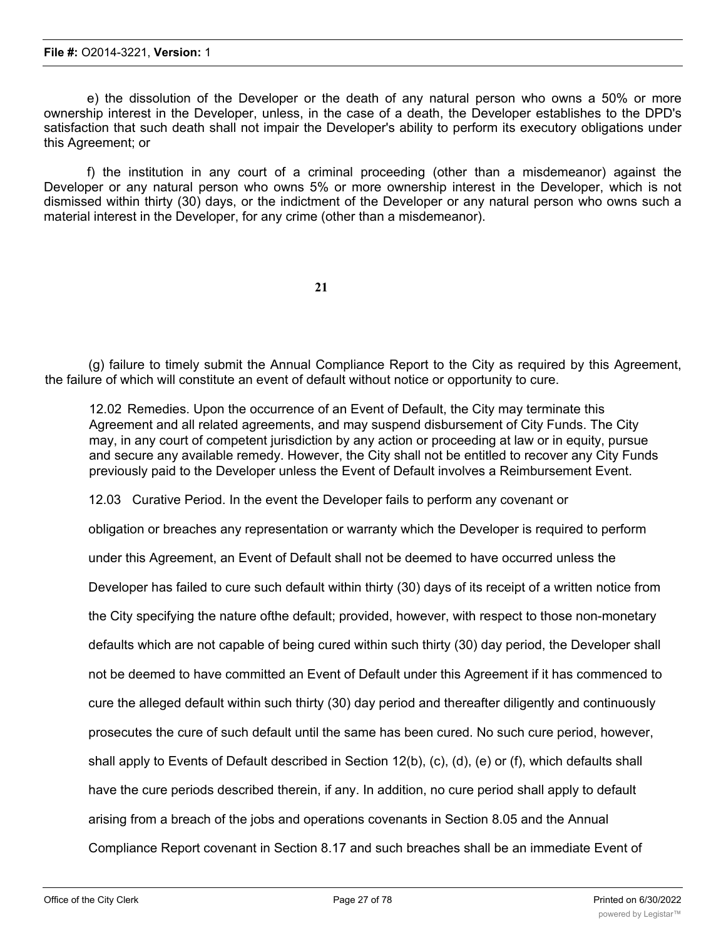e) the dissolution of the Developer or the death of any natural person who owns a 50% or more ownership interest in the Developer, unless, in the case of a death, the Developer establishes to the DPD's satisfaction that such death shall not impair the Developer's ability to perform its executory obligations under this Agreement; or

f) the institution in any court of a criminal proceeding (other than a misdemeanor) against the Developer or any natural person who owns 5% or more ownership interest in the Developer, which is not dismissed within thirty (30) days, or the indictment of the Developer or any natural person who owns such a material interest in the Developer, for any crime (other than a misdemeanor).

**21**

(g) failure to timely submit the Annual Compliance Report to the City as required by this Agreement, the failure of which will constitute an event of default without notice or opportunity to cure.

12.02 Remedies. Upon the occurrence of an Event of Default, the City may terminate this Agreement and all related agreements, and may suspend disbursement of City Funds. The City may, in any court of competent jurisdiction by any action or proceeding at law or in equity, pursue and secure any available remedy. However, the City shall not be entitled to recover any City Funds previously paid to the Developer unless the Event of Default involves a Reimbursement Event.

12.03 Curative Period. In the event the Developer fails to perform any covenant or

obligation or breaches any representation or warranty which the Developer is required to perform

under this Agreement, an Event of Default shall not be deemed to have occurred unless the

Developer has failed to cure such default within thirty (30) days of its receipt of a written notice from

the City specifying the nature ofthe default; provided, however, with respect to those non-monetary

defaults which are not capable of being cured within such thirty (30) day period, the Developer shall

not be deemed to have committed an Event of Default under this Agreement if it has commenced to

cure the alleged default within such thirty (30) day period and thereafter diligently and continuously

prosecutes the cure of such default until the same has been cured. No such cure period, however,

shall apply to Events of Default described in Section 12(b), (c), (d), (e) or (f), which defaults shall

have the cure periods described therein, if any. In addition, no cure period shall apply to default

arising from a breach of the jobs and operations covenants in Section 8.05 and the Annual

Compliance Report covenant in Section 8.17 and such breaches shall be an immediate Event of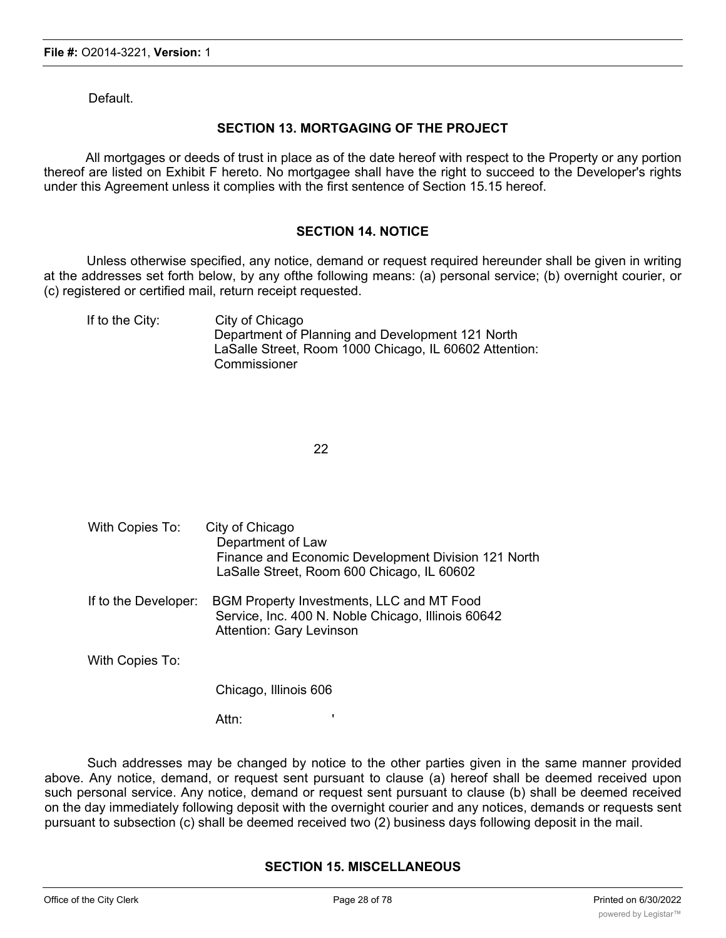Default.

# **SECTION 13. MORTGAGING OF THE PROJECT**

All mortgages or deeds of trust in place as of the date hereof with respect to the Property or any portion thereof are listed on Exhibit F hereto. No mortgagee shall have the right to succeed to the Developer's rights under this Agreement unless it complies with the first sentence of Section 15.15 hereof.

#### **SECTION 14. NOTICE**

Unless otherwise specified, any notice, demand or request required hereunder shall be given in writing at the addresses set forth below, by any ofthe following means: (a) personal service; (b) overnight courier, or (c) registered or certified mail, return receipt requested.

If to the City: City of Chicago Department of Planning and Development 121 North LaSalle Street, Room 1000 Chicago, IL 60602 Attention: **Commissioner** 

22

With Copies To: City of Chicago Department of Law Finance and Economic Development Division 121 North LaSalle Street, Room 600 Chicago, IL 60602 If to the Developer: BGM Property Investments, LLC and MT Food Service, Inc. 400 N. Noble Chicago, Illinois 60642 Attention: Gary Levinson With Copies To:

Chicago, Illinois 606

Attn:

Such addresses may be changed by notice to the other parties given in the same manner provided above. Any notice, demand, or request sent pursuant to clause (a) hereof shall be deemed received upon such personal service. Any notice, demand or request sent pursuant to clause (b) shall be deemed received on the day immediately following deposit with the overnight courier and any notices, demands or requests sent pursuant to subsection (c) shall be deemed received two (2) business days following deposit in the mail.

#### **SECTION 15. MISCELLANEOUS**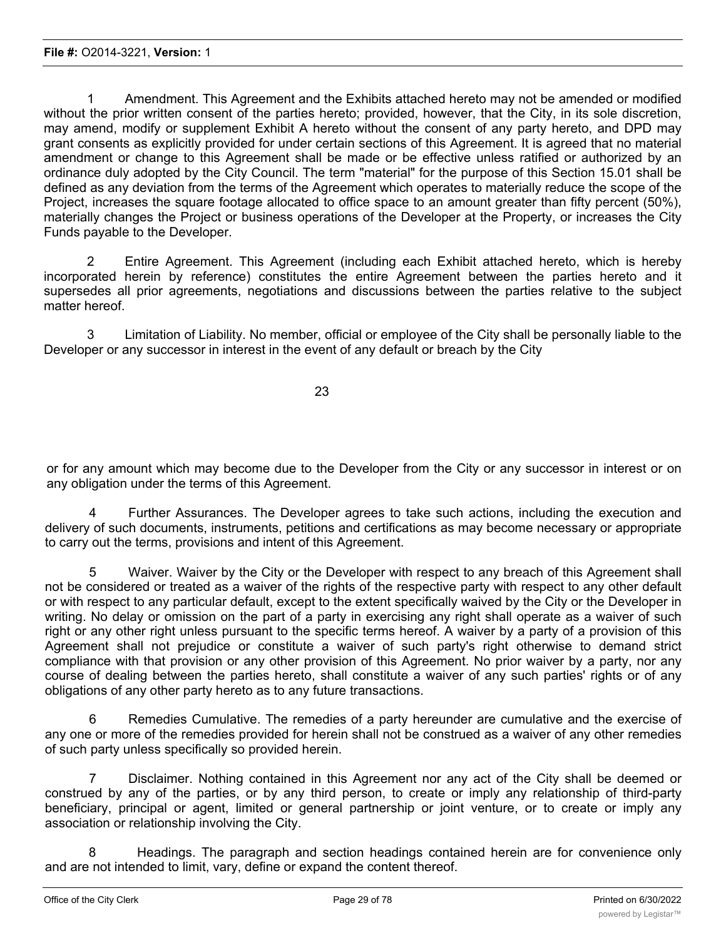1 Amendment. This Agreement and the Exhibits attached hereto may not be amended or modified without the prior written consent of the parties hereto; provided, however, that the City, in its sole discretion, may amend, modify or supplement Exhibit A hereto without the consent of any party hereto, and DPD may grant consents as explicitly provided for under certain sections of this Agreement. It is agreed that no material amendment or change to this Agreement shall be made or be effective unless ratified or authorized by an ordinance duly adopted by the City Council. The term "material" for the purpose of this Section 15.01 shall be defined as any deviation from the terms of the Agreement which operates to materially reduce the scope of the Project, increases the square footage allocated to office space to an amount greater than fifty percent (50%), materially changes the Project or business operations of the Developer at the Property, or increases the City Funds payable to the Developer.

2 Entire Agreement. This Agreement (including each Exhibit attached hereto, which is hereby incorporated herein by reference) constitutes the entire Agreement between the parties hereto and it supersedes all prior agreements, negotiations and discussions between the parties relative to the subject matter hereof.

3 Limitation of Liability. No member, official or employee of the City shall be personally liable to the Developer or any successor in interest in the event of any default or breach by the City

23

or for any amount which may become due to the Developer from the City or any successor in interest or on any obligation under the terms of this Agreement.

4 Further Assurances. The Developer agrees to take such actions, including the execution and delivery of such documents, instruments, petitions and certifications as may become necessary or appropriate to carry out the terms, provisions and intent of this Agreement.

5 Waiver. Waiver by the City or the Developer with respect to any breach of this Agreement shall not be considered or treated as a waiver of the rights of the respective party with respect to any other default or with respect to any particular default, except to the extent specifically waived by the City or the Developer in writing. No delay or omission on the part of a party in exercising any right shall operate as a waiver of such right or any other right unless pursuant to the specific terms hereof. A waiver by a party of a provision of this Agreement shall not prejudice or constitute a waiver of such party's right otherwise to demand strict compliance with that provision or any other provision of this Agreement. No prior waiver by a party, nor any course of dealing between the parties hereto, shall constitute a waiver of any such parties' rights or of any obligations of any other party hereto as to any future transactions.

6 Remedies Cumulative. The remedies of a party hereunder are cumulative and the exercise of any one or more of the remedies provided for herein shall not be construed as a waiver of any other remedies of such party unless specifically so provided herein.

7 Disclaimer. Nothing contained in this Agreement nor any act of the City shall be deemed or construed by any of the parties, or by any third person, to create or imply any relationship of third-party beneficiary, principal or agent, limited or general partnership or joint venture, or to create or imply any association or relationship involving the City.

8 Headings. The paragraph and section headings contained herein are for convenience only and are not intended to limit, vary, define or expand the content thereof.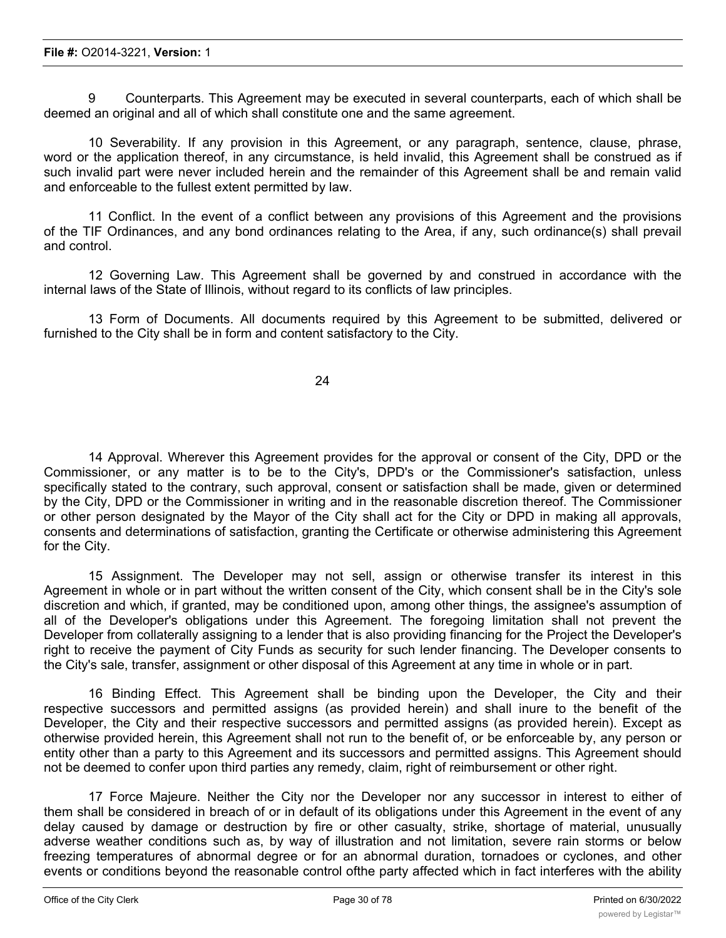9 Counterparts. This Agreement may be executed in several counterparts, each of which shall be deemed an original and all of which shall constitute one and the same agreement.

10 Severability. If any provision in this Agreement, or any paragraph, sentence, clause, phrase, word or the application thereof, in any circumstance, is held invalid, this Agreement shall be construed as if such invalid part were never included herein and the remainder of this Agreement shall be and remain valid and enforceable to the fullest extent permitted by law.

11 Conflict. In the event of a conflict between any provisions of this Agreement and the provisions of the TIF Ordinances, and any bond ordinances relating to the Area, if any, such ordinance(s) shall prevail and control.

12 Governing Law. This Agreement shall be governed by and construed in accordance with the internal laws of the State of Illinois, without regard to its conflicts of law principles.

13 Form of Documents. All documents required by this Agreement to be submitted, delivered or furnished to the City shall be in form and content satisfactory to the City.

24

14 Approval. Wherever this Agreement provides for the approval or consent of the City, DPD or the Commissioner, or any matter is to be to the City's, DPD's or the Commissioner's satisfaction, unless specifically stated to the contrary, such approval, consent or satisfaction shall be made, given or determined by the City, DPD or the Commissioner in writing and in the reasonable discretion thereof. The Commissioner or other person designated by the Mayor of the City shall act for the City or DPD in making all approvals, consents and determinations of satisfaction, granting the Certificate or otherwise administering this Agreement for the City.

15 Assignment. The Developer may not sell, assign or otherwise transfer its interest in this Agreement in whole or in part without the written consent of the City, which consent shall be in the City's sole discretion and which, if granted, may be conditioned upon, among other things, the assignee's assumption of all of the Developer's obligations under this Agreement. The foregoing limitation shall not prevent the Developer from collaterally assigning to a lender that is also providing financing for the Project the Developer's right to receive the payment of City Funds as security for such lender financing. The Developer consents to the City's sale, transfer, assignment or other disposal of this Agreement at any time in whole or in part.

16 Binding Effect. This Agreement shall be binding upon the Developer, the City and their respective successors and permitted assigns (as provided herein) and shall inure to the benefit of the Developer, the City and their respective successors and permitted assigns (as provided herein). Except as otherwise provided herein, this Agreement shall not run to the benefit of, or be enforceable by, any person or entity other than a party to this Agreement and its successors and permitted assigns. This Agreement should not be deemed to confer upon third parties any remedy, claim, right of reimbursement or other right.

17 Force Majeure. Neither the City nor the Developer nor any successor in interest to either of them shall be considered in breach of or in default of its obligations under this Agreement in the event of any delay caused by damage or destruction by fire or other casualty, strike, shortage of material, unusually adverse weather conditions such as, by way of illustration and not limitation, severe rain storms or below freezing temperatures of abnormal degree or for an abnormal duration, tornadoes or cyclones, and other events or conditions beyond the reasonable control ofthe party affected which in fact interferes with the ability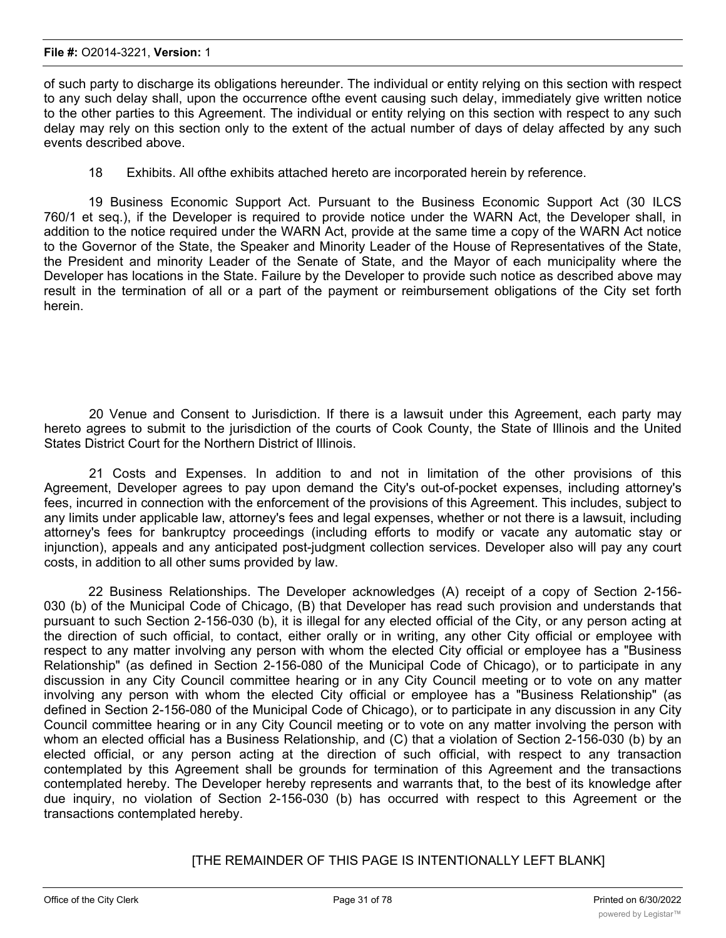of such party to discharge its obligations hereunder. The individual or entity relying on this section with respect to any such delay shall, upon the occurrence ofthe event causing such delay, immediately give written notice to the other parties to this Agreement. The individual or entity relying on this section with respect to any such delay may rely on this section only to the extent of the actual number of days of delay affected by any such events described above.

18 Exhibits. All ofthe exhibits attached hereto are incorporated herein by reference.

19 Business Economic Support Act. Pursuant to the Business Economic Support Act (30 ILCS 760/1 et seq.), if the Developer is required to provide notice under the WARN Act, the Developer shall, in addition to the notice required under the WARN Act, provide at the same time a copy of the WARN Act notice to the Governor of the State, the Speaker and Minority Leader of the House of Representatives of the State, the President and minority Leader of the Senate of State, and the Mayor of each municipality where the Developer has locations in the State. Failure by the Developer to provide such notice as described above may result in the termination of all or a part of the payment or reimbursement obligations of the City set forth herein.

20 Venue and Consent to Jurisdiction. If there is a lawsuit under this Agreement, each party may hereto agrees to submit to the jurisdiction of the courts of Cook County, the State of Illinois and the United States District Court for the Northern District of Illinois.

21 Costs and Expenses. In addition to and not in limitation of the other provisions of this Agreement, Developer agrees to pay upon demand the City's out-of-pocket expenses, including attorney's fees, incurred in connection with the enforcement of the provisions of this Agreement. This includes, subject to any limits under applicable law, attorney's fees and legal expenses, whether or not there is a lawsuit, including attorney's fees for bankruptcy proceedings (including efforts to modify or vacate any automatic stay or injunction), appeals and any anticipated post-judgment collection services. Developer also will pay any court costs, in addition to all other sums provided by law.

22 Business Relationships. The Developer acknowledges (A) receipt of a copy of Section 2-156- 030 (b) of the Municipal Code of Chicago, (B) that Developer has read such provision and understands that pursuant to such Section 2-156-030 (b), it is illegal for any elected official of the City, or any person acting at the direction of such official, to contact, either orally or in writing, any other City official or employee with respect to any matter involving any person with whom the elected City official or employee has a "Business Relationship" (as defined in Section 2-156-080 of the Municipal Code of Chicago), or to participate in any discussion in any City Council committee hearing or in any City Council meeting or to vote on any matter involving any person with whom the elected City official or employee has a "Business Relationship" (as defined in Section 2-156-080 of the Municipal Code of Chicago), or to participate in any discussion in any City Council committee hearing or in any City Council meeting or to vote on any matter involving the person with whom an elected official has a Business Relationship, and (C) that a violation of Section 2-156-030 (b) by an elected official, or any person acting at the direction of such official, with respect to any transaction contemplated by this Agreement shall be grounds for termination of this Agreement and the transactions contemplated hereby. The Developer hereby represents and warrants that, to the best of its knowledge after due inquiry, no violation of Section 2-156-030 (b) has occurred with respect to this Agreement or the transactions contemplated hereby.

#### [THE REMAINDER OF THIS PAGE IS INTENTIONALLY LEFT BLANK]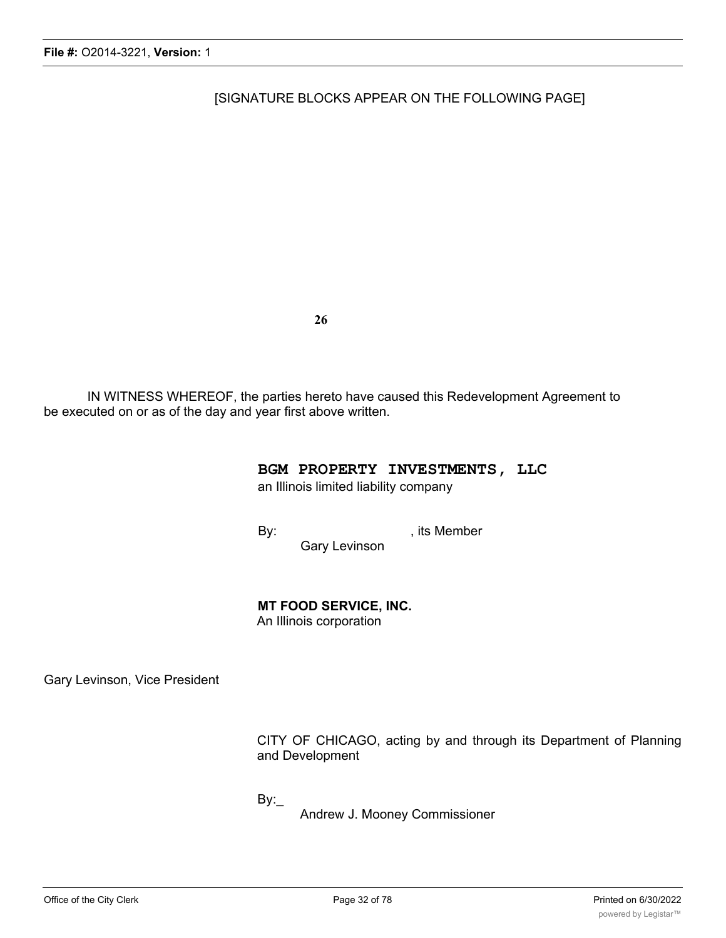[SIGNATURE BLOCKS APPEAR ON THE FOLLOWING PAGE]

**26**

IN WITNESS WHEREOF, the parties hereto have caused this Redevelopment Agreement to be executed on or as of the day and year first above written.

#### **BGM PROPERTY INVESTMENTS, LLC**

an Illinois limited liability company

By: example by: the state of the state of the state of the state of the state of the state of the state of the state of the state of the state of the state of the state of the state of the state of the state of the state o Gary Levinson

# **MT FOOD SERVICE, INC.**

An Illinois corporation

Gary Levinson, Vice President

CITY OF CHICAGO, acting by and through its Department of Planning and Development

By:\_

Andrew J. Mooney Commissioner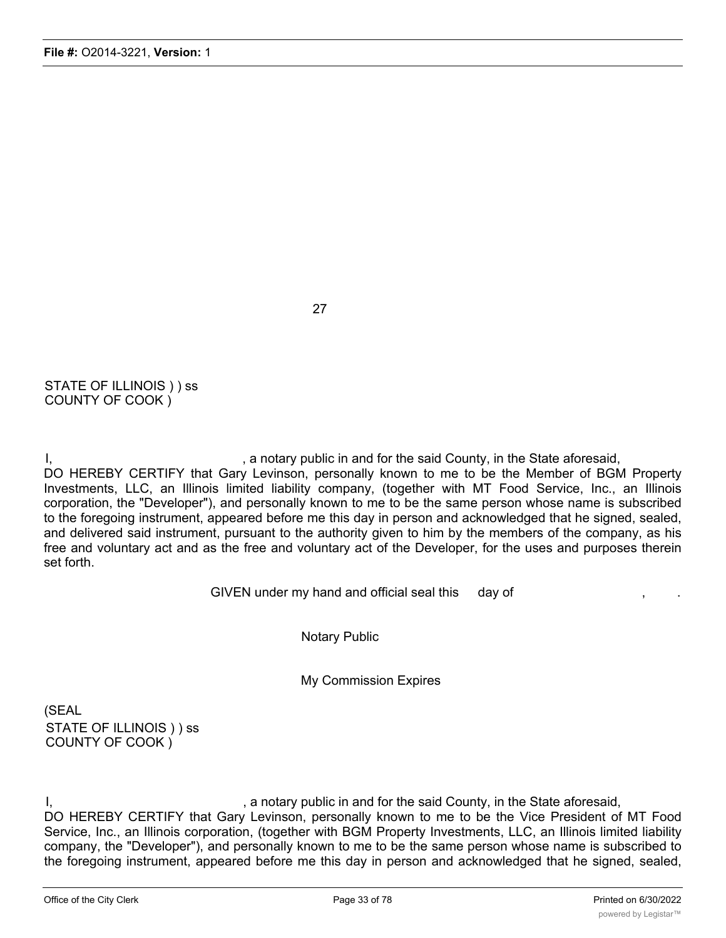STATE OF ILLINOIS ) ) ss COUNTY OF COOK )

I, the said County, in the State aforesaid, in the State aforesaid, DO HEREBY CERTIFY that Gary Levinson, personally known to me to be the Member of BGM Property Investments, LLC, an Illinois limited liability company, (together with MT Food Service, Inc., an Illinois corporation, the "Developer"), and personally known to me to be the same person whose name is subscribed to the foregoing instrument, appeared before me this day in person and acknowledged that he signed, sealed, and delivered said instrument, pursuant to the authority given to him by the members of the company, as his free and voluntary act and as the free and voluntary act of the Developer, for the uses and purposes therein set forth.

27

GIVEN under my hand and official seal this day of

Notary Public

My Commission Expires

(SEAL STATE OF ILLINOIS ) ) ss COUNTY OF COOK )

I, the state aforesaid, in the State aforesaid, in the State aforesaid, DO HEREBY CERTIFY that Gary Levinson, personally known to me to be the Vice President of MT Food Service, Inc., an Illinois corporation, (together with BGM Property Investments, LLC, an Illinois limited liability company, the "Developer"), and personally known to me to be the same person whose name is subscribed to the foregoing instrument, appeared before me this day in person and acknowledged that he signed, sealed,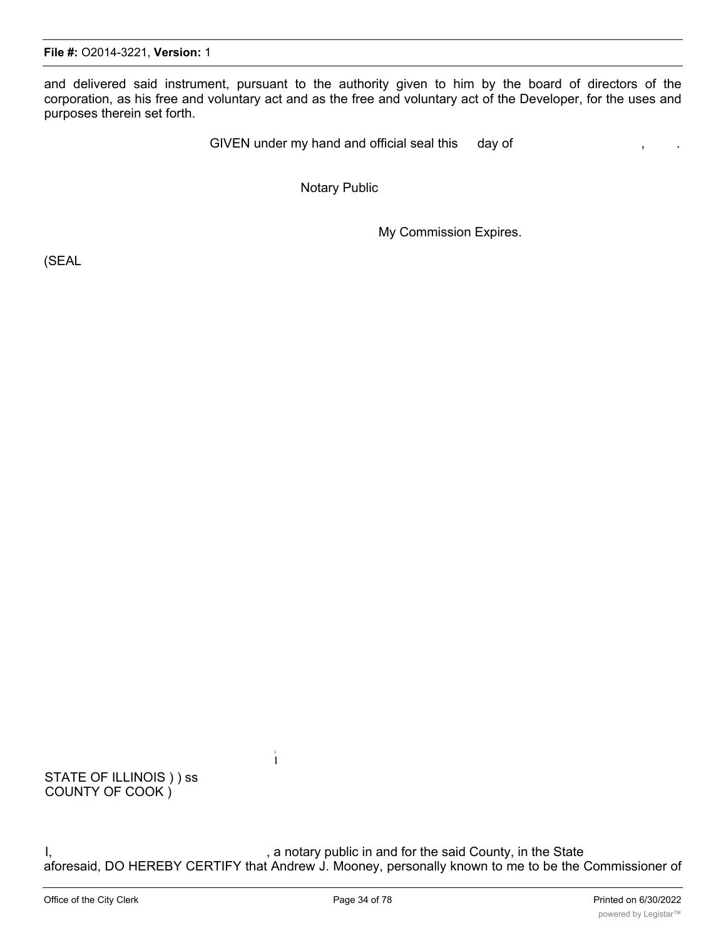and delivered said instrument, pursuant to the authority given to him by the board of directors of the corporation, as his free and voluntary act and as the free and voluntary act of the Developer, for the uses and purposes therein set forth.

GIVEN under my hand and official seal this day of

Notary Public

My Commission Expires.

(SEAL

STATE OF ILLINOIS ) ) ss COUNTY OF COOK )

I, the said County, in the State is a notary public in and for the said County, in the State aforesaid, DO HEREBY CERTIFY that Andrew J. Mooney, personally known to me to be the Commissioner of the Department of Planning and Development of the City of Chicago (the "City"), and personally known to me

i I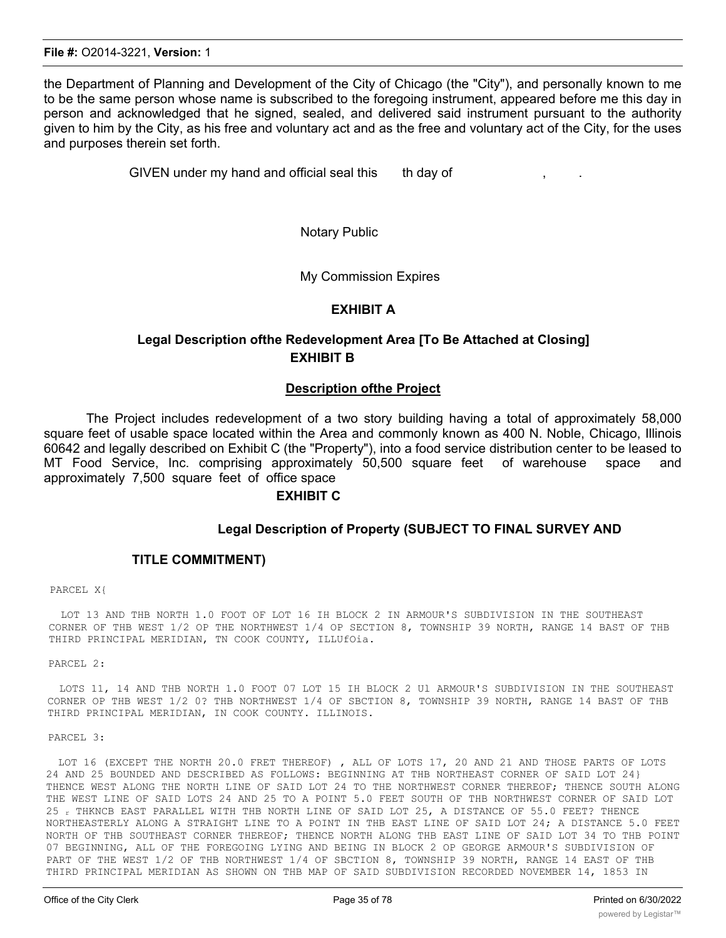the Department of Planning and Development of the City of Chicago (the "City"), and personally known to me to be the same person whose name is subscribed to the foregoing instrument, appeared before me this day in person and acknowledged that he signed, sealed, and delivered said instrument pursuant to the authority given to him by the City, as his free and voluntary act and as the free and voluntary act of the City, for the uses and purposes therein set forth.

GIVEN under my hand and official seal this th day of

Notary Public

My Commission Expires

#### **EXHIBIT A**

# **Legal Description ofthe Redevelopment Area [To Be Attached at Closing] EXHIBIT B**

#### **Description ofthe Project**

The Project includes redevelopment of a two story building having a total of approximately 58,000 square feet of usable space located within the Area and commonly known as 400 N. Noble, Chicago, Illinois 60642 and legally described on Exhibit C (the "Property"), into a food service distribution center to be leased to MT Food Service, Inc. comprising approximately 50,500 square feet of warehouse space and approximately 7,500 square feet of office space

#### **EXHIBIT C**

#### **Legal Description of Property (SUBJECT TO FINAL SURVEY AND**

#### **TITLE COMMITMENT)**

#### PARCEL X{

LOT 13 AND THB NORTH 1.0 FOOT OF LOT 16 IH BLOCK 2 IN ARMOUR'S SUBDIVISION IN THE SOUTHEAST CORNER OF THB WEST 1/2 OP THE NORTHWEST 1/4 OP SECTION 8, TOWNSHIP 39 NORTH, RANGE 14 BAST OF THB THIRD PRINCIPAL MERIDIAN, TN COOK COUNTY, ILLUfOia.

PARCEL 2:

LOTS 11, 14 AND THB NORTH 1.0 FOOT 07 LOT 15 IH BLOCK 2 Ul ARMOUR'S SUBDIVISION IN THE SOUTHEAST CORNER OP THB WEST 1/2 0? THB NORTHWEST 1/4 OF SBCTION 8, TOWNSHIP 39 NORTH, RANGE 14 BAST OF THB THIRD PRINCIPAL MERIDIAN, IN COOK COUNTY. ILLINOIS.

#### PARCEL 3:

LOT 16 (EXCEPT THE NORTH 20.0 FRET THEREOF) , ALL OF LOTS 17, 20 AND 21 AND THOSE PARTS OF LOTS 24 AND 25 BOUNDED AND DESCRIBED AS FOLLOWS: BEGINNING AT THB NORTHEAST CORNER OF SAID LOT 24} THENCE WEST ALONG THE NORTH LINE OF SAID LOT 24 TO THE NORTHWEST CORNER THEREOF; THENCE SOUTH ALONG THE WEST LINE OF SAID LOTS 24 AND 25 TO A POINT 5.0 FEET SOUTH OF THB NORTHWEST CORNER OF SAID LOT 25 r THKNCB EAST PARALLEL WITH THB NORTH LINE OF SAID LOT 25, A DISTANCE OF 55.0 FEET? THENCE NORTHEASTERLY ALONG A STRAIGHT LINE TO A POINT IN THB EAST LINE OF SAID LOT 24; A DISTANCE 5.0 FEET NORTH OF THB SOUTHEAST CORNER THEREOF; THENCE NORTH ALONG THB EAST LINE OF SAID LOT 34 TO THB POINT 07 BEGINNING, ALL OF THE FOREGOING LYING AND BEING IN BLOCK 2 OP GEORGE ARMOUR'S SUBDIVISION OF PART OF THE WEST 1/2 OF THB NORTHWEST 1/4 OF SBCTION 8, TOWNSHIP 39 NORTH, RANGE 14 EAST OF THB THIRD PRINCIPAL MERIDIAN AS SHOWN ON THB MAP OF SAID SUBDIVISION RECORDED NOVEMBER 14, 1853 IN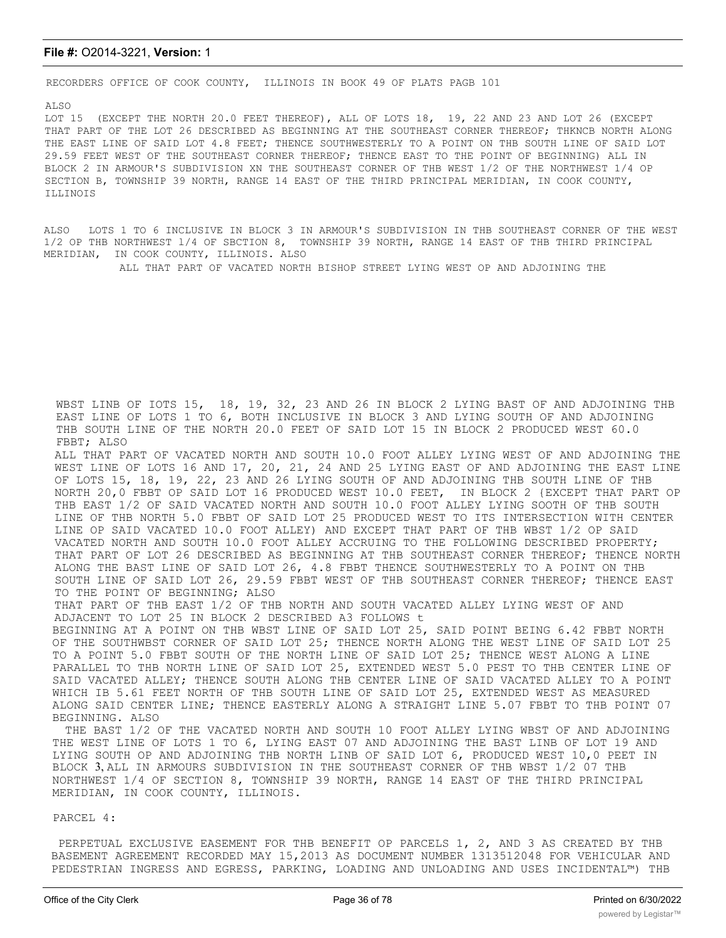#### **File #:** O2014-3221, **Version:** 1

RECORDERS OFFICE OF COOK COUNTY, ILLINOIS IN BOOK 49 OF PLATS PAGB 101

ALSO

LOT 15 (EXCEPT THE NORTH 20.0 FEET THEREOF), ALL OF LOTS 18, 19, 22 AND 23 AND LOT 26 (EXCEPT THAT PART OF THE LOT 26 DESCRIBED AS BEGINNING AT THE SOUTHEAST CORNER THEREOF; THKNCB NORTH ALONG THE EAST LINE OF SAID LOT 4.8 FEET; THENCE SOUTHWESTERLY TO A POINT ON THB SOUTH LINE OF SAID LOT 29.59 FEET WEST OF THE SOUTHEAST CORNER THEREOF; THENCE EAST TO THE POINT OF BEGINNING) ALL IN BLOCK 2 IN ARMOUR'S SUBDIVISION XN THE SOUTHEAST CORNER OF THB WEST 1/2 OF THE NORTHWEST 1/4 OP SECTION B, TOWNSHIP 39 NORTH, RANGE 14 EAST OF THE THIRD PRINCIPAL MERIDIAN, IN COOK COUNTY, ILLINOIS

ALSO LOTS 1 TO 6 INCLUSIVE IN BLOCK 3 IN ARMOUR'S SUBDIVISION IN THB SOUTHEAST CORNER OF THE WEST 1/2 OP THB NORTHWEST l/4 OF SBCTION 8, TOWNSHIP 39 NORTH, RANGE 14 EAST OF THB THIRD PRINCIPAL MERIDIAN, IN COOK COUNTY, ILLINOIS. ALSO

ALL THAT PART OF VACATED NORTH BISHOP STREET LYING WEST OP AND ADJOINING THE

WBST LINB OF IOTS 15, 18, 19, 32, 23 AND 26 IN BLOCK 2 LYING BAST OF AND ADJOINING THB EAST LINE OF LOTS 1 TO 6, BOTH INCLUSIVE IN BLOCK 3 AND LYING SOUTH OF AND ADJOINING THB SOUTH LINE OF THE NORTH 20.0 FEET OF SAID LOT 15 IN BLOCK 2 PRODUCED WEST 60.0 FBBT; ALSO

ALL THAT PART OF VACATED NORTH AND SOUTH 10.0 FOOT ALLEY LYING WEST OF AND ADJOINING THE WEST LINE OF LOTS 16 AND 17, 20, 21, 24 AND 25 LYING EAST OF AND ADJOINING THE EAST LINE OF LOTS 15, 18, 19, 22, 23 AND 26 LYING SOUTH OF AND ADJOINING THB SOUTH LINE OF THB NORTH 20,0 FBBT OP SAID LOT 16 PRODUCED WEST 10.0 FEET, IN BLOCK 2 {EXCEPT THAT PART OP THB EAST 1/2 OF SAID VACATED NORTH AND SOUTH 10.0 FOOT ALLEY LYING SOOTH OF THB SOUTH LINE OF THB NORTH 5.0 FBBT OF SAID LOT 25 PRODUCED WEST TO ITS INTERSECTION WITH CENTER LINE OP SAID VACATED 10.0 FOOT ALLEY) AND EXCEPT THAT PART OF THB WBST 1/2 OP SAID VACATED NORTH AND SOUTH 10.0 FOOT ALLEY ACCRUING TO THE FOLLOWING DESCRIBED PROPERTY; THAT PART OF LOT 26 DESCRIBED AS BEGINNING AT THB SOUTHEAST CORNER THEREOF; THENCE NORTH ALONG THE BAST LINE OF SAID LOT 26, 4.8 FBBT THENCE SOUTHWESTERLY TO A POINT ON THB SOUTH LINE OF SAID LOT 26, 29.59 FBBT WEST OF THB SOUTHEAST CORNER THEREOF; THENCE EAST TO THE POINT OF BEGINNING; ALSO

THAT PART OF THB EAST 1/2 OF THB NORTH AND SOUTH VACATED ALLEY LYING WEST OF AND ADJACENT TO LOT 25 IN BLOCK 2 DESCRIBED A3 FOLLOWS t

BEGINNING AT A POINT ON THB WBST LINE OF SAID LOT 25, SAID POINT BEING 6.42 FBBT NORTH OF THE SOUTHWBST CORNER OF SAID LOT 25; THENCE NORTH ALONG THE WEST LINE OF SAID LOT 25 TO A POINT 5.0 FBBT SOUTH OF THE NORTH LINE OF SAID LOT 25; THENCE WEST ALONG A LINE PARALLEL TO THB NORTH LINE OF SAID LOT 25, EXTENDED WEST 5.0 PEST TO THB CENTER LINE OF SAID VACATED ALLEY; THENCE SOUTH ALONG THB CENTER LINE OF SAID VACATED ALLEY TO A POINT WHICH IB 5.61 FEET NORTH OF THB SOUTH LINE OF SAID LOT 25, EXTENDED WEST AS MEASURED ALONG SAID CENTER LINE; THENCE EASTERLY ALONG A STRAIGHT LINE 5.07 FBBT TO THB POINT 07 BEGINNING. ALSO

THE BAST 1/2 OF THE VACATED NORTH AND SOUTH 10 FOOT ALLEY LYING WBST OF AND ADJOINING THE WEST LINE OF LOTS 1 TO 6, LYING EAST 07 AND ADJOINING THE BAST LINB OF LOT 19 AND LYING SOUTH OP AND ADJOINING THB NORTH LINB OF SAID LOT 6, PRODUCED WEST 10,0 PEET IN BLOCK 3, ALL IN ARMOURS SUBDIVISION IN THE SOUTHEAST CORNER OF THB WBST 1/2 07 THB NORTHWEST 1/4 OF SECTION 8, TOWNSHIP 39 NORTH, RANGE 14 EAST OF THE THIRD PRINCIPAL MERIDIAN, IN COOK COUNTY, ILLINOIS.

#### PARCEL 4:

PERPETUAL EXCLUSIVE EASEMENT FOR THB BENEFIT OP PARCELS 1, 2, AND 3 AS CREATED BY THB BASEMENT AGREEMENT RECORDED MAY 15,2013 AS DOCUMENT NUMBER 1313512048 FOR VEHICULAR AND PEDESTRIAN INGRESS AND EGRESS, PARKING, LOADING AND UNLOADING AND USES INCIDENTAL™) THB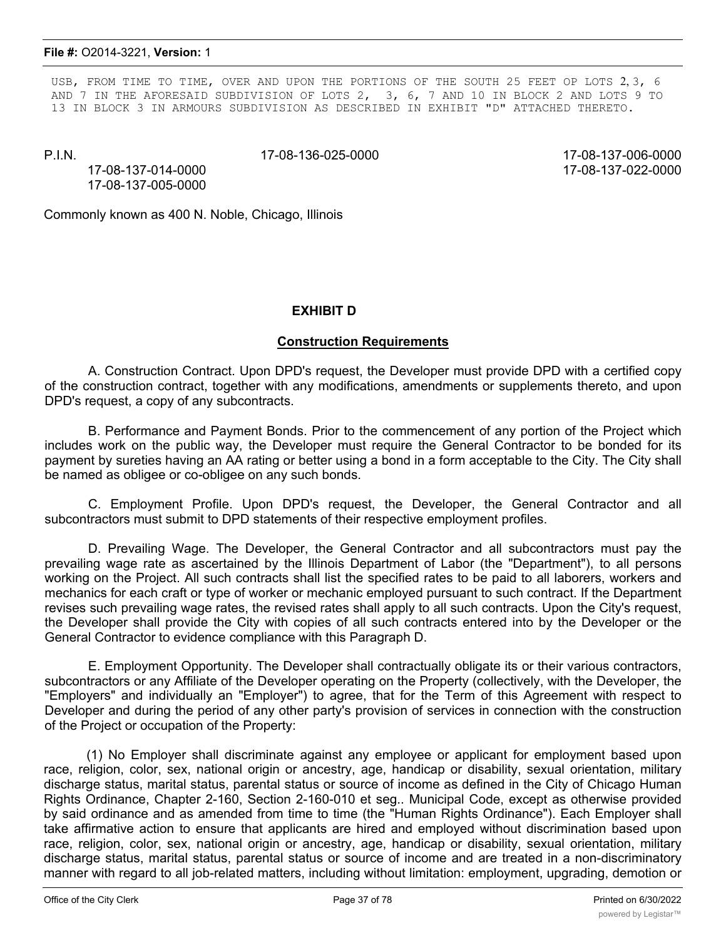USB, FROM TIME TO TIME, OVER AND UPON THE PORTIONS OF THE SOUTH 25 FEET OP LOTS 2, 3, 6 AND 7 IN THE AFORESAID SUBDIVISION OF LOTS 2, 3, 6, 7 AND 10 IN BLOCK 2 AND LOTS 9 TO 13 IN BLOCK 3 IN ARMOURS SUBDIVISION AS DESCRIBED IN EXHIBIT "D" ATTACHED THERETO.

P.I.N. 17-08-136-025-0000 17-08-137-006-0000

17-08-137-014-0000 17-08-137-022-0000 17-08-137-005-0000

Commonly known as 400 N. Noble, Chicago, Illinois

### **EXHIBIT D**

### **Construction Requirements**

A. Construction Contract. Upon DPD's request, the Developer must provide DPD with a certified copy of the construction contract, together with any modifications, amendments or supplements thereto, and upon DPD's request, a copy of any subcontracts.

B. Performance and Payment Bonds. Prior to the commencement of any portion of the Project which includes work on the public way, the Developer must require the General Contractor to be bonded for its payment by sureties having an AA rating or better using a bond in a form acceptable to the City. The City shall be named as obligee or co-obligee on any such bonds.

C. Employment Profile. Upon DPD's request, the Developer, the General Contractor and all subcontractors must submit to DPD statements of their respective employment profiles.

D. Prevailing Wage. The Developer, the General Contractor and all subcontractors must pay the prevailing wage rate as ascertained by the Illinois Department of Labor (the "Department"), to all persons working on the Project. All such contracts shall list the specified rates to be paid to all laborers, workers and mechanics for each craft or type of worker or mechanic employed pursuant to such contract. If the Department revises such prevailing wage rates, the revised rates shall apply to all such contracts. Upon the City's request, the Developer shall provide the City with copies of all such contracts entered into by the Developer or the General Contractor to evidence compliance with this Paragraph D.

E. Employment Opportunity. The Developer shall contractually obligate its or their various contractors, subcontractors or any Affiliate of the Developer operating on the Property (collectively, with the Developer, the "Employers" and individually an "Employer") to agree, that for the Term of this Agreement with respect to Developer and during the period of any other party's provision of services in connection with the construction of the Project or occupation of the Property:

(1) No Employer shall discriminate against any employee or applicant for employment based upon race, religion, color, sex, national origin or ancestry, age, handicap or disability, sexual orientation, military discharge status, marital status, parental status or source of income as defined in the City of Chicago Human Rights Ordinance, Chapter 2-160, Section 2-160-010 et seg.. Municipal Code, except as otherwise provided by said ordinance and as amended from time to time (the "Human Rights Ordinance"). Each Employer shall take affirmative action to ensure that applicants are hired and employed without discrimination based upon race, religion, color, sex, national origin or ancestry, age, handicap or disability, sexual orientation, military discharge status, marital status, parental status or source of income and are treated in a non-discriminatory manner with regard to all job-related matters, including without limitation: employment, upgrading, demotion or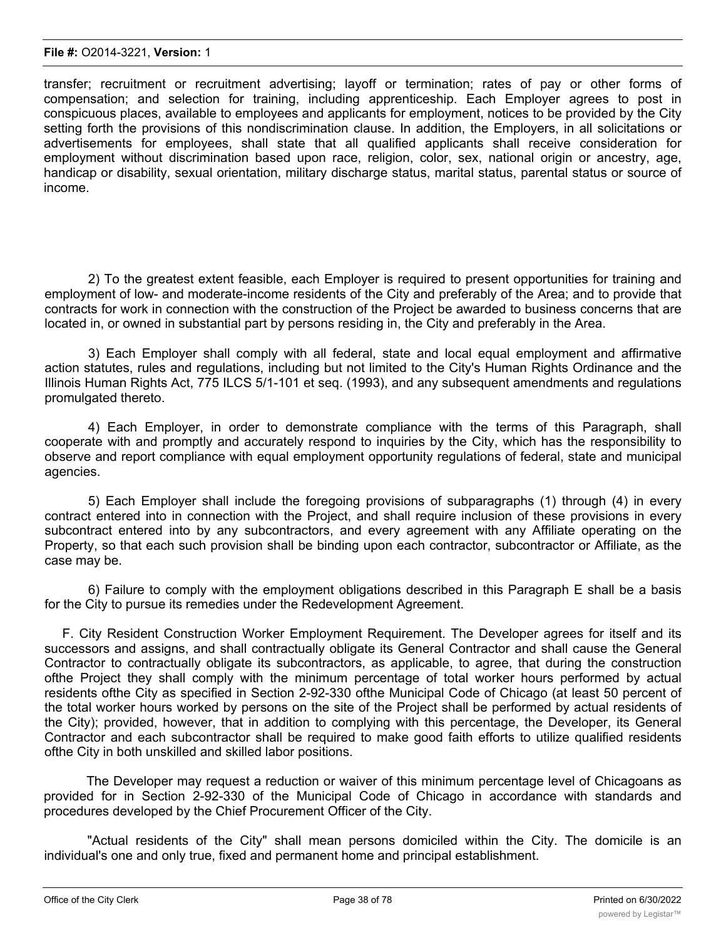transfer; recruitment or recruitment advertising; layoff or termination; rates of pay or other forms of compensation; and selection for training, including apprenticeship. Each Employer agrees to post in conspicuous places, available to employees and applicants for employment, notices to be provided by the City setting forth the provisions of this nondiscrimination clause. In addition, the Employers, in all solicitations or advertisements for employees, shall state that all qualified applicants shall receive consideration for employment without discrimination based upon race, religion, color, sex, national origin or ancestry, age, handicap or disability, sexual orientation, military discharge status, marital status, parental status or source of income.

2) To the greatest extent feasible, each Employer is required to present opportunities for training and employment of low- and moderate-income residents of the City and preferably of the Area; and to provide that contracts for work in connection with the construction of the Project be awarded to business concerns that are located in, or owned in substantial part by persons residing in, the City and preferably in the Area.

3) Each Employer shall comply with all federal, state and local equal employment and affirmative action statutes, rules and regulations, including but not limited to the City's Human Rights Ordinance and the Illinois Human Rights Act, 775 ILCS 5/1-101 et seq. (1993), and any subsequent amendments and regulations promulgated thereto.

4) Each Employer, in order to demonstrate compliance with the terms of this Paragraph, shall cooperate with and promptly and accurately respond to inquiries by the City, which has the responsibility to observe and report compliance with equal employment opportunity regulations of federal, state and municipal agencies.

5) Each Employer shall include the foregoing provisions of subparagraphs (1) through (4) in every contract entered into in connection with the Project, and shall require inclusion of these provisions in every subcontract entered into by any subcontractors, and every agreement with any Affiliate operating on the Property, so that each such provision shall be binding upon each contractor, subcontractor or Affiliate, as the case may be.

6) Failure to comply with the employment obligations described in this Paragraph E shall be a basis for the City to pursue its remedies under the Redevelopment Agreement.

F. City Resident Construction Worker Employment Requirement. The Developer agrees for itself and its successors and assigns, and shall contractually obligate its General Contractor and shall cause the General Contractor to contractually obligate its subcontractors, as applicable, to agree, that during the construction ofthe Project they shall comply with the minimum percentage of total worker hours performed by actual residents ofthe City as specified in Section 2-92-330 ofthe Municipal Code of Chicago (at least 50 percent of the total worker hours worked by persons on the site of the Project shall be performed by actual residents of the City); provided, however, that in addition to complying with this percentage, the Developer, its General Contractor and each subcontractor shall be required to make good faith efforts to utilize qualified residents ofthe City in both unskilled and skilled labor positions.

The Developer may request a reduction or waiver of this minimum percentage level of Chicagoans as provided for in Section 2-92-330 of the Municipal Code of Chicago in accordance with standards and procedures developed by the Chief Procurement Officer of the City.

"Actual residents of the City" shall mean persons domiciled within the City. The domicile is an individual's one and only true, fixed and permanent home and principal establishment.

The Developer, the General Contractor and each subcontractor shall provide for the maintenance of the maintenance of the maintenance of the maintenance of the maintenance of the maintenance of the maintenance of the maint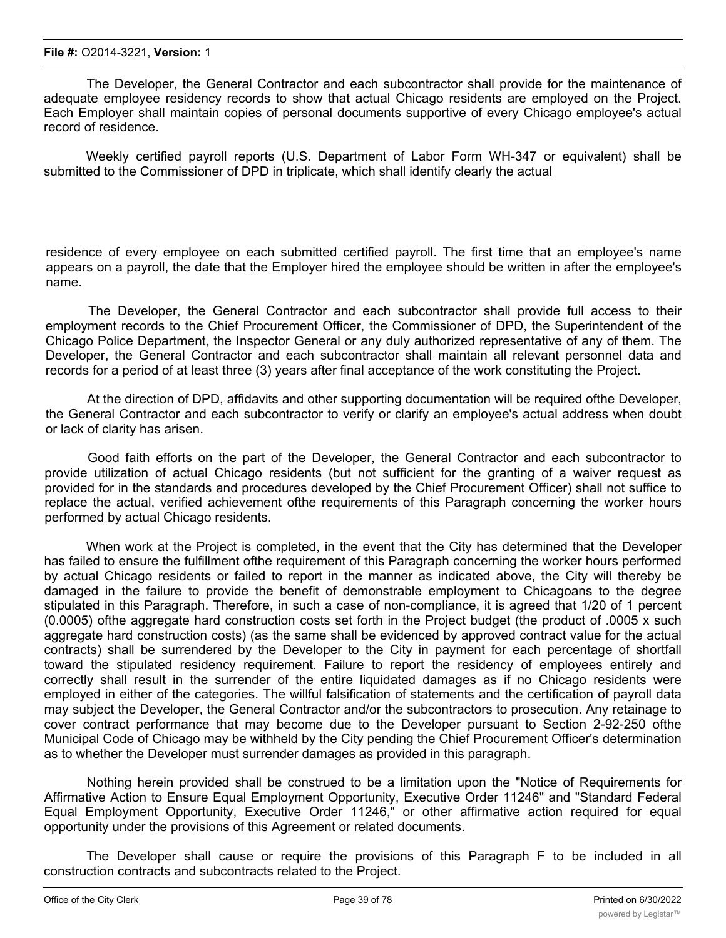The Developer, the General Contractor and each subcontractor shall provide for the maintenance of adequate employee residency records to show that actual Chicago residents are employed on the Project. Each Employer shall maintain copies of personal documents supportive of every Chicago employee's actual record of residence.

Weekly certified payroll reports (U.S. Department of Labor Form WH-347 or equivalent) shall be submitted to the Commissioner of DPD in triplicate, which shall identify clearly the actual

residence of every employee on each submitted certified payroll. The first time that an employee's name appears on a payroll, the date that the Employer hired the employee should be written in after the employee's name.

The Developer, the General Contractor and each subcontractor shall provide full access to their employment records to the Chief Procurement Officer, the Commissioner of DPD, the Superintendent of the Chicago Police Department, the Inspector General or any duly authorized representative of any of them. The Developer, the General Contractor and each subcontractor shall maintain all relevant personnel data and records for a period of at least three (3) years after final acceptance of the work constituting the Project.

At the direction of DPD, affidavits and other supporting documentation will be required ofthe Developer, the General Contractor and each subcontractor to verify or clarify an employee's actual address when doubt or lack of clarity has arisen.

Good faith efforts on the part of the Developer, the General Contractor and each subcontractor to provide utilization of actual Chicago residents (but not sufficient for the granting of a waiver request as provided for in the standards and procedures developed by the Chief Procurement Officer) shall not suffice to replace the actual, verified achievement ofthe requirements of this Paragraph concerning the worker hours performed by actual Chicago residents.

When work at the Project is completed, in the event that the City has determined that the Developer has failed to ensure the fulfillment ofthe requirement of this Paragraph concerning the worker hours performed by actual Chicago residents or failed to report in the manner as indicated above, the City will thereby be damaged in the failure to provide the benefit of demonstrable employment to Chicagoans to the degree stipulated in this Paragraph. Therefore, in such a case of non-compliance, it is agreed that 1/20 of 1 percent (0.0005) ofthe aggregate hard construction costs set forth in the Project budget (the product of .0005 x such aggregate hard construction costs) (as the same shall be evidenced by approved contract value for the actual contracts) shall be surrendered by the Developer to the City in payment for each percentage of shortfall toward the stipulated residency requirement. Failure to report the residency of employees entirely and correctly shall result in the surrender of the entire liquidated damages as if no Chicago residents were employed in either of the categories. The willful falsification of statements and the certification of payroll data may subject the Developer, the General Contractor and/or the subcontractors to prosecution. Any retainage to cover contract performance that may become due to the Developer pursuant to Section 2-92-250 ofthe Municipal Code of Chicago may be withheld by the City pending the Chief Procurement Officer's determination as to whether the Developer must surrender damages as provided in this paragraph.

Nothing herein provided shall be construed to be a limitation upon the "Notice of Requirements for Affirmative Action to Ensure Equal Employment Opportunity, Executive Order 11246" and "Standard Federal Equal Employment Opportunity, Executive Order 11246," or other affirmative action required for equal opportunity under the provisions of this Agreement or related documents.

The Developer shall cause or require the provisions of this Paragraph F to be included in all construction contracts and subcontracts related to the Project.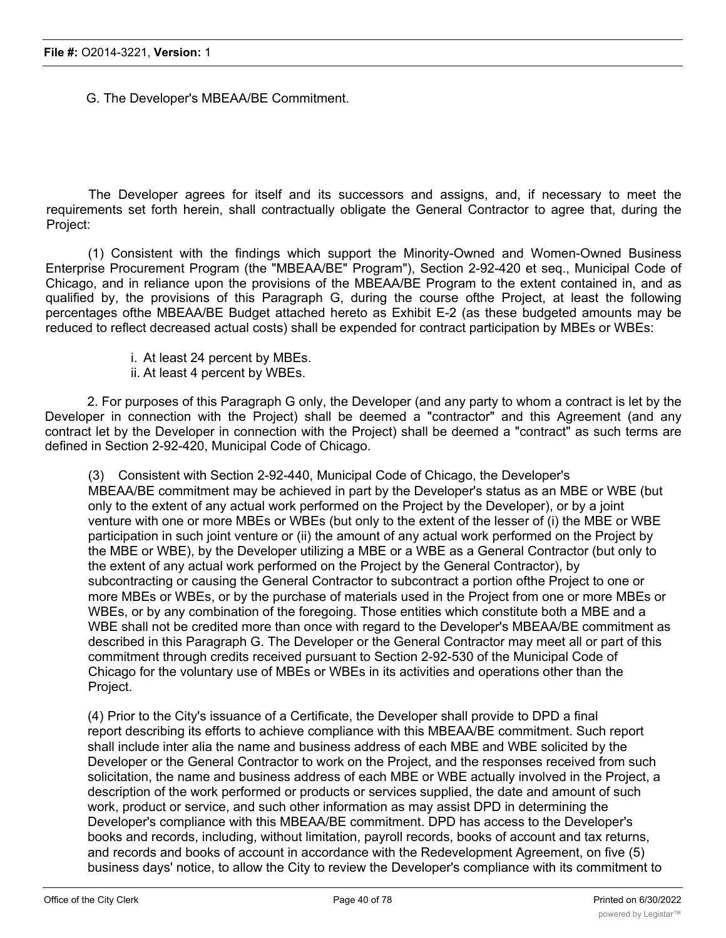G. The Developer's MBEAA/BE Commitment.

The Developer agrees for itself and its successors and assigns, and, if necessary to meet the requirements set forth herein, shall contractually obligate the General Contractor to agree that, during the Project:

(1) Consistent with the findings which support the Minority-Owned and Women-Owned Business Enterprise Procurement Program (the "MBEAA/BE" Program"), Section 2-92-420 et seq., Municipal Code of Chicago, and in reliance upon the provisions of the MBEAA/BE Program to the extent contained in, and as qualified by, the provisions of this Paragraph G, during the course ofthe Project, at least the following percentages ofthe MBEAA/BE Budget attached hereto as Exhibit E-2 (as these budgeted amounts may be reduced to reflect decreased actual costs) shall be expended for contract participation by MBEs or WBEs:

- i. At least 24 percent by MBEs.
- ii. At least 4 percent by WBEs.

2. For purposes of this Paragraph G only, the Developer (and any party to whom a contract is let by the Developer in connection with the Project) shall be deemed a "contractor" and this Agreement (and any contract let by the Developer in connection with the Project) shall be deemed a "contract" as such terms are defined in Section 2-92-420, Municipal Code of Chicago.

(3) Consistent with Section 2-92-440, Municipal Code of Chicago, the Developer's MBEAA/BE commitment may be achieved in part by the Developer's status as an MBE or WBE (but only to the extent of any actual work performed on the Project by the Developer), or by a joint venture with one or more MBEs or WBEs (but only to the extent of the lesser of (i) the MBE or WBE participation in such joint venture or (ii) the amount of any actual work performed on the Project by the MBE or WBE), by the Developer utilizing a MBE or a WBE as a General Contractor (but only to the extent of any actual work performed on the Project by the General Contractor), by subcontracting or causing the General Contractor to subcontract a portion ofthe Project to one or more MBEs or WBEs, or by the purchase of materials used in the Project from one or more MBEs or WBEs, or by any combination of the foregoing. Those entities which constitute both a MBE and a WBE shall not be credited more than once with regard to the Developer's MBEAA/BE commitment as described in this Paragraph G. The Developer or the General Contractor may meet all or part of this commitment through credits received pursuant to Section 2-92-530 of the Municipal Code of Chicago for the voluntary use of MBEs or WBEs in its activities and operations other than the Project.

(4) Prior to the City's issuance of a Certificate, the Developer shall provide to DPD a final report describing its efforts to achieve compliance with this MBEAA/BE commitment. Such report shall include inter alia the name and business address of each MBE and WBE solicited by the Developer or the General Contractor to work on the Project, and the responses received from such solicitation, the name and business address of each MBE or WBE actually involved in the Project, a description of the work performed or products or services supplied, the date and amount of such work, product or service, and such other information as may assist DPD in determining the Developer's compliance with this MBEAA/BE commitment. DPD has access to the Developer's books and records, including, without limitation, payroll records, books of account and tax returns, and records and books of account in accordance with the Redevelopment Agreement, on five (5) business days' notice, to allow the City to review the Developer's compliance with its commitment to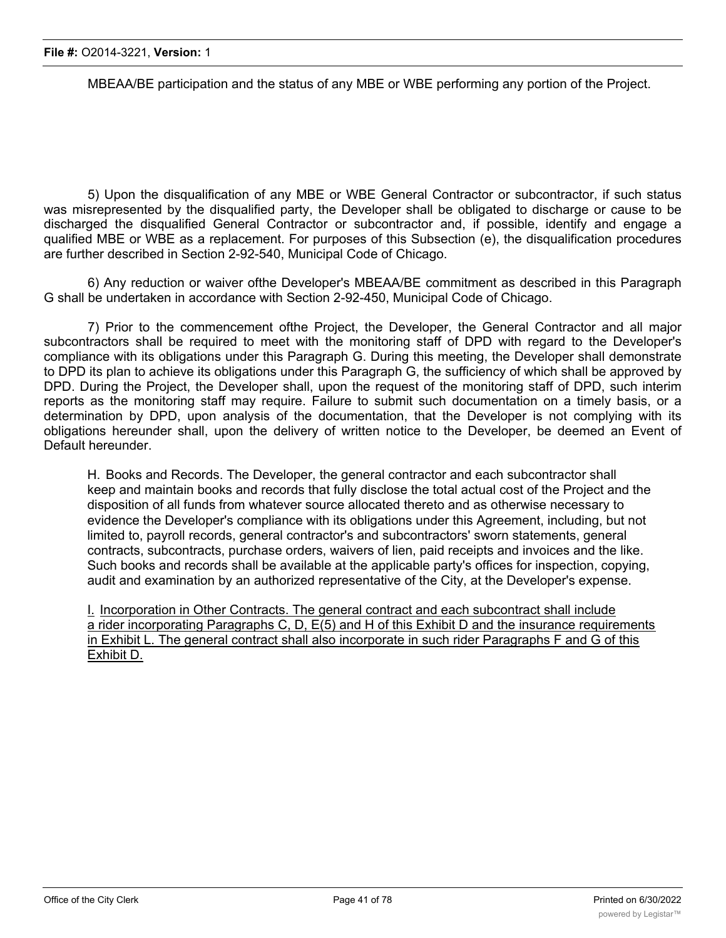MBEAA/BE participation and the status of any MBE or WBE performing any portion of the Project.

5) Upon the disqualification of any MBE or WBE General Contractor or subcontractor, if such status was misrepresented by the disqualified party, the Developer shall be obligated to discharge or cause to be discharged the disqualified General Contractor or subcontractor and, if possible, identify and engage a qualified MBE or WBE as a replacement. For purposes of this Subsection (e), the disqualification procedures are further described in Section 2-92-540, Municipal Code of Chicago.

6) Any reduction or waiver ofthe Developer's MBEAA/BE commitment as described in this Paragraph G shall be undertaken in accordance with Section 2-92-450, Municipal Code of Chicago.

7) Prior to the commencement ofthe Project, the Developer, the General Contractor and all major subcontractors shall be required to meet with the monitoring staff of DPD with regard to the Developer's compliance with its obligations under this Paragraph G. During this meeting, the Developer shall demonstrate to DPD its plan to achieve its obligations under this Paragraph G, the sufficiency of which shall be approved by DPD. During the Project, the Developer shall, upon the request of the monitoring staff of DPD, such interim reports as the monitoring staff may require. Failure to submit such documentation on a timely basis, or a determination by DPD, upon analysis of the documentation, that the Developer is not complying with its obligations hereunder shall, upon the delivery of written notice to the Developer, be deemed an Event of Default hereunder.

H. Books and Records. The Developer, the general contractor and each subcontractor shall keep and maintain books and records that fully disclose the total actual cost of the Project and the disposition of all funds from whatever source allocated thereto and as otherwise necessary to evidence the Developer's compliance with its obligations under this Agreement, including, but not limited to, payroll records, general contractor's and subcontractors' sworn statements, general contracts, subcontracts, purchase orders, waivers of lien, paid receipts and invoices and the like. Such books and records shall be available at the applicable party's offices for inspection, copying, audit and examination by an authorized representative of the City, at the Developer's expense.

I. Incorporation in Other Contracts. The general contract and each subcontract shall include a rider incorporating Paragraphs C, D, E(5) and H of this Exhibit D and the insurance requirements in Exhibit L. The general contract shall also incorporate in such rider Paragraphs F and G of this Exhibit D.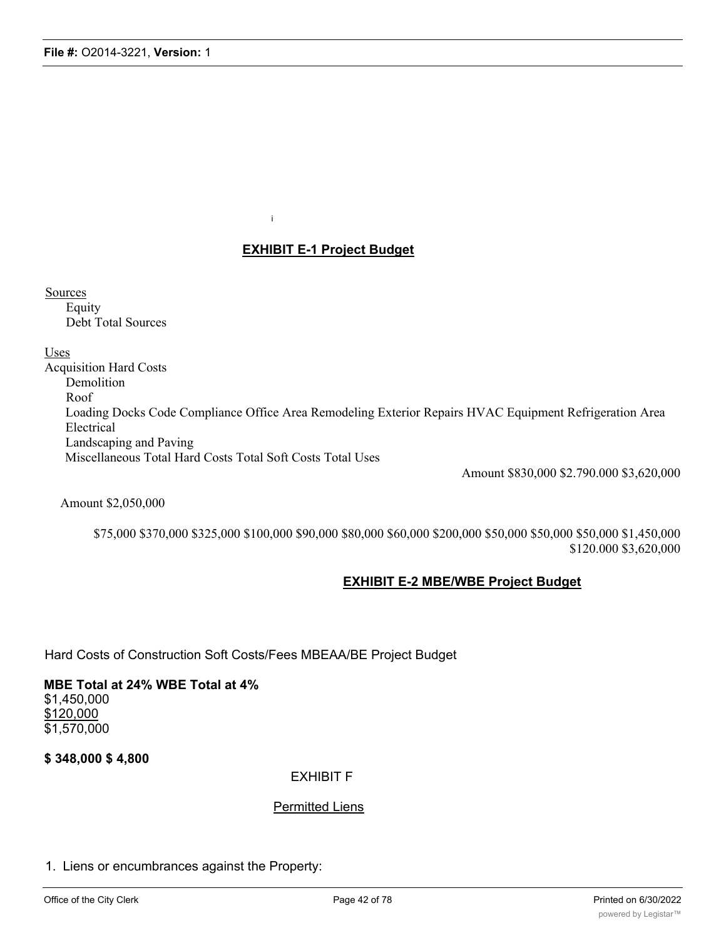### **EXHIBIT E-1 Project Budget**

i

**Sources** Equity Debt Total Sources

Uses

Acquisition Hard Costs Demolition Roof Loading Docks Code Compliance Office Area Remodeling Exterior Repairs HVAC Equipment Refrigeration Area Electrical Landscaping and Paving Miscellaneous Total Hard Costs Total Soft Costs Total Uses

Amount \$830,000 \$2.790.000 \$3,620,000

Amount \$2,050,000

\$75,000 \$370,000 \$325,000 \$100,000 \$90,000 \$80,000 \$60,000 \$200,000 \$50,000 \$50,000 \$50,000 \$1,450,000 \$120.000 \$3,620,000

### **EXHIBIT E-2 MBE/WBE Project Budget**

Hard Costs of Construction Soft Costs/Fees MBEAA/BE Project Budget

**MBE Total at 24% WBE Total at 4%** \$1,450,000 \$120,000 \$1,570,000

**\$ 348,000 \$ 4,800**

### EXHIBIT F

### Permitted Liens

1. Liens or encumbrances against the Property: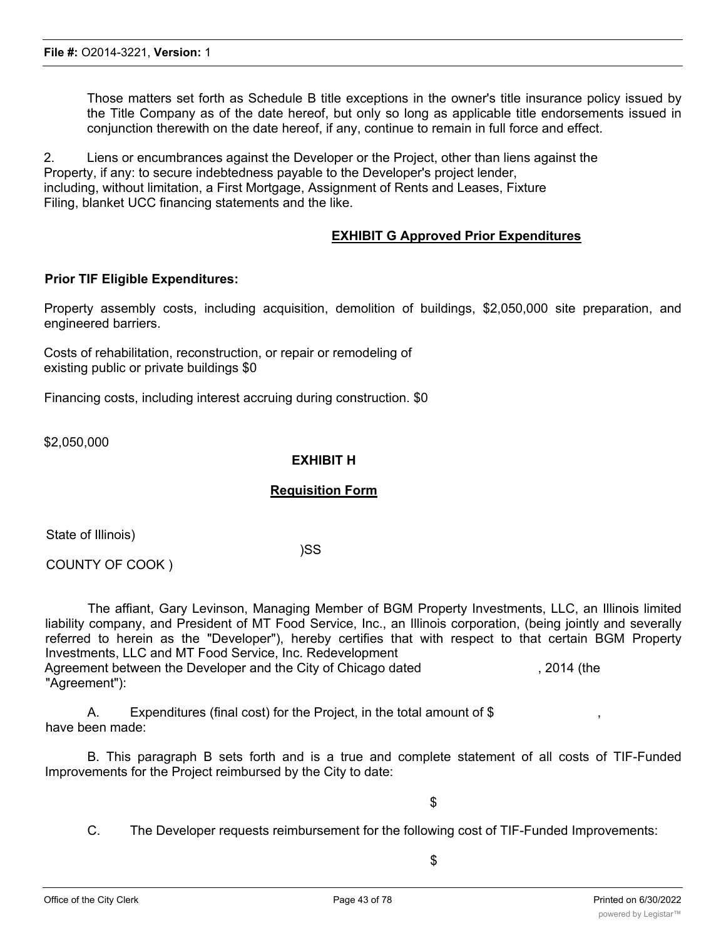Those matters set forth as Schedule B title exceptions in the owner's title insurance policy issued by the Title Company as of the date hereof, but only so long as applicable title endorsements issued in conjunction therewith on the date hereof, if any, continue to remain in full force and effect.

2. Liens or encumbrances against the Developer or the Project, other than liens against the Property, if any: to secure indebtedness payable to the Developer's project lender, including, without limitation, a First Mortgage, Assignment of Rents and Leases, Fixture Filing, blanket UCC financing statements and the like.

### **EXHIBIT G Approved Prior Expenditures**

### **Prior TIF Eligible Expenditures:**

Property assembly costs, including acquisition, demolition of buildings, \$2,050,000 site preparation, and engineered barriers.

Costs of rehabilitation, reconstruction, or repair or remodeling of existing public or private buildings \$0

Financing costs, including interest accruing during construction. \$0

\$2,050,000

### **EXHIBIT H**

### **Requisition Form**

State of Illinois)

)SS

COUNTY OF COOK )

The affiant, Gary Levinson, Managing Member of BGM Property Investments, LLC, an Illinois limited liability company, and President of MT Food Service, Inc., an Illinois corporation, (being jointly and severally referred to herein as the "Developer"), hereby certifies that with respect to that certain BGM Property Investments, LLC and MT Food Service, Inc. Redevelopment Agreement between the Developer and the City of Chicago dated , 2014 (the "Agreement"):

A. Expenditures (final cost) for the Project, in the total amount of  $$$ have been made:

B. This paragraph B sets forth and is a true and complete statement of all costs of TIF-Funded Improvements for the Project reimbursed by the City to date:

\$

C. The Developer requests reimbursement for the following cost of TIF-Funded Improvements: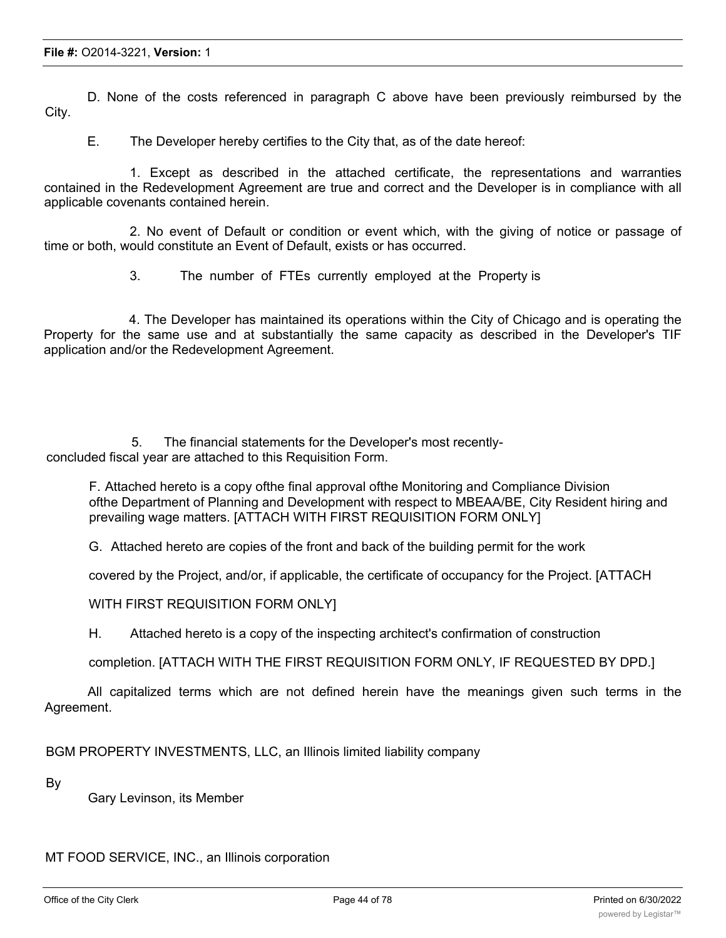D. None of the costs referenced in paragraph C above have been previously reimbursed by the City.

E. The Developer hereby certifies to the City that, as of the date hereof:

1. Except as described in the attached certificate, the representations and warranties contained in the Redevelopment Agreement are true and correct and the Developer is in compliance with all applicable covenants contained herein.

2. No event of Default or condition or event which, with the giving of notice or passage of time or both, would constitute an Event of Default, exists or has occurred.

3. The number of FTEs currently employed at the Property is

4. The Developer has maintained its operations within the City of Chicago and is operating the Property for the same use and at substantially the same capacity as described in the Developer's TIF application and/or the Redevelopment Agreement.

5. The financial statements for the Developer's most recentlyconcluded fiscal year are attached to this Requisition Form.

F. Attached hereto is a copy ofthe final approval ofthe Monitoring and Compliance Division ofthe Department of Planning and Development with respect to MBEAA/BE, City Resident hiring and prevailing wage matters. [ATTACH WITH FIRST REQUISITION FORM ONLY]

G. Attached hereto are copies of the front and back of the building permit for the work

covered by the Project, and/or, if applicable, the certificate of occupancy for the Project. [ATTACH

WITH FIRST REQUISITION FORM ONLY]

H. Attached hereto is a copy of the inspecting architect's confirmation of construction

completion. [ATTACH WITH THE FIRST REQUISITION FORM ONLY, IF REQUESTED BY DPD.]

All capitalized terms which are not defined herein have the meanings given such terms in the Agreement.

BGM PROPERTY INVESTMENTS, LLC, an Illinois limited liability company

By

Gary Levinson, its Member

MT FOOD SERVICE, INC., an Illinois corporation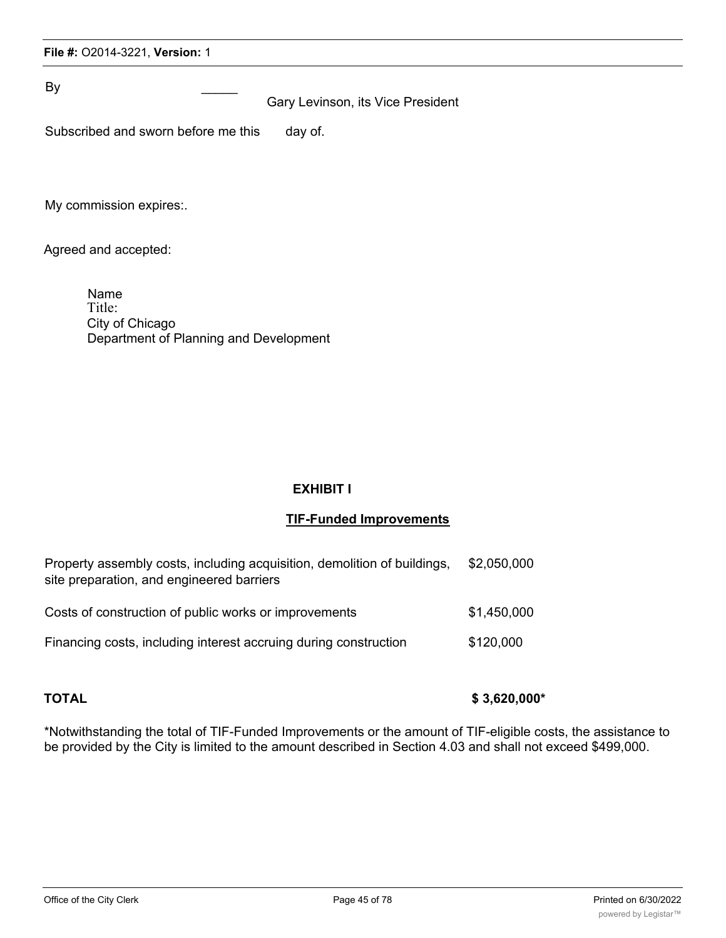By \_\_\_\_\_

Gary Levinson, its Vice President

| Subscribed and sworn before me this |  |  |  | day of. |
|-------------------------------------|--|--|--|---------|
|-------------------------------------|--|--|--|---------|

My commission expires:.

Agreed and accepted:

Name Title: City of Chicago Department of Planning and Development

### **EXHIBIT I**

### **TIF-Funded Improvements**

| Property assembly costs, including acquisition, demolition of buildings,<br>site preparation, and engineered barriers | \$2,050,000 |
|-----------------------------------------------------------------------------------------------------------------------|-------------|
| Costs of construction of public works or improvements                                                                 | \$1,450,000 |
| Financing costs, including interest accruing during construction                                                      | \$120,000   |

**TOTAL \$ 3,620,000\***

\*Notwithstanding the total of TIF-Funded Improvements or the amount of TIF-eligible costs, the assistance to be provided by the City is limited to the amount described in Section 4.03 and shall not exceed \$499,000.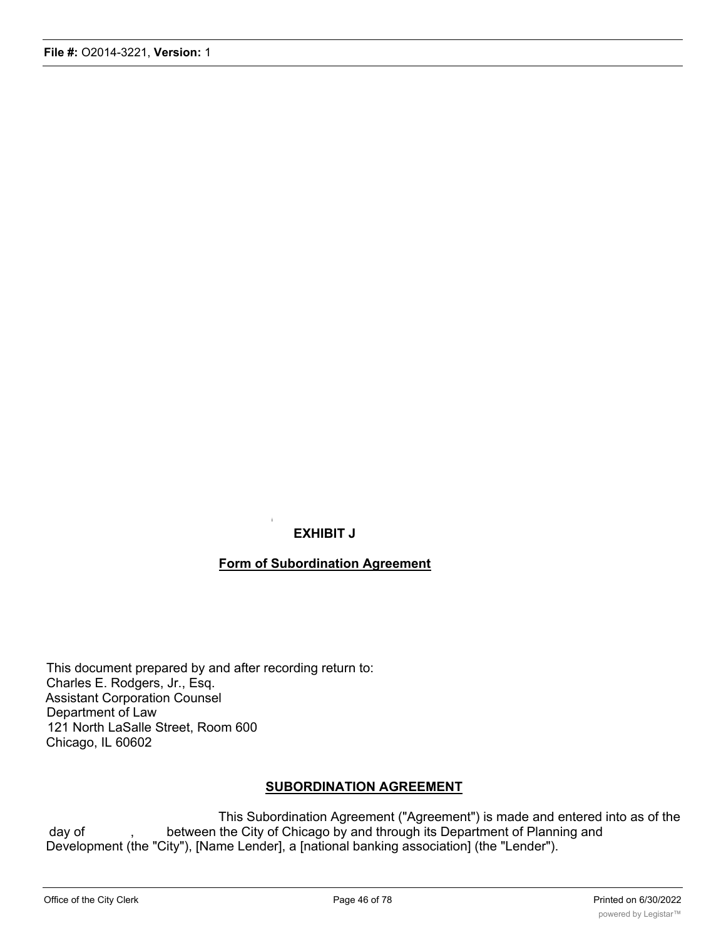### **EXHIBIT J**

i

### **Form of Subordination Agreement**

This document prepared by and after recording return to: Charles E. Rodgers, Jr., Esq. Assistant Corporation Counsel Department of Law 121 North LaSalle Street, Room 600 Chicago, IL 60602

### **SUBORDINATION AGREEMENT**

This Subordination Agreement ("Agreement") is made and entered into as of the day of , between the City of Chicago by and through its Department of Planning and Development (the "City"), [Name Lender], a [national banking association] (the "Lender").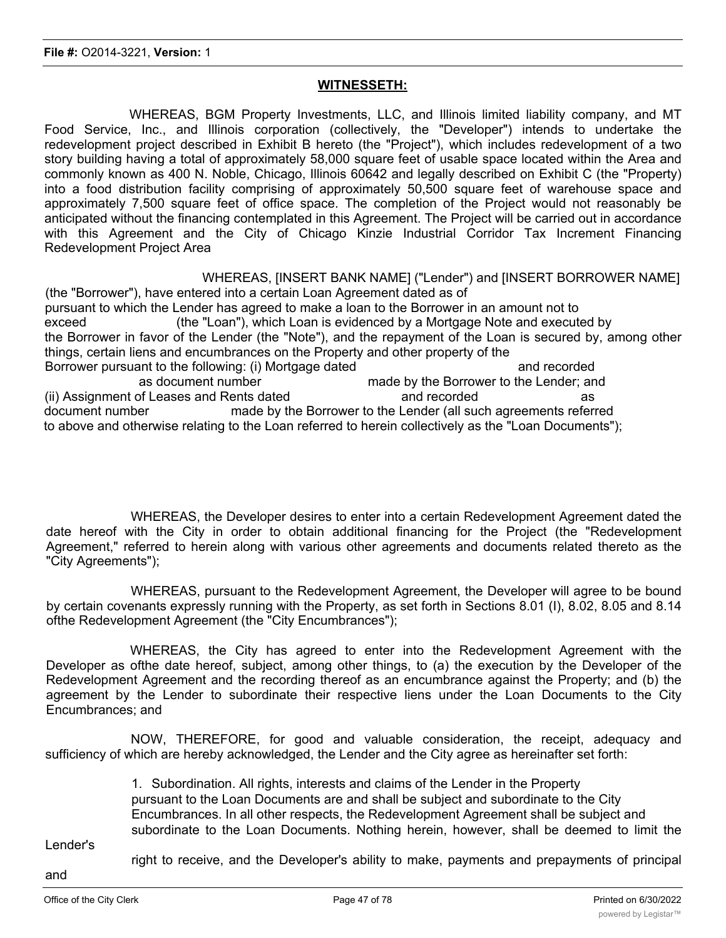### **WITNESSETH:**

WHEREAS, BGM Property Investments, LLC, and Illinois limited liability company, and MT Food Service, Inc., and Illinois corporation (collectively, the "Developer") intends to undertake the redevelopment project described in Exhibit B hereto (the "Project"), which includes redevelopment of a two story building having a total of approximately 58,000 square feet of usable space located within the Area and commonly known as 400 N. Noble, Chicago, Illinois 60642 and legally described on Exhibit C (the "Property) into a food distribution facility comprising of approximately 50,500 square feet of warehouse space and approximately 7,500 square feet of office space. The completion of the Project would not reasonably be anticipated without the financing contemplated in this Agreement. The Project will be carried out in accordance with this Agreement and the City of Chicago Kinzie Industrial Corridor Tax Increment Financing Redevelopment Project Area

WHEREAS, [INSERT BANK NAME] ("Lender") and [INSERT BORROWER NAME]

(the "Borrower"), have entered into a certain Loan Agreement dated as of pursuant to which the Lender has agreed to make a loan to the Borrower in an amount not to exceed (the "Loan"), which Loan is evidenced by a Mortgage Note and executed by the Borrower in favor of the Lender (the "Note"), and the repayment of the Loan is secured by, among other things, certain liens and encumbrances on the Property and other property of the Borrower pursuant to the following: (i) Mortgage dated and recorded and recorded as document number made by the Borrower to the Lender; and (ii) Assignment of Leases and Rents dated and recorded and recorded as document number made by the Borrower to the Lender (all such agreements referred to above and otherwise relating to the Loan referred to herein collectively as the "Loan Documents");

WHEREAS, the Developer desires to enter into a certain Redevelopment Agreement dated the date hereof with the City in order to obtain additional financing for the Project (the "Redevelopment Agreement," referred to herein along with various other agreements and documents related thereto as the "City Agreements");

WHEREAS, pursuant to the Redevelopment Agreement, the Developer will agree to be bound by certain covenants expressly running with the Property, as set forth in Sections 8.01 (I), 8.02, 8.05 and 8.14 ofthe Redevelopment Agreement (the "City Encumbrances");

WHEREAS, the City has agreed to enter into the Redevelopment Agreement with the Developer as ofthe date hereof, subject, among other things, to (a) the execution by the Developer of the Redevelopment Agreement and the recording thereof as an encumbrance against the Property; and (b) the agreement by the Lender to subordinate their respective liens under the Loan Documents to the City Encumbrances; and

NOW, THEREFORE, for good and valuable consideration, the receipt, adequacy and sufficiency of which are hereby acknowledged, the Lender and the City agree as hereinafter set forth:

> 1. Subordination. All rights, interests and claims of the Lender in the Property pursuant to the Loan Documents are and shall be subject and subordinate to the City Encumbrances. In all other respects, the Redevelopment Agreement shall be subject and subordinate to the Loan Documents. Nothing herein, however, shall be deemed to limit the

Lender's

right to receive, and the Developer's ability to make, payments and prepayments of principal

and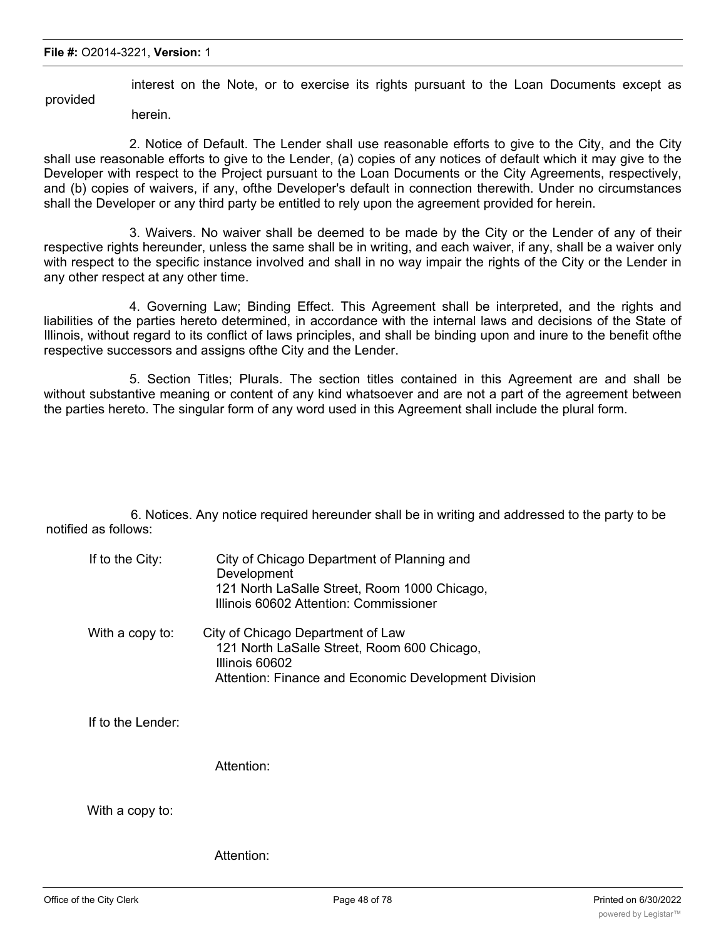interest on the Note, or to exercise its rights pursuant to the Loan Documents except as provided

herein.

2. Notice of Default. The Lender shall use reasonable efforts to give to the City, and the City shall use reasonable efforts to give to the Lender, (a) copies of any notices of default which it may give to the Developer with respect to the Project pursuant to the Loan Documents or the City Agreements, respectively, and (b) copies of waivers, if any, ofthe Developer's default in connection therewith. Under no circumstances shall the Developer or any third party be entitled to rely upon the agreement provided for herein.

3. Waivers. No waiver shall be deemed to be made by the City or the Lender of any of their respective rights hereunder, unless the same shall be in writing, and each waiver, if any, shall be a waiver only with respect to the specific instance involved and shall in no way impair the rights of the City or the Lender in any other respect at any other time.

4. Governing Law; Binding Effect. This Agreement shall be interpreted, and the rights and liabilities of the parties hereto determined, in accordance with the internal laws and decisions of the State of Illinois, without regard to its conflict of laws principles, and shall be binding upon and inure to the benefit ofthe respective successors and assigns ofthe City and the Lender.

5. Section Titles; Plurals. The section titles contained in this Agreement are and shall be without substantive meaning or content of any kind whatsoever and are not a part of the agreement between the parties hereto. The singular form of any word used in this Agreement shall include the plural form.

6. Notices. Any notice required hereunder shall be in writing and addressed to the party to be notified as follows:

| If to the City: | City of Chicago Department of Planning and<br>Development<br>121 North LaSalle Street, Room 1000 Chicago,<br>Illinois 60602 Attention: Commissioner        |
|-----------------|------------------------------------------------------------------------------------------------------------------------------------------------------------|
| With a copy to: | City of Chicago Department of Law<br>121 North LaSalle Street, Room 600 Chicago,<br>Illinois 60602<br>Attention: Finance and Economic Development Division |

If to the Lender:

Attention:

With a copy to:

Attention: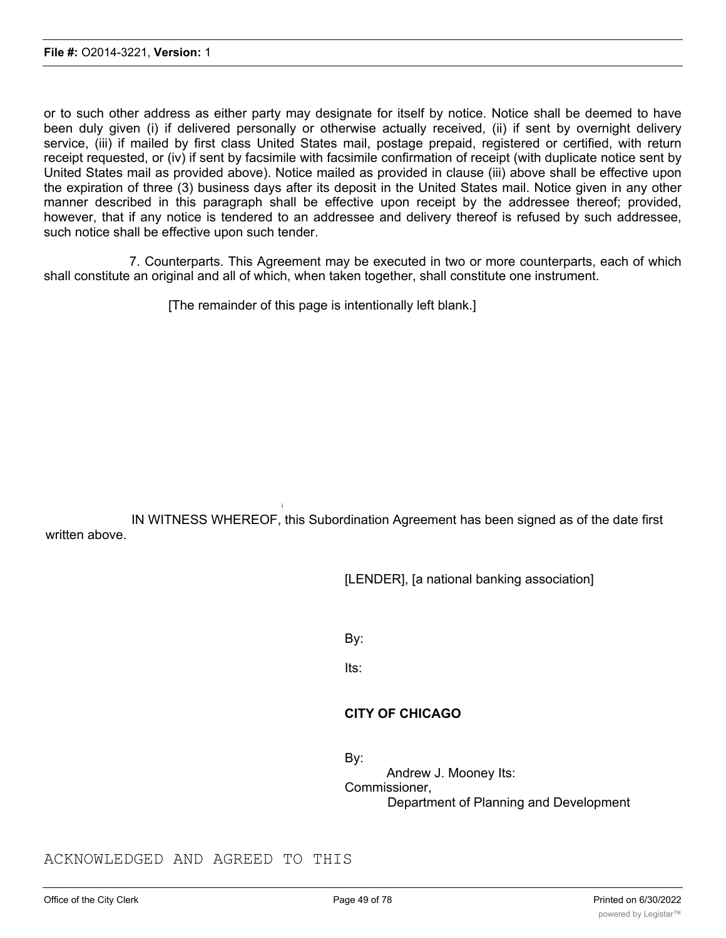or to such other address as either party may designate for itself by notice. Notice shall be deemed to have been duly given (i) if delivered personally or otherwise actually received, (ii) if sent by overnight delivery service, (iii) if mailed by first class United States mail, postage prepaid, registered or certified, with return receipt requested, or (iv) if sent by facsimile with facsimile confirmation of receipt (with duplicate notice sent by United States mail as provided above). Notice mailed as provided in clause (iii) above shall be effective upon the expiration of three (3) business days after its deposit in the United States mail. Notice given in any other manner described in this paragraph shall be effective upon receipt by the addressee thereof; provided, however, that if any notice is tendered to an addressee and delivery thereof is refused by such addressee, such notice shall be effective upon such tender.

7. Counterparts. This Agreement may be executed in two or more counterparts, each of which shall constitute an original and all of which, when taken together, shall constitute one instrument.

[The remainder of this page is intentionally left blank.]

IN WITNESS WHEREOF, this Subordination Agreement has been signed as of the date first written above.

i

[LENDER], [a national banking association]

By:

Its:

### **CITY OF CHICAGO**

By:

Andrew J. Mooney Its: Commissioner, Department of Planning and Development

ACKNOWLEDGED AND AGREED TO THIS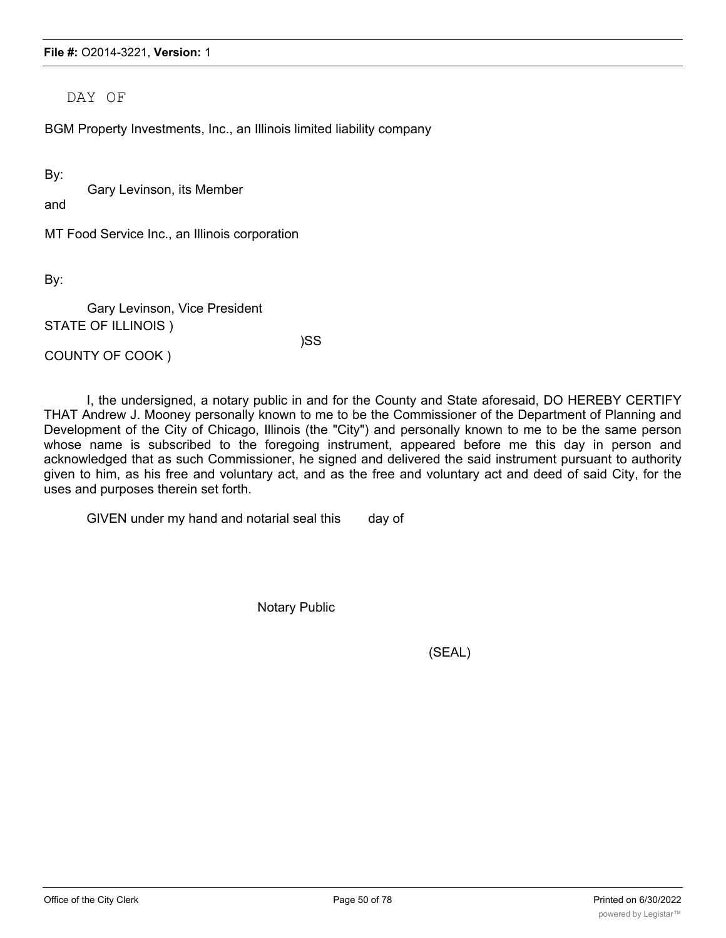DAY OF

BGM Property Investments, Inc., an Illinois limited liability company

By:

Gary Levinson, its Member

and

MT Food Service Inc., an Illinois corporation

By:

Gary Levinson, Vice President STATE OF ILLINOIS )

)SS

COUNTY OF COOK )

I, the undersigned, a notary public in and for the County and State aforesaid, DO HEREBY CERTIFY THAT Andrew J. Mooney personally known to me to be the Commissioner of the Department of Planning and Development of the City of Chicago, Illinois (the "City") and personally known to me to be the same person whose name is subscribed to the foregoing instrument, appeared before me this day in person and acknowledged that as such Commissioner, he signed and delivered the said instrument pursuant to authority given to him, as his free and voluntary act, and as the free and voluntary act and deed of said City, for the uses and purposes therein set forth.

GIVEN under my hand and notarial seal this day of

Notary Public

(SEAL)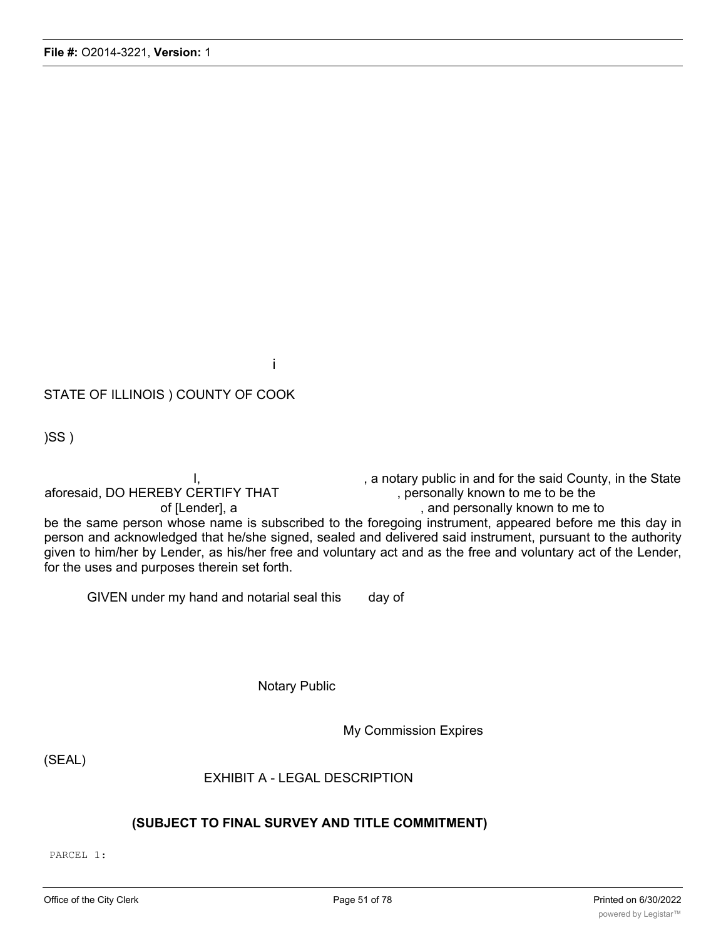### i

## STATE OF ILLINOIS ) COUNTY OF COOK

)SS )

I, state of the said County, in the State in and for the said County, in the State aforesaid, DO HEREBY CERTIFY THAT , personally known to me to be the of [Lender], a strategies of [Lender], a strategies of [Lender], and personally known to me to be the same person whose name is subscribed to the foregoing instrument, appeared before me this day in person and acknowledged that he/she signed, sealed and delivered said instrument, pursuant to the authority given to him/her by Lender, as his/her free and voluntary act and as the free and voluntary act of the Lender, for the uses and purposes therein set forth.

GIVEN under my hand and notarial seal this day of

Notary Public

My Commission Expires

(SEAL)

EXHIBIT A - LEGAL DESCRIPTION

### **(SUBJECT TO FINAL SURVEY AND TITLE COMMITMENT)**

PARCEL 1: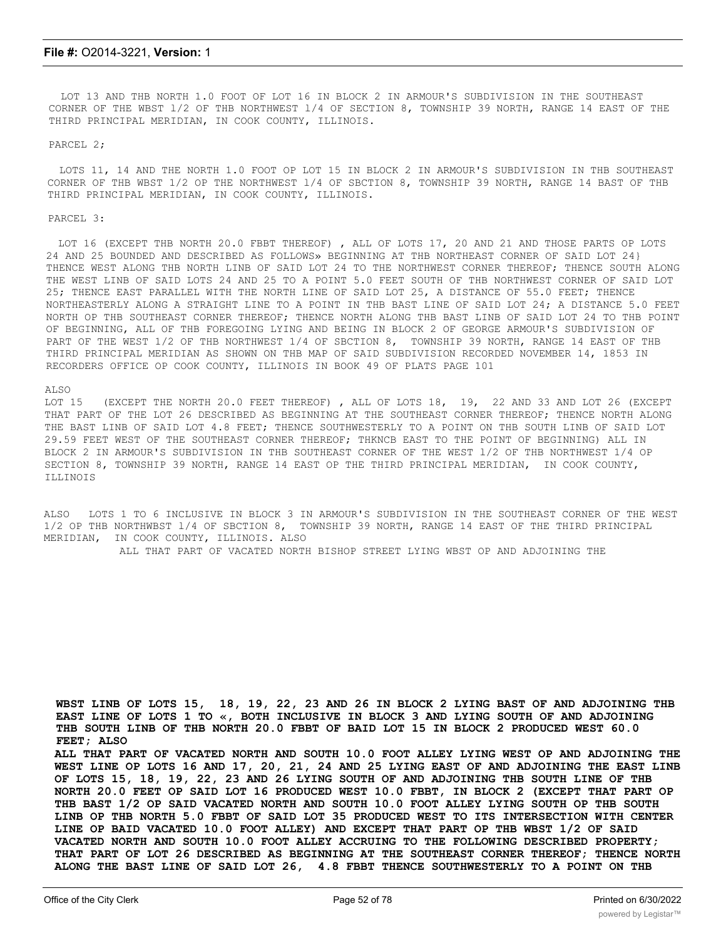LOT 13 AND THB NORTH 1.0 FOOT OF LOT 16 IN BLOCK 2 IN ARMOUR'S SUBDIVISION IN THE SOUTHEAST CORNER OF THE WBST l/2 OF THB NORTHWEST l/4 OF SECTION 8, TOWNSHIP 39 NORTH, RANGE 14 EAST OF THE THIRD PRINCIPAL MERIDIAN, IN COOK COUNTY, ILLINOIS.

PARCEL 2;

LOTS 11, 14 AND THE NORTH 1.0 FOOT OP LOT 15 IN BLOCK 2 IN ARMOUR'S SUBDIVISION IN THB SOUTHEAST CORNER OF THB WBST 1/2 OP THE NORTHWEST l/4 OF SBCTION 8, TOWNSHIP 39 NORTH, RANGE 14 BAST OF THB THIRD PRINCIPAL MERIDIAN, IN COOK COUNTY, ILLINOIS.

#### PARCEL 3:

LOT 16 (EXCEPT THB NORTH 20.0 FBBT THEREOF) , ALL OF LOTS 17, 20 AND 21 AND THOSE PARTS OP LOTS 24 AND 25 BOUNDED AND DESCRIBED AS FOLLOWS» BEGINNING AT THB NORTHEAST CORNER OF SAID LOT 24} THENCE WEST ALONG THB NORTH LINB OF SAID LOT 24 TO THE NORTHWEST CORNER THEREOF; THENCE SOUTH ALONG THE WEST LINB OF SAID LOTS 24 AND 25 TO A POINT 5.0 FEET SOUTH OF THB NORTHWEST CORNER OF SAID LOT 25; THENCE EAST PARALLEL WITH THE NORTH LINE OF SAID LOT 25, A DISTANCE OF 55.0 FEET; THENCE NORTHEASTERLY ALONG A STRAIGHT LINE TO A POINT IN THB BAST LINE OF SAID LOT 24; A DISTANCE 5.0 FEET NORTH OP THB SOUTHEAST CORNER THEREOF; THENCE NORTH ALONG THB BAST LINB OF SAID LOT 24 TO THB POINT OF BEGINNING, ALL OF THB FOREGOING LYING AND BEING IN BLOCK 2 OF GEORGE ARMOUR'S SUBDIVISION OF PART OF THE WEST 1/2 OF THB NORTHWEST 1/4 OF SBCTION 8, TOWNSHIP 39 NORTH, RANGE 14 EAST OF THB THIRD PRINCIPAL MERIDIAN AS SHOWN ON THB MAP OF SAID SUBDIVISION RECORDED NOVEMBER 14, 1853 IN RECORDERS OFFICE OP COOK COUNTY, ILLINOIS IN BOOK 49 OF PLATS PAGE 101

#### ALSO

LOT 15 (EXCEPT THE NORTH 20.0 FEET THEREOF), ALL OF LOTS 18, 19, 22 AND 33 AND LOT 26 (EXCEPT THAT PART OF THE LOT 26 DESCRIBED AS BEGINNING AT THE SOUTHEAST CORNER THEREOF; THENCE NORTH ALONG THE BAST LINB OF SAID LOT 4.8 FEET; THENCE SOUTHWESTERLY TO A POINT ON THB SOUTH LINB OF SAID LOT 29.59 FEET WEST OF THE SOUTHEAST CORNER THEREOF; THKNCB EAST TO THE POINT OF BEGINNING) ALL IN BLOCK 2 IN ARMOUR'S SUBDIVISION IN THB SOUTHEAST CORNER OF THE WEST l/2 OF THB NORTHWEST 1/4 OP SECTION 8, TOWNSHIP 39 NORTH, RANGE 14 EAST OP THE THIRD PRINCIPAL MERIDIAN, IN COOK COUNTY, ILLINOIS

ALSO LOTS 1 TO 6 INCLUSIVE IN BLOCK 3 IN ARMOUR'S SUBDIVISION IN THE SOUTHEAST CORNER OF THE WEST 1/2 OP THB NORTHWBST l/4 OF SBCTION 8, TOWNSHIP 39 NORTH, RANGE 14 EAST OF THE THIRD PRINCIPAL MERIDIAN, IN COOK COUNTY, ILLINOIS. ALSO

ALL THAT PART OF VACATED NORTH BISHOP STREET LYING WBST OP AND ADJOINING THE

**WBST LINB OF LOTS 15, 18, 19, 22, 23 AND 26 IN BLOCK 2 LYING BAST OF AND ADJOINING THB EAST LINE OF LOTS 1 TO «, BOTH INCLUSIVE IN BLOCK 3 AND LYING SOUTH OF AND ADJOINING THB SOUTH LINB OF THB NORTH 20.0 FBBT OF BAID LOT 15 IN BLOCK 2 PRODUCED WEST 60.0 FEET; ALSO**

**ALL THAT PART OF VACATED NORTH AND SOUTH 10.0 FOOT ALLEY LYING WEST OP AND ADJOINING THE WEST LINE OP LOTS 16 AND 17, 20, 21, 24 AND 25 LYING EAST OF AND ADJOINING THE EAST LINB OF LOTS 15, 18, 19, 22, 23 AND 26 LYING SOUTH OF AND ADJOINING THB SOUTH LINE OF THB NORTH 20.0 FEET OP SAID LOT 16 PRODUCED WEST 10.0 FBBT, IN BLOCK 2 (EXCEPT THAT PART OP THB BAST 1/2 OP SAID VACATED NORTH AND SOUTH 10.0 FOOT ALLEY LYING SOUTH OP THB SOUTH LINB OP THB NORTH 5.0 FBBT OF SAID LOT 35 PRODUCED WEST TO ITS INTERSECTION WITH CENTER LINE OP BAID VACATED 10.0 FOOT ALLEY) AND EXCEPT THAT PART OP THB WBST 1/2 OF SAID VACATED NORTH AND SOUTH 10.0 FOOT ALLEY ACCRUING TO THE FOLLOWING DESCRIBED PROPERTY; THAT PART OF LOT 26 DESCRIBED AS BEGINNING AT THE SOUTHEAST CORNER THEREOF; THENCE NORTH ALONG THE BAST LINE OF SAID LOT 26, 4.8 FBBT THENCE SOUTHWESTERLY TO A POINT ON THB**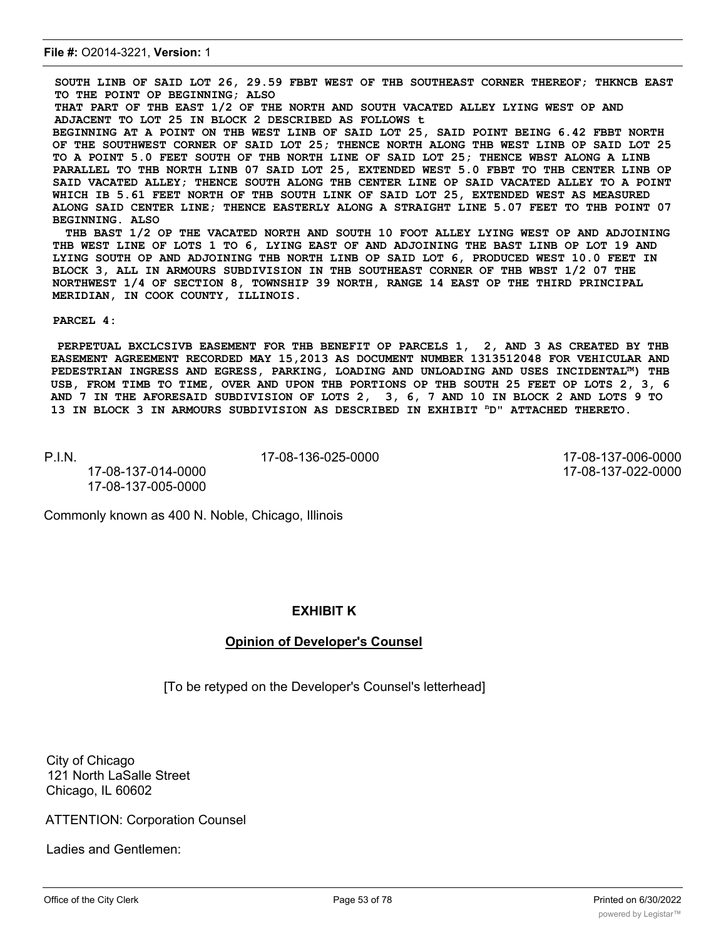**SOUTH LINB OF SAID LOT 26, 29.59 FBBT WEST OF THB SOUTHEAST CORNER THEREOF; THKNCB EAST TO THE POINT OP BEGINNING; ALSO THAT PART OF THB EAST 1/2 OF THE NORTH AND SOUTH VACATED ALLEY LYING WEST OP AND ADJACENT TO LOT 25 IN BLOCK 2 DESCRIBED AS FOLLOWS t BEGINNING AT A POINT ON THB WEST LINB OF SAID LOT 25, SAID POINT BEING 6.42 FBBT NORTH OF THE SOUTHWEST CORNER OF SAID LOT 25; THENCE NORTH ALONG THB WEST LINB OP SAID LOT 25 TO A POINT 5.0 FEET SOUTH OF THB NORTH LINE OF SAID LOT 25; THENCE WBST ALONG A LINB PARALLEL TO THB NORTH LINB 07 SAID LOT 25, EXTENDED WEST 5.0 FBBT TO THB CENTER LINB OP SAID VACATED ALLEY; THENCE SOUTH ALONG THB CENTER LINE OP SAID VACATED ALLEY TO A POINT WHICH IB 5.61 FEET NORTH OF THB SOUTH LINK OF SAID LOT 25, EXTENDED WEST AS MEASURED ALONG SAID CENTER LINE; THENCE EASTERLY ALONG A STRAIGHT LINE 5.07 FEET TO THB POINT 07 BEGINNING. ALSO**

**THB BAST 1/2 OP THE VACATED NORTH AND SOUTH 10 FOOT ALLEY LYING WEST OP AND ADJOINING THB WEST LINE OF LOTS 1 TO 6, LYING EAST OF AND ADJOINING THE BAST LINB OP LOT 19 AND LYING SOUTH OP AND ADJOINING THB NORTH LINB OP SAID LOT 6, PRODUCED WEST 10.0 FEET IN BLOCK 3, ALL IN ARMOURS SUBDIVISION IN THB SOUTHEAST CORNER OF THB WBST 1/2 07 THE NORTHWEST 1/4 OF SECTION 8, TOWNSHIP 39 NORTH, RANGE 14 EAST OP THE THIRD PRINCIPAL MERIDIAN, IN COOK COUNTY, ILLINOIS.**

#### **PARCEL 4:**

**PERPETUAL BXCLCSIVB EASEMENT FOR THB BENEFIT OP PARCELS 1, 2, AND 3 AS CREATED BY THB EASEMENT AGREEMENT RECORDED MAY 15,2013 AS DOCUMENT NUMBER 1313512048 FOR VEHICULAR AND PEDESTRIAN INGRESS AND EGRESS, PARKING, LOADING AND UNLOADING AND USES INCIDENTAL™) THB USB, FROM TIMB TO TIME, OVER AND UPON THB PORTIONS OP THB SOUTH 25 FEET OP LOTS 2, 3, 6 AND 7 IN THE AFORESAID SUBDIVISION OF LOTS 2, 3, 6, 7 AND 10 IN BLOCK 2 AND LOTS 9 TO 13 IN BLOCK 3 IN ARMOURS SUBDIVISION AS DESCRIBED IN EXHIBIT nD" ATTACHED THERETO.**

P.I.N. 17-08-136-025-0000 17-08-137-006-0000

17-08-137-014-0000 17-08-137-022-0000 17-08-137-005-0000

Commonly known as 400 N. Noble, Chicago, Illinois

### **EXHIBIT K**

#### **Opinion of Developer's Counsel**

[To be retyped on the Developer's Counsel's letterhead]

City of Chicago 121 North LaSalle Street Chicago, IL 60602

### ATTENTION: Corporation Counsel

Ladies and Gentlemen: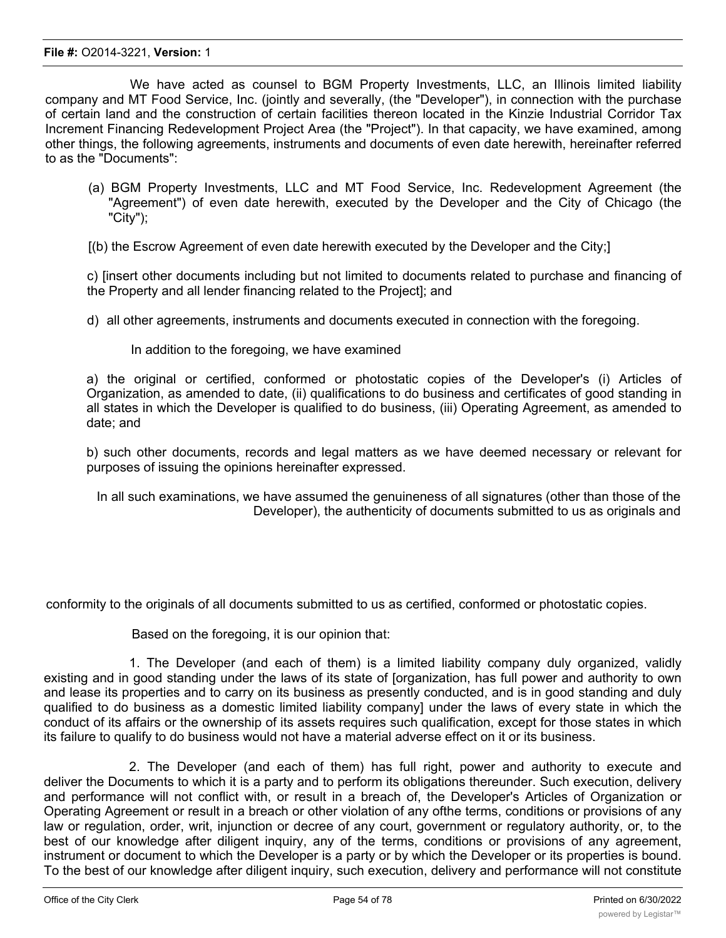We have acted as counsel to BGM Property Investments, LLC, an Illinois limited liability company and MT Food Service, Inc. (jointly and severally, (the "Developer"), in connection with the purchase of certain land and the construction of certain facilities thereon located in the Kinzie Industrial Corridor Tax Increment Financing Redevelopment Project Area (the "Project"). In that capacity, we have examined, among other things, the following agreements, instruments and documents of even date herewith, hereinafter referred to as the "Documents":

- (a) BGM Property Investments, LLC and MT Food Service, Inc. Redevelopment Agreement (the "Agreement") of even date herewith, executed by the Developer and the City of Chicago (the "City");
- [(b) the Escrow Agreement of even date herewith executed by the Developer and the City;]

c) [insert other documents including but not limited to documents related to purchase and financing of the Property and all lender financing related to the Project]; and

d) all other agreements, instruments and documents executed in connection with the foregoing.

In addition to the foregoing, we have examined

a) the original or certified, conformed or photostatic copies of the Developer's (i) Articles of Organization, as amended to date, (ii) qualifications to do business and certificates of good standing in all states in which the Developer is qualified to do business, (iii) Operating Agreement, as amended to date; and

b) such other documents, records and legal matters as we have deemed necessary or relevant for purposes of issuing the opinions hereinafter expressed.

In all such examinations, we have assumed the genuineness of all signatures (other than those of the Developer), the authenticity of documents submitted to us as originals and

conformity to the originals of all documents submitted to us as certified, conformed or photostatic copies.

Based on the foregoing, it is our opinion that:

1. The Developer (and each of them) is a limited liability company duly organized, validly existing and in good standing under the laws of its state of [organization, has full power and authority to own and lease its properties and to carry on its business as presently conducted, and is in good standing and duly qualified to do business as a domestic limited liability company] under the laws of every state in which the conduct of its affairs or the ownership of its assets requires such qualification, except for those states in which its failure to qualify to do business would not have a material adverse effect on it or its business.

2. The Developer (and each of them) has full right, power and authority to execute and deliver the Documents to which it is a party and to perform its obligations thereunder. Such execution, delivery and performance will not conflict with, or result in a breach of, the Developer's Articles of Organization or Operating Agreement or result in a breach or other violation of any ofthe terms, conditions or provisions of any law or regulation, order, writ, injunction or decree of any court, government or regulatory authority, or, to the best of our knowledge after diligent inquiry, any of the terms, conditions or provisions of any agreement, instrument or document to which the Developer is a party or by which the Developer or its properties is bound. To the best of our knowledge after diligent inquiry, such execution, delivery and performance will not constitute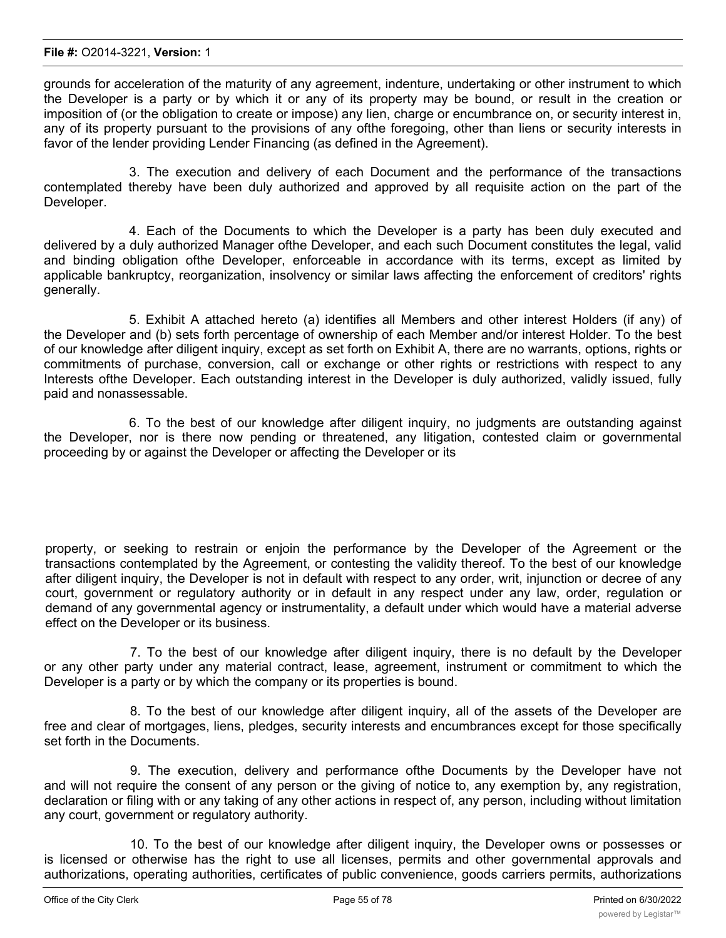grounds for acceleration of the maturity of any agreement, indenture, undertaking or other instrument to which the Developer is a party or by which it or any of its property may be bound, or result in the creation or imposition of (or the obligation to create or impose) any lien, charge or encumbrance on, or security interest in, any of its property pursuant to the provisions of any ofthe foregoing, other than liens or security interests in favor of the lender providing Lender Financing (as defined in the Agreement).

3. The execution and delivery of each Document and the performance of the transactions contemplated thereby have been duly authorized and approved by all requisite action on the part of the Developer.

4. Each of the Documents to which the Developer is a party has been duly executed and delivered by a duly authorized Manager ofthe Developer, and each such Document constitutes the legal, valid and binding obligation ofthe Developer, enforceable in accordance with its terms, except as limited by applicable bankruptcy, reorganization, insolvency or similar laws affecting the enforcement of creditors' rights generally.

5. Exhibit A attached hereto (a) identifies all Members and other interest Holders (if any) of the Developer and (b) sets forth percentage of ownership of each Member and/or interest Holder. To the best of our knowledge after diligent inquiry, except as set forth on Exhibit A, there are no warrants, options, rights or commitments of purchase, conversion, call or exchange or other rights or restrictions with respect to any Interests ofthe Developer. Each outstanding interest in the Developer is duly authorized, validly issued, fully paid and nonassessable.

6. To the best of our knowledge after diligent inquiry, no judgments are outstanding against the Developer, nor is there now pending or threatened, any litigation, contested claim or governmental proceeding by or against the Developer or affecting the Developer or its

property, or seeking to restrain or enjoin the performance by the Developer of the Agreement or the transactions contemplated by the Agreement, or contesting the validity thereof. To the best of our knowledge after diligent inquiry, the Developer is not in default with respect to any order, writ, injunction or decree of any court, government or regulatory authority or in default in any respect under any law, order, regulation or demand of any governmental agency or instrumentality, a default under which would have a material adverse effect on the Developer or its business.

7. To the best of our knowledge after diligent inquiry, there is no default by the Developer or any other party under any material contract, lease, agreement, instrument or commitment to which the Developer is a party or by which the company or its properties is bound.

8. To the best of our knowledge after diligent inquiry, all of the assets of the Developer are free and clear of mortgages, liens, pledges, security interests and encumbrances except for those specifically set forth in the Documents.

9. The execution, delivery and performance ofthe Documents by the Developer have not and will not require the consent of any person or the giving of notice to, any exemption by, any registration, declaration or filing with or any taking of any other actions in respect of, any person, including without limitation any court, government or regulatory authority.

10. To the best of our knowledge after diligent inquiry, the Developer owns or possesses or is licensed or otherwise has the right to use all licenses, permits and other governmental approvals and authorizations, operating authorities, certificates of public convenience, goods carriers permits, authorizations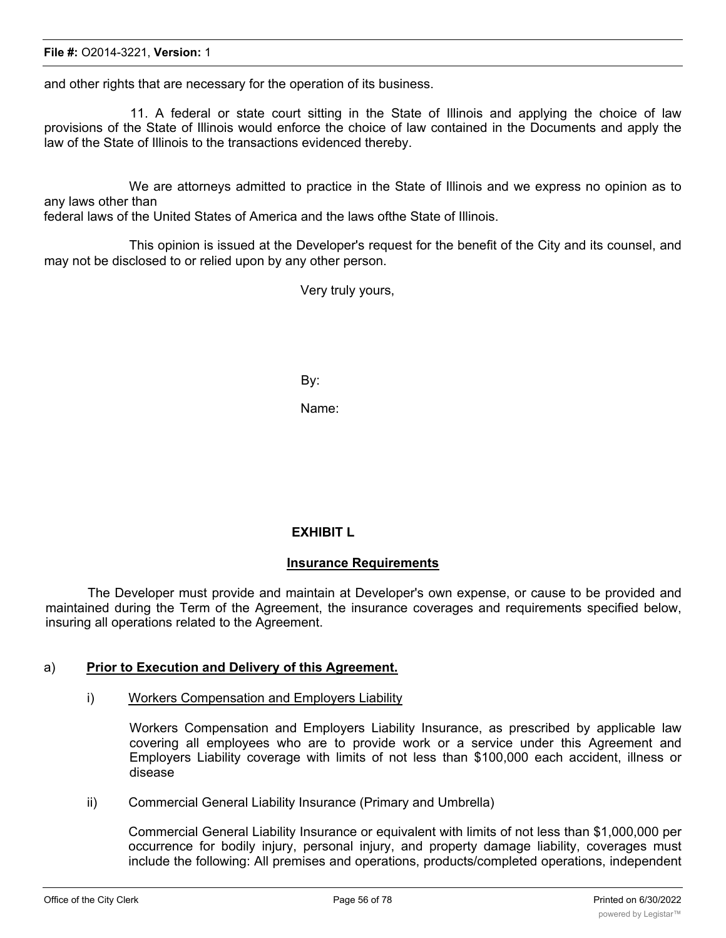and other rights that are necessary for the operation of its business.

11. A federal or state court sitting in the State of Illinois and applying the choice of law provisions of the State of Illinois would enforce the choice of law contained in the Documents and apply the law of the State of Illinois to the transactions evidenced thereby.

We are attorneys admitted to practice in the State of Illinois and we express no opinion as to any laws other than

federal laws of the United States of America and the laws ofthe State of Illinois.

This opinion is issued at the Developer's request for the benefit of the City and its counsel, and may not be disclosed to or relied upon by any other person.

Very truly yours,

By:

Name:

### **EXHIBIT L**

### **Insurance Requirements**

The Developer must provide and maintain at Developer's own expense, or cause to be provided and maintained during the Term of the Agreement, the insurance coverages and requirements specified below, insuring all operations related to the Agreement.

### a) **Prior to Execution and Delivery of this Agreement.**

i) Workers Compensation and Employers Liability

Workers Compensation and Employers Liability Insurance, as prescribed by applicable law covering all employees who are to provide work or a service under this Agreement and Employers Liability coverage with limits of not less than \$100,000 each accident, illness or disease

ii) Commercial General Liability Insurance (Primary and Umbrella)

Commercial General Liability Insurance or equivalent with limits of not less than \$1,000,000 per occurrence for bodily injury, personal injury, and property damage liability, coverages must include the following: All premises and operations, products/completed operations, independent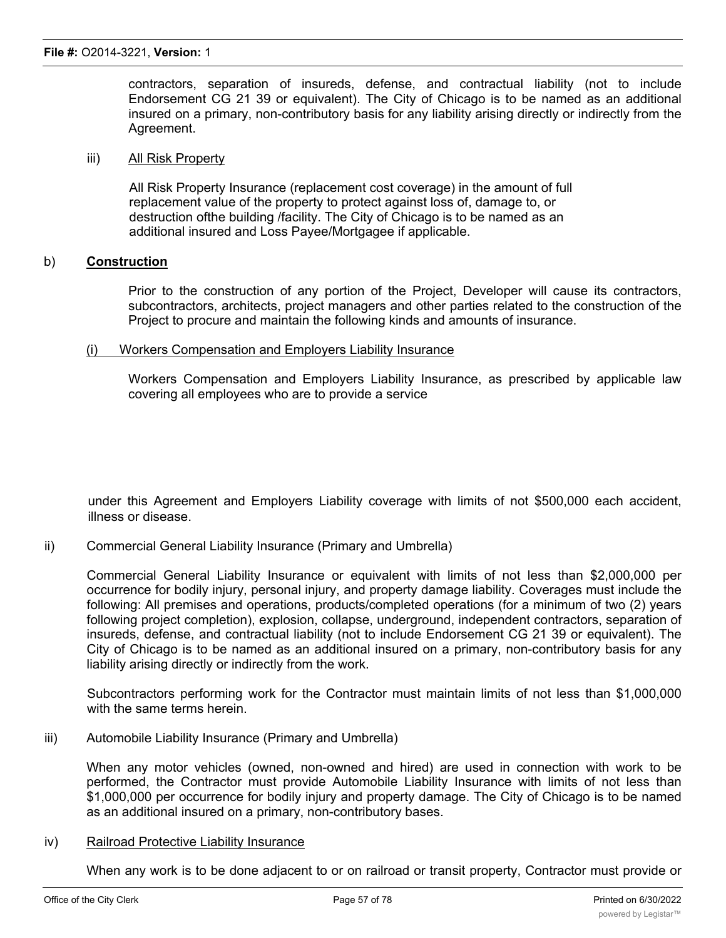contractors, separation of insureds, defense, and contractual liability (not to include Endorsement CG 21 39 or equivalent). The City of Chicago is to be named as an additional insured on a primary, non-contributory basis for any liability arising directly or indirectly from the Agreement.

### iii) All Risk Property

All Risk Property Insurance (replacement cost coverage) in the amount of full replacement value of the property to protect against loss of, damage to, or destruction ofthe building /facility. The City of Chicago is to be named as an additional insured and Loss Payee/Mortgagee if applicable.

### b) **Construction**

Prior to the construction of any portion of the Project, Developer will cause its contractors, subcontractors, architects, project managers and other parties related to the construction of the Project to procure and maintain the following kinds and amounts of insurance.

### (i) Workers Compensation and Employers Liability Insurance

Workers Compensation and Employers Liability Insurance, as prescribed by applicable law covering all employees who are to provide a service

under this Agreement and Employers Liability coverage with limits of not \$500,000 each accident, illness or disease.

ii) Commercial General Liability Insurance (Primary and Umbrella)

Commercial General Liability Insurance or equivalent with limits of not less than \$2,000,000 per occurrence for bodily injury, personal injury, and property damage liability. Coverages must include the following: All premises and operations, products/completed operations (for a minimum of two (2) years following project completion), explosion, collapse, underground, independent contractors, separation of insureds, defense, and contractual liability (not to include Endorsement CG 21 39 or equivalent). The City of Chicago is to be named as an additional insured on a primary, non-contributory basis for any liability arising directly or indirectly from the work.

Subcontractors performing work for the Contractor must maintain limits of not less than \$1,000,000 with the same terms herein.

iii) Automobile Liability Insurance (Primary and Umbrella)

When any motor vehicles (owned, non-owned and hired) are used in connection with work to be performed, the Contractor must provide Automobile Liability Insurance with limits of not less than \$1,000,000 per occurrence for bodily injury and property damage. The City of Chicago is to be named as an additional insured on a primary, non-contributory bases.

### iv) Railroad Protective Liability Insurance

When any work is to be done adjacent to or on railroad or transit property, Contractor must provide or cause to be provided, with respect to the operations that the Contractor performs, Railroad Protective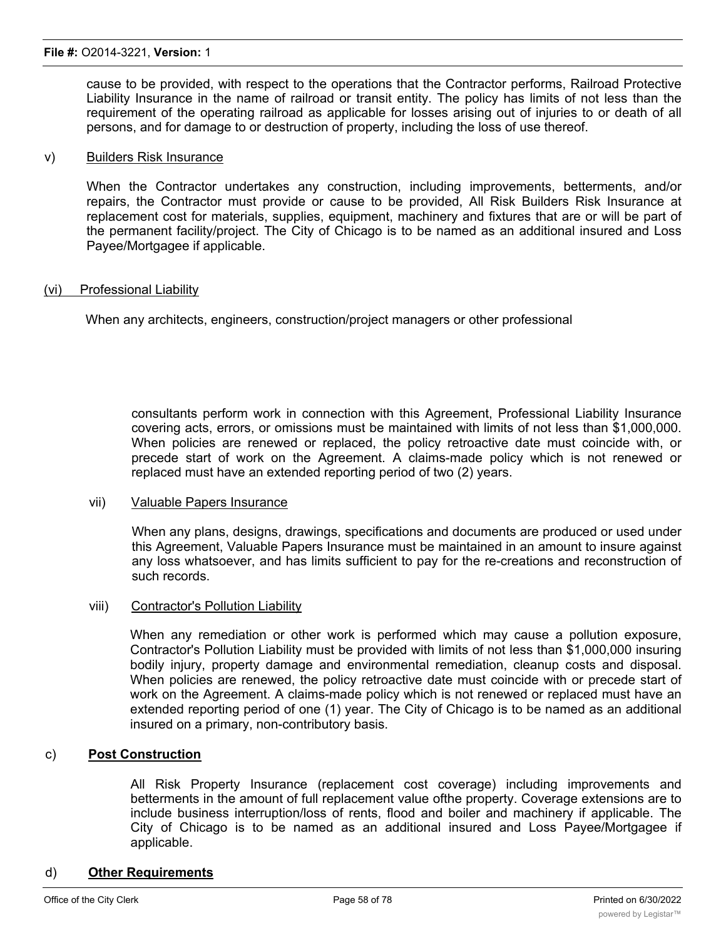cause to be provided, with respect to the operations that the Contractor performs, Railroad Protective Liability Insurance in the name of railroad or transit entity. The policy has limits of not less than the requirement of the operating railroad as applicable for losses arising out of injuries to or death of all persons, and for damage to or destruction of property, including the loss of use thereof.

### v) Builders Risk Insurance

When the Contractor undertakes any construction, including improvements, betterments, and/or repairs, the Contractor must provide or cause to be provided, All Risk Builders Risk Insurance at replacement cost for materials, supplies, equipment, machinery and fixtures that are or will be part of the permanent facility/project. The City of Chicago is to be named as an additional insured and Loss Payee/Mortgagee if applicable.

### (vi) Professional Liability

When any architects, engineers, construction/project managers or other professional

consultants perform work in connection with this Agreement, Professional Liability Insurance covering acts, errors, or omissions must be maintained with limits of not less than \$1,000,000. When policies are renewed or replaced, the policy retroactive date must coincide with, or precede start of work on the Agreement. A claims-made policy which is not renewed or replaced must have an extended reporting period of two (2) years.

#### vii) Valuable Papers Insurance

When any plans, designs, drawings, specifications and documents are produced or used under this Agreement, Valuable Papers Insurance must be maintained in an amount to insure against any loss whatsoever, and has limits sufficient to pay for the re-creations and reconstruction of such records.

#### viii) Contractor's Pollution Liability

When any remediation or other work is performed which may cause a pollution exposure, Contractor's Pollution Liability must be provided with limits of not less than \$1,000,000 insuring bodily injury, property damage and environmental remediation, cleanup costs and disposal. When policies are renewed, the policy retroactive date must coincide with or precede start of work on the Agreement. A claims-made policy which is not renewed or replaced must have an extended reporting period of one (1) year. The City of Chicago is to be named as an additional insured on a primary, non-contributory basis.

### c) **Post Construction**

All Risk Property Insurance (replacement cost coverage) including improvements and betterments in the amount of full replacement value ofthe property. Coverage extensions are to include business interruption/loss of rents, flood and boiler and machinery if applicable. The City of Chicago is to be named as an additional insured and Loss Payee/Mortgagee if applicable.

#### d) **Other Requirements**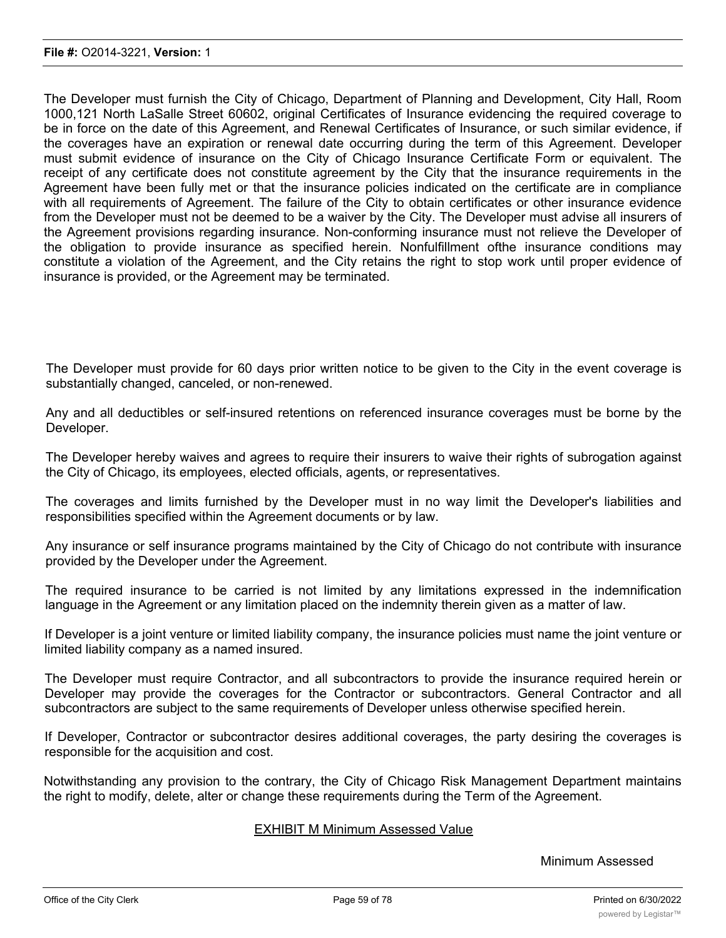The Developer must furnish the City of Chicago, Department of Planning and Development, City Hall, Room 1000,121 North LaSalle Street 60602, original Certificates of Insurance evidencing the required coverage to be in force on the date of this Agreement, and Renewal Certificates of Insurance, or such similar evidence, if the coverages have an expiration or renewal date occurring during the term of this Agreement. Developer must submit evidence of insurance on the City of Chicago Insurance Certificate Form or equivalent. The receipt of any certificate does not constitute agreement by the City that the insurance requirements in the Agreement have been fully met or that the insurance policies indicated on the certificate are in compliance with all requirements of Agreement. The failure of the City to obtain certificates or other insurance evidence from the Developer must not be deemed to be a waiver by the City. The Developer must advise all insurers of the Agreement provisions regarding insurance. Non-conforming insurance must not relieve the Developer of the obligation to provide insurance as specified herein. Nonfulfillment ofthe insurance conditions may constitute a violation of the Agreement, and the City retains the right to stop work until proper evidence of insurance is provided, or the Agreement may be terminated.

The Developer must provide for 60 days prior written notice to be given to the City in the event coverage is substantially changed, canceled, or non-renewed.

Any and all deductibles or self-insured retentions on referenced insurance coverages must be borne by the Developer.

The Developer hereby waives and agrees to require their insurers to waive their rights of subrogation against the City of Chicago, its employees, elected officials, agents, or representatives.

The coverages and limits furnished by the Developer must in no way limit the Developer's liabilities and responsibilities specified within the Agreement documents or by law.

Any insurance or self insurance programs maintained by the City of Chicago do not contribute with insurance provided by the Developer under the Agreement.

The required insurance to be carried is not limited by any limitations expressed in the indemnification language in the Agreement or any limitation placed on the indemnity therein given as a matter of law.

If Developer is a joint venture or limited liability company, the insurance policies must name the joint venture or limited liability company as a named insured.

The Developer must require Contractor, and all subcontractors to provide the insurance required herein or Developer may provide the coverages for the Contractor or subcontractors. General Contractor and all subcontractors are subject to the same requirements of Developer unless otherwise specified herein.

If Developer, Contractor or subcontractor desires additional coverages, the party desiring the coverages is responsible for the acquisition and cost.

Notwithstanding any provision to the contrary, the City of Chicago Risk Management Department maintains the right to modify, delete, alter or change these requirements during the Term of the Agreement.

### EXHIBIT M Minimum Assessed Value

Minimum Assessed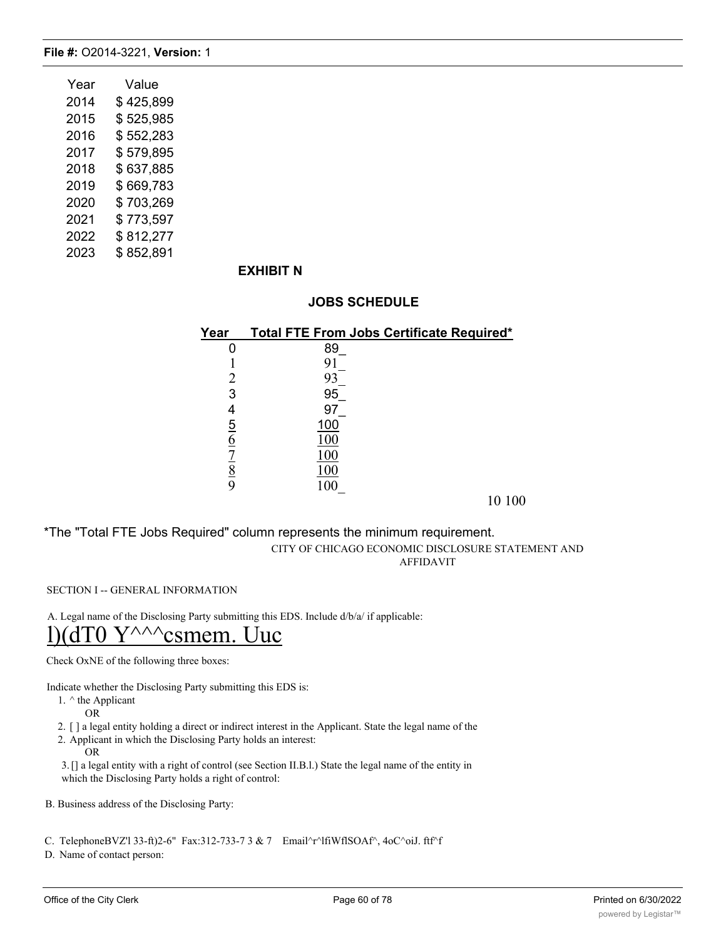| Year | Value     |
|------|-----------|
| 2014 | \$425,899 |
| 2015 | \$525,985 |
| 2016 | \$552,283 |
| 2017 | \$579,895 |
| 2018 | \$637,885 |
| 2019 | \$669,783 |
| 2020 | \$703,269 |
| 2021 | \$773,597 |
| 2022 | \$812,277 |
| 2023 | \$852,891 |

### **EXHIBIT N**

### **JOBS SCHEDULE**

| Year           | <b>Total FTE From Jobs Certificate Required*</b> |
|----------------|--------------------------------------------------|
|                | 89                                               |
|                |                                                  |
|                | 93                                               |
| 3              | 95                                               |
|                | 97                                               |
| $\overline{5}$ | 100                                              |
| <u>6</u>       | ГOС                                              |
| 7              | 100                                              |
| <u>8</u>       |                                                  |
|                |                                                  |

10 100

\*The "Total FTE Jobs Required" column represents the minimum requirement. CITY OF CHICAGO ECONOMIC DISCLOSURE STATEMENT AND AFFIDAVIT

SECTION I -- GENERAL INFORMATION

A. Legal name of the Disclosing Party submitting this EDS. Include d/b/a/ if applicable: l)(dT0  $Y^{\wedge\wedge\wedge}$ csmem. Uuc

Check OxNE of the following three boxes:

Indicate whether the Disclosing Party submitting this EDS is:

1. ^ the Applicant

OR

2. [ ] a legal entity holding a direct or indirect interest in the Applicant. State the legal name of the

2. Applicant in which the Disclosing Party holds an interest: OR

3.[] a legal entity with a right of control (see Section II.B.l.) State the legal name of the entity in which the Disclosing Party holds a right of control:

B. Business address of the Disclosing Party:

C. TelephoneBVZ'l 33-ft)2-6" Fax:312-733-7 3 & 7 Email^r^lfiWflSOAf^, 4oC^oiJ. ftf^f

D. Name of contact person: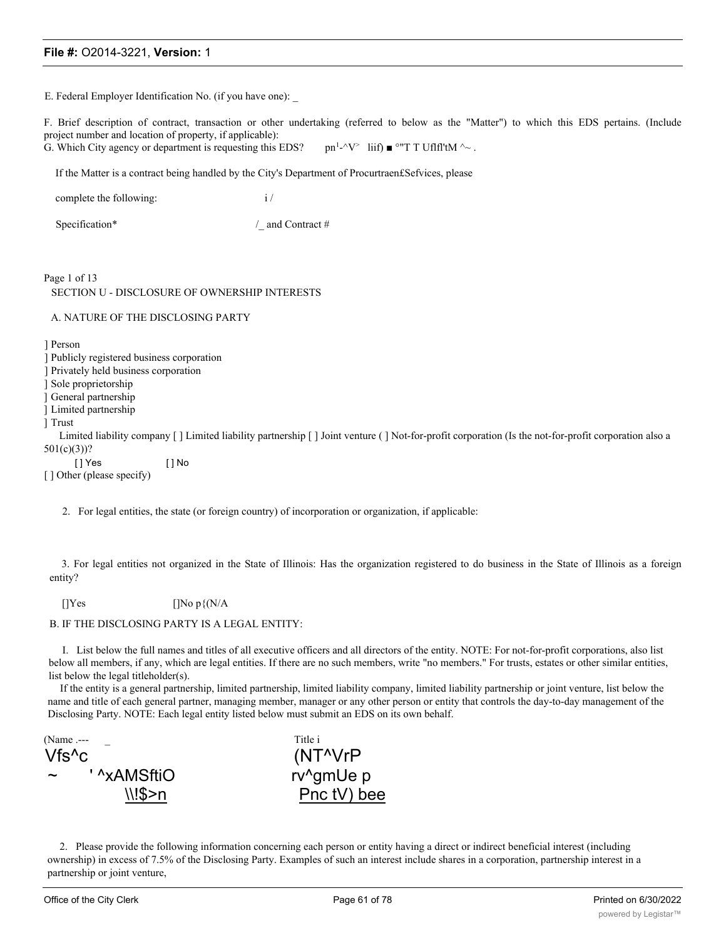E. Federal Employer Identification No. (if you have one):

F. Brief description of contract, transaction or other undertaking (referred to below as the "Matter") to which this EDS pertains. (Include project number and location of property, if applicable):

G. Which City agency or department is requesting this EDS?  $\text{pn}^1-\gamma^*$  liif)  $\blacksquare$  °"T T Uflfl'tM  $\sim$ .

If the Matter is a contract being handled by the City's Department of Procurtraen£Sefvices, please

| complete the following: |  |
|-------------------------|--|
|-------------------------|--|

Specification\* / and Contract #

Page 1 of 13 SECTION U - DISCLOSURE OF OWNERSHIP INTERESTS

#### A. NATURE OF THE DISCLOSING PARTY

] Person

- ] Publicly registered business corporation
- ] Privately held business corporation

] Sole proprietorship

] General partnership

] Limited partnership

] Trust

Limited liability company [ ] Limited liability partnership [ ] Joint venture ( ] Not-for-profit corporation (Is the not-for-profit corporation also a 501(c)(3))?

[ ] Yes [ ] No

[] Other (please specify)

2. For legal entities, the state (or foreign country) of incorporation or organization, if applicable:

3. For legal entities not organized in the State of Illinois: Has the organization registered to do business in the State of Illinois as a foreign entity?

[] $Yes$  [] $No p\{N/A\}$ 

#### B. IF THE DISCLOSING PARTY IS A LEGAL ENTITY:

I. List below the full names and titles of all executive officers and all directors of the entity. NOTE: For not-for-profit corporations, also list below all members, if any, which are legal entities. If there are no such members, write "no members." For trusts, estates or other similar entities, list below the legal titleholder(s).

If the entity is a general partnership, limited partnership, limited liability company, limited liability partnership or joint venture, list below the name and title of each general partner, managing member, manager or any other person or entity that controls the day-to-day management of the Disclosing Party. NOTE: Each legal entity listed below must submit an EDS on its own behalf.

(Name .--- Title i Vfs^c (NT^VrP ' ^xAMSftiO rv^gmUe p



2. Please provide the following information concerning each person or entity having a direct or indirect beneficial interest (including ownership) in excess of 7.5% of the Disclosing Party. Examples of such an interest include shares in a corporation, partnership interest in a partnership or joint venture,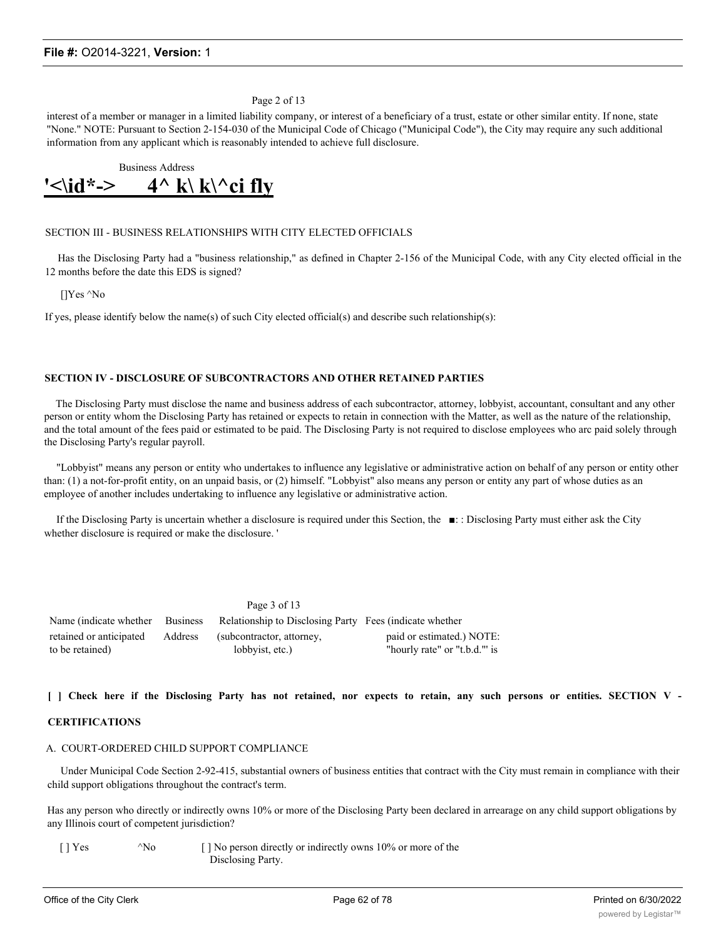Page 2 of 13

interest of a member or manager in a limited liability company, or interest of a beneficiary of a trust, estate or other similar entity. If none, state "None." NOTE: Pursuant to Section 2-154-030 of the Municipal Code of Chicago ("Municipal Code"), the City may require any such additional information from any applicant which is reasonably intended to achieve full disclosure.

Business Address  $\langle \delta \rangle$  \d<sup>\*</sup>-> 4^ k\ k\^ci fly

#### SECTION III - BUSINESS RELATIONSHIPS WITH CITY ELECTED OFFICIALS

Has the Disclosing Party had a "business relationship," as defined in Chapter 2-156 of the Municipal Code, with any City elected official in the 12 months before the date this EDS is signed?

[]Yes ^No

If yes, please identify below the name(s) of such City elected official(s) and describe such relationship(s):

#### **SECTION IV - DISCLOSURE OF SUBCONTRACTORS AND OTHER RETAINED PARTIES**

The Disclosing Party must disclose the name and business address of each subcontractor, attorney, lobbyist, accountant, consultant and any other person or entity whom the Disclosing Party has retained or expects to retain in connection with the Matter, as well as the nature of the relationship, and the total amount of the fees paid or estimated to be paid. The Disclosing Party is not required to disclose employees who arc paid solely through the Disclosing Party's regular payroll.

"Lobbyist" means any person or entity who undertakes to influence any legislative or administrative action on behalf of any person or entity other than: (1) a not-for-profit entity, on an unpaid basis, or (2) himself. "Lobbyist" also means any person or entity any part of whose duties as an employee of another includes undertaking to influence any legislative or administrative action.

If the Disclosing Party is uncertain whether a disclosure is required under this Section, the ■: : Disclosing Party must either ask the City whether disclosure is required or make the disclosure. '

|                                            |         | Page 3 of 13                                            |                                                           |
|--------------------------------------------|---------|---------------------------------------------------------|-----------------------------------------------------------|
| Name (indicate whether Business            |         | Relationship to Disclosing Party Fees (indicate whether |                                                           |
| retained or anticipated<br>to be retained) | Address | (subcontractor, attorney,<br>lobbyist, etc.)            | paid or estimated.) NOTE:<br>"hourly rate" or "t.b.d." is |

#### [ ] Check here if the Disclosing Party has not retained, nor expects to retain, any such persons or entities. SECTION V -

#### **CERTIFICATIONS**

#### A. COURT-ORDERED CHILD SUPPORT COMPLIANCE

Under Municipal Code Section 2-92-415, substantial owners of business entities that contract with the City must remain in compliance with their child support obligations throughout the contract's term.

Has any person who directly or indirectly owns 10% or more of the Disclosing Party been declared in arrearage on any child support obligations by any Illinois court of competent jurisdiction?

[ ] Yes ^No [ ] No person directly or indirectly owns 10% or more of the Disclosing Party.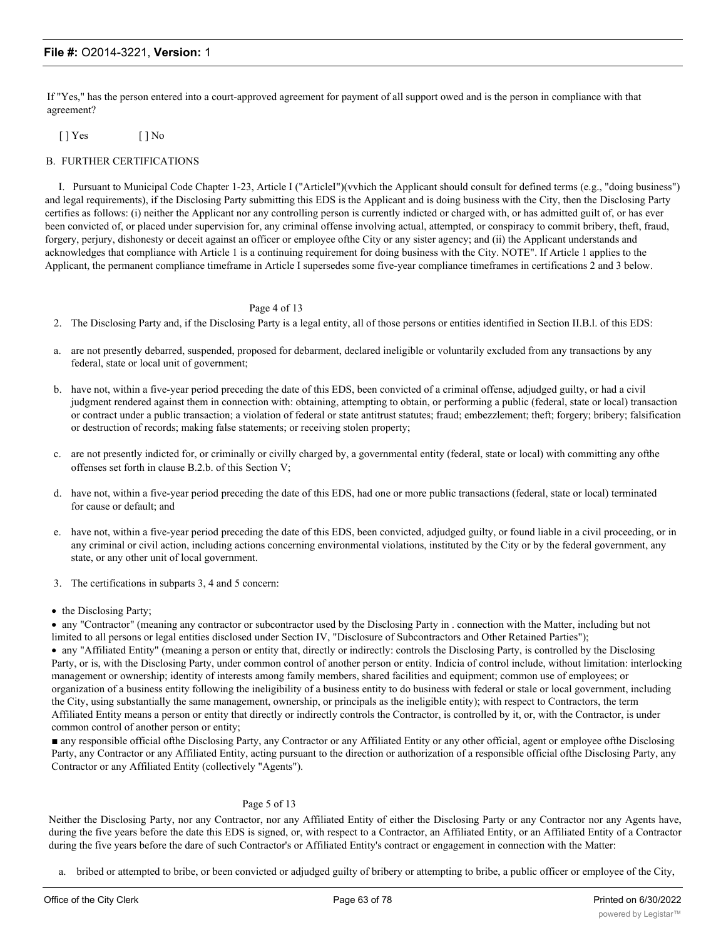If "Yes," has the person entered into a court-approved agreement for payment of all support owed and is the person in compliance with that agreement?

[ ] Yes [ ] No

#### B. FURTHER CERTIFICATIONS

I. Pursuant to Municipal Code Chapter 1-23, Article I ("ArticleI")(vvhich the Applicant should consult for defined terms (e.g., "doing business") and legal requirements), if the Disclosing Party submitting this EDS is the Applicant and is doing business with the City, then the Disclosing Party certifies as follows: (i) neither the Applicant nor any controlling person is currently indicted or charged with, or has admitted guilt of, or has ever been convicted of, or placed under supervision for, any criminal offense involving actual, attempted, or conspiracy to commit bribery, theft, fraud, forgery, perjury, dishonesty or deceit against an officer or employee ofthe City or any sister agency; and (ii) the Applicant understands and acknowledges that compliance with Article 1 is a continuing requirement for doing business with the City. NOTE". If Article 1 applies to the Applicant, the permanent compliance timeframe in Article I supersedes some five-year compliance timeframes in certifications 2 and 3 below.

#### Page 4 of 13

- 2. The Disclosing Party and, if the Disclosing Party is a legal entity, all of those persons or entities identified in Section II.B.l. of this EDS:
- a. are not presently debarred, suspended, proposed for debarment, declared ineligible or voluntarily excluded from any transactions by any federal, state or local unit of government;
- b. have not, within a five-year period preceding the date of this EDS, been convicted of a criminal offense, adjudged guilty, or had a civil judgment rendered against them in connection with: obtaining, attempting to obtain, or performing a public (federal, state or local) transaction or contract under a public transaction; a violation of federal or state antitrust statutes; fraud; embezzlement; theft; forgery; bribery; falsification or destruction of records; making false statements; or receiving stolen property;
- c. are not presently indicted for, or criminally or civilly charged by, a governmental entity (federal, state or local) with committing any ofthe offenses set forth in clause B.2.b. of this Section V;
- d. have not, within a five-year period preceding the date of this EDS, had one or more public transactions (federal, state or local) terminated for cause or default; and
- e. have not, within a five-year period preceding the date of this EDS, been convicted, adjudged guilty, or found liable in a civil proceeding, or in any criminal or civil action, including actions concerning environmental violations, instituted by the City or by the federal government, any state, or any other unit of local government.
- 3. The certifications in subparts 3, 4 and 5 concern:
- the Disclosing Party;

· any "Contractor" (meaning any contractor or subcontractor used by the Disclosing Party in . connection with the Matter, including but not limited to all persons or legal entities disclosed under Section IV, "Disclosure of Subcontractors and Other Retained Parties");

· any "Affiliated Entity" (meaning a person or entity that, directly or indirectly: controls the Disclosing Party, is controlled by the Disclosing Party, or is, with the Disclosing Party, under common control of another person or entity. Indicia of control include, without limitation: interlocking management or ownership; identity of interests among family members, shared facilities and equipment; common use of employees; or organization of a business entity following the ineligibility of a business entity to do business with federal or stale or local government, including the City, using substantially the same management, ownership, or principals as the ineligible entity); with respect to Contractors, the term Affiliated Entity means a person or entity that directly or indirectly controls the Contractor, is controlled by it, or, with the Contractor, is under common control of another person or entity;

■ any responsible official ofthe Disclosing Party, any Contractor or any Affiliated Entity or any other official, agent or employee ofthe Disclosing Party, any Contractor or any Affiliated Entity, acting pursuant to the direction or authorization of a responsible official ofthe Disclosing Party, any Contractor or any Affiliated Entity (collectively "Agents").

#### Page 5 of 13

Neither the Disclosing Party, nor any Contractor, nor any Affiliated Entity of either the Disclosing Party or any Contractor nor any Agents have, during the five years before the date this EDS is signed, or, with respect to a Contractor, an Affiliated Entity, or an Affiliated Entity of a Contractor during the five years before the dare of such Contractor's or Affiliated Entity's contract or engagement in connection with the Matter:

a. bribed or attempted to bribe, or been convicted or adjudged guilty of bribery or attempting to bribe, a public officer or employee of the City,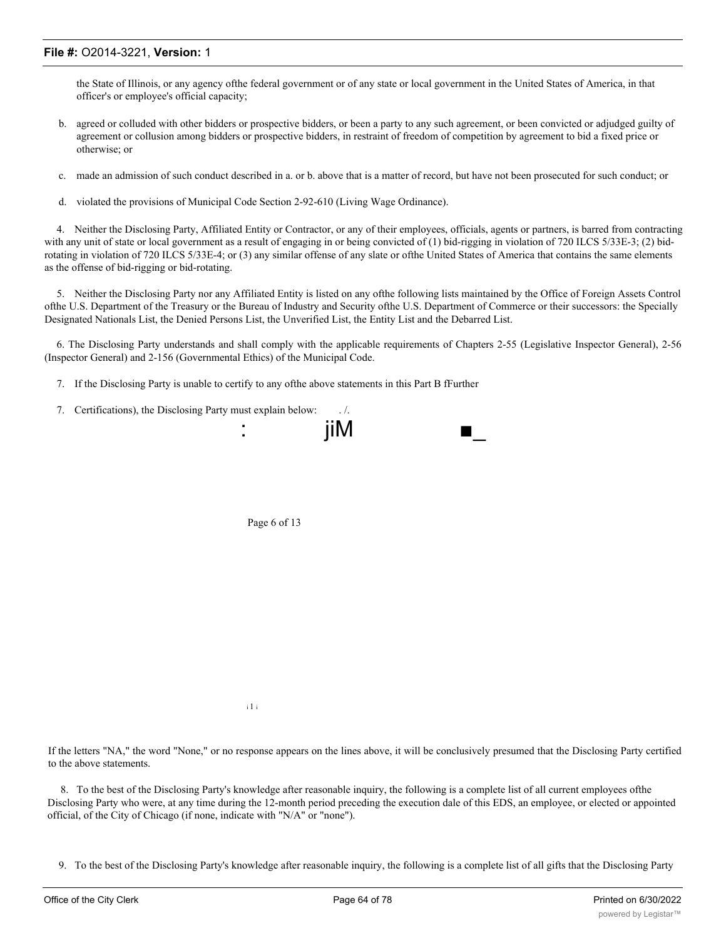the State of Illinois, or any agency ofthe federal government or of any state or local government in the United States of America, in that officer's or employee's official capacity;

- b. agreed or colluded with other bidders or prospective bidders, or been a party to any such agreement, or been convicted or adjudged guilty of agreement or collusion among bidders or prospective bidders, in restraint of freedom of competition by agreement to bid a fixed price or otherwise; or
- c. made an admission of such conduct described in a. or b. above that is a matter of record, but have not been prosecuted for such conduct; or
- d. violated the provisions of Municipal Code Section 2-92-610 (Living Wage Ordinance).

4. Neither the Disclosing Party, Affiliated Entity or Contractor, or any of their employees, officials, agents or partners, is barred from contracting with any unit of state or local government as a result of engaging in or being convicted of (1) bid-rigging in violation of 720 ILCS 5/33E-3; (2) bidrotating in violation of 720 ILCS 5/33E-4; or (3) any similar offense of any slate or ofthe United States of America that contains the same elements as the offense of bid-rigging or bid-rotating.

5. Neither the Disclosing Party nor any Affiliated Entity is listed on any ofthe following lists maintained by the Office of Foreign Assets Control ofthe U.S. Department of the Treasury or the Bureau of Industry and Security ofthe U.S. Department of Commerce or their successors: the Specially Designated Nationals List, the Denied Persons List, the Unverified List, the Entity List and the Debarred List.

6. The Disclosing Party understands and shall comply with the applicable requirements of Chapters 2-55 (Legislative Inspector General), 2-56 (Inspector General) and 2-156 (Governmental Ethics) of the Municipal Code.

- 7. If the Disclosing Party is unable to certify to any ofthe above statements in this Part B fFurther
- 7. Certifications), the Disclosing Party must explain below: . /.



Page 6 of 13

i 1 i

If the letters "NA," the word "None," or no response appears on the lines above, it will be conclusively presumed that the Disclosing Party certified to the above statements.

8. To the best of the Disclosing Party's knowledge after reasonable inquiry, the following is a complete list of all current employees ofthe Disclosing Party who were, at any time during the 12-month period preceding the execution dale of this EDS, an employee, or elected or appointed official, of the City of Chicago (if none, indicate with "N/A" or "none").

9. To the best of the Disclosing Party's knowledge after reasonable inquiry, the following is a complete list of all gifts that the Disclosing Party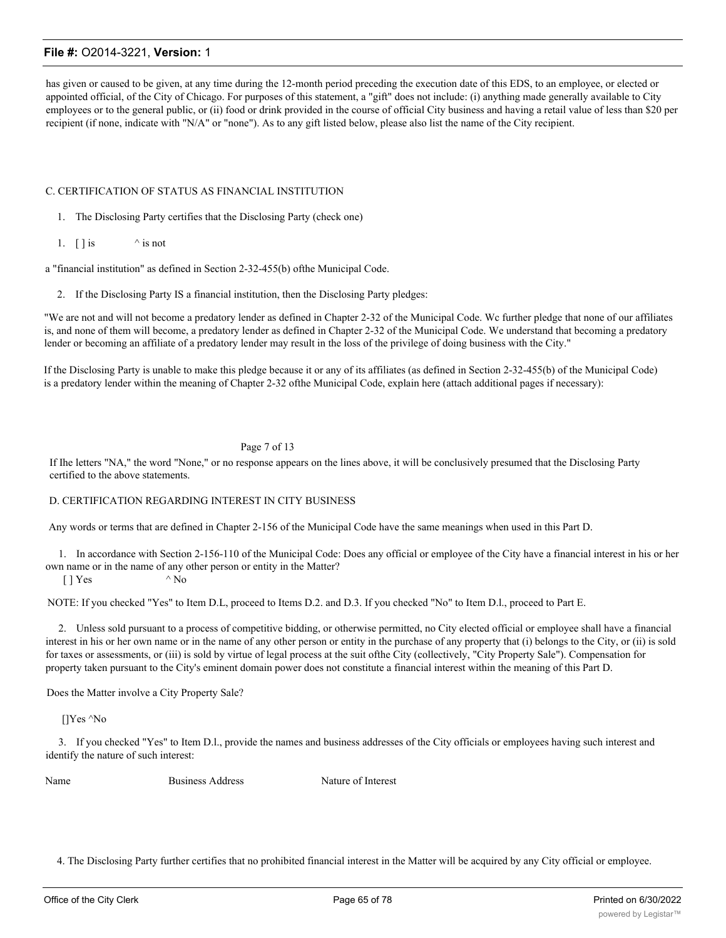has given or caused to be given, at any time during the 12-month period preceding the execution date of this EDS, to an employee, or elected or appointed official, of the City of Chicago. For purposes of this statement, a "gift" does not include: (i) anything made generally available to City employees or to the general public, or (ii) food or drink provided in the course of official City business and having a retail value of less than \$20 per recipient (if none, indicate with "N/A" or "none"). As to any gift listed below, please also list the name of the City recipient.

#### C. CERTIFICATION OF STATUS AS FINANCIAL INSTITUTION

- 1. The Disclosing Party certifies that the Disclosing Party (check one)
- 1.  $\lceil \cdot \rceil$  is  $\wedge$  is not

a "financial institution" as defined in Section 2-32-455(b) ofthe Municipal Code.

2. If the Disclosing Party IS a financial institution, then the Disclosing Party pledges:

"We are not and will not become a predatory lender as defined in Chapter 2-32 of the Municipal Code. Wc further pledge that none of our affiliates is, and none of them will become, a predatory lender as defined in Chapter 2-32 of the Municipal Code. We understand that becoming a predatory lender or becoming an affiliate of a predatory lender may result in the loss of the privilege of doing business with the City."

If the Disclosing Party is unable to make this pledge because it or any of its affiliates (as defined in Section 2-32-455(b) of the Municipal Code) is a predatory lender within the meaning of Chapter 2-32 ofthe Municipal Code, explain here (attach additional pages if necessary):

#### Page 7 of 13

If Ihe letters "NA," the word "None," or no response appears on the lines above, it will be conclusively presumed that the Disclosing Party certified to the above statements.

#### D. CERTIFICATION REGARDING INTEREST IN CITY BUSINESS

Any words or terms that are defined in Chapter 2-156 of the Municipal Code have the same meanings when used in this Part D.

1. In accordance with Section 2-156-110 of the Municipal Code: Does any official or employee of the City have a financial interest in his or her own name or in the name of any other person or entity in the Matter?

 $[$  | Yes  $\wedge$  No

NOTE: If you checked "Yes" to Item D.L, proceed to Items D.2. and D.3. If you checked "No" to Item D.l., proceed to Part E.

2. Unless sold pursuant to a process of competitive bidding, or otherwise permitted, no City elected official or employee shall have a financial interest in his or her own name or in the name of any other person or entity in the purchase of any property that (i) belongs to the City, or (ii) is sold for taxes or assessments, or (iii) is sold by virtue of legal process at the suit ofthe City (collectively, "City Property Sale"). Compensation for property taken pursuant to the City's eminent domain power does not constitute a financial interest within the meaning of this Part D.

Does the Matter involve a City Property Sale?

[]Yes ^No

3. If you checked "Yes" to Item D.l., provide the names and business addresses of the City officials or employees having such interest and identify the nature of such interest:

Name Business Address Nature of Interest

4. The Disclosing Party further certifies that no prohibited financial interest in the Matter will be acquired by any City official or employee.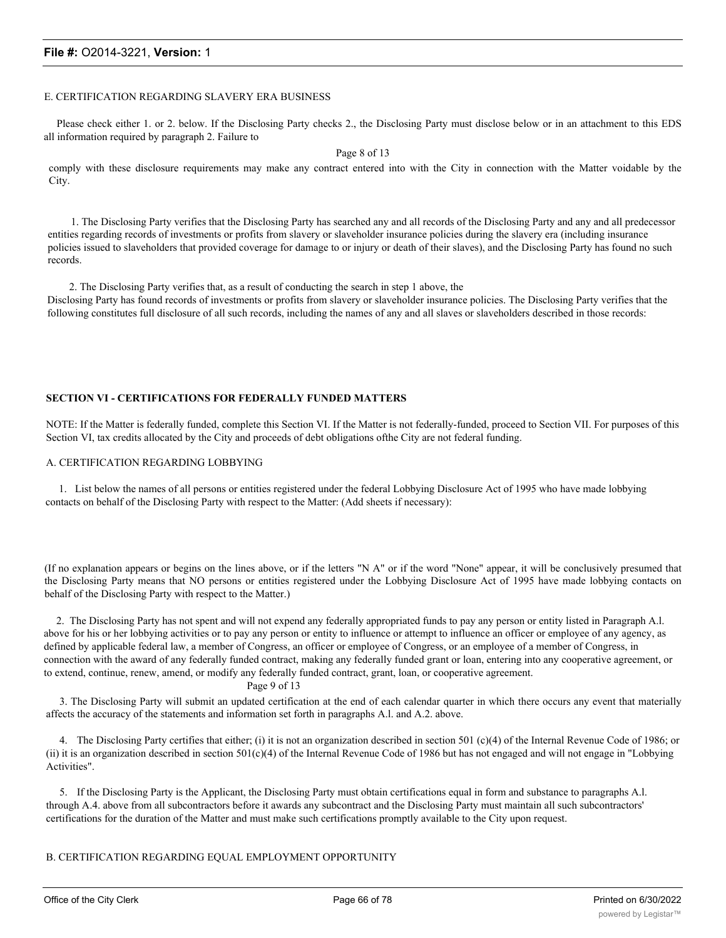#### E. CERTIFICATION REGARDING SLAVERY ERA BUSINESS

Please check either 1. or 2. below. If the Disclosing Party checks 2., the Disclosing Party must disclose below or in an attachment to this EDS all information required by paragraph 2. Failure to

Page 8 of 13

comply with these disclosure requirements may make any contract entered into with the City in connection with the Matter voidable by the City.

1. The Disclosing Party verifies that the Disclosing Party has searched any and all records of the Disclosing Party and any and all predecessor entities regarding records of investments or profits from slavery or slaveholder insurance policies during the slavery era (including insurance policies issued to slaveholders that provided coverage for damage to or injury or death of their slaves), and the Disclosing Party has found no such records.

2. The Disclosing Party verifies that, as a result of conducting the search in step 1 above, the Disclosing Party has found records of investments or profits from slavery or slaveholder insurance policies. The Disclosing Party verifies that the following constitutes full disclosure of all such records, including the names of any and all slaves or slaveholders described in those records:

#### **SECTION VI - CERTIFICATIONS FOR FEDERALLY FUNDED MATTERS**

NOTE: If the Matter is federally funded, complete this Section VI. If the Matter is not federally-funded, proceed to Section VII. For purposes of this Section VI, tax credits allocated by the City and proceeds of debt obligations ofthe City are not federal funding.

#### A. CERTIFICATION REGARDING LOBBYING

1. List below the names of all persons or entities registered under the federal Lobbying Disclosure Act of 1995 who have made lobbying contacts on behalf of the Disclosing Party with respect to the Matter: (Add sheets if necessary):

(If no explanation appears or begins on the lines above, or if the letters "N A" or if the word "None" appear, it will be conclusively presumed that the Disclosing Party means that NO persons or entities registered under the Lobbying Disclosure Act of 1995 have made lobbying contacts on behalf of the Disclosing Party with respect to the Matter.)

2. The Disclosing Party has not spent and will not expend any federally appropriated funds to pay any person or entity listed in Paragraph A.l. above for his or her lobbying activities or to pay any person or entity to influence or attempt to influence an officer or employee of any agency, as defined by applicable federal law, a member of Congress, an officer or employee of Congress, or an employee of a member of Congress, in connection with the award of any federally funded contract, making any federally funded grant or loan, entering into any cooperative agreement, or to extend, continue, renew, amend, or modify any federally funded contract, grant, loan, or cooperative agreement.

#### Page 9 of 13

3. The Disclosing Party will submit an updated certification at the end of each calendar quarter in which there occurs any event that materially affects the accuracy of the statements and information set forth in paragraphs A.l. and A.2. above.

4. The Disclosing Party certifies that either; (i) it is not an organization described in section 501 (c)(4) of the Internal Revenue Code of 1986; or (ii) it is an organization described in section  $501(c)(4)$  of the Internal Revenue Code of 1986 but has not engaged and will not engage in "Lobbying" Activities".

5. If the Disclosing Party is the Applicant, the Disclosing Party must obtain certifications equal in form and substance to paragraphs A.l. through A.4. above from all subcontractors before it awards any subcontract and the Disclosing Party must maintain all such subcontractors' certifications for the duration of the Matter and must make such certifications promptly available to the City upon request.

#### B. CERTIFICATION REGARDING EQUAL EMPLOYMENT OPPORTUNITY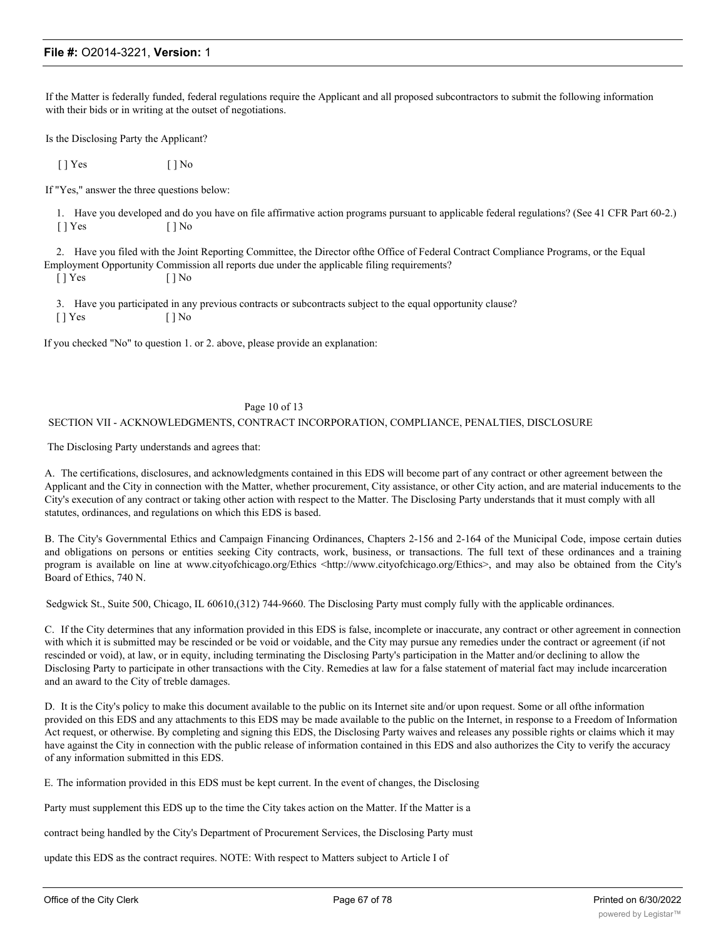If the Matter is federally funded, federal regulations require the Applicant and all proposed subcontractors to submit the following information with their bids or in writing at the outset of negotiations.

Is the Disclosing Party the Applicant?

 $[ ]$   $Yes$   $[ ]$   $No$ 

If "Yes," answer the three questions below:

1. Have you developed and do you have on file affirmative action programs pursuant to applicable federal regulations? (See 41 CFR Part 60-2.) [ ] Yes [ ] No

2. Have you filed with the Joint Reporting Committee, the Director ofthe Office of Federal Contract Compliance Programs, or the Equal Employment Opportunity Commission all reports due under the applicable filing requirements?

 $[ ]$  Yes  $[ ]$  No

3. Have you participated in any previous contracts or subcontracts subject to the equal opportunity clause?

[ ] Yes [ ] No

If you checked "No" to question 1. or 2. above, please provide an explanation:

#### Page 10 of 13

#### SECTION VII - ACKNOWLEDGMENTS, CONTRACT INCORPORATION, COMPLIANCE, PENALTIES, DISCLOSURE

The Disclosing Party understands and agrees that:

A. The certifications, disclosures, and acknowledgments contained in this EDS will become part of any contract or other agreement between the Applicant and the City in connection with the Matter, whether procurement, City assistance, or other City action, and are material inducements to the City's execution of any contract or taking other action with respect to the Matter. The Disclosing Party understands that it must comply with all statutes, ordinances, and regulations on which this EDS is based.

B. The City's Governmental Ethics and Campaign Financing Ordinances, Chapters 2-156 and 2-164 of the Municipal Code, impose certain duties and obligations on persons or entities seeking City contracts, work, business, or transactions. The full text of these ordinances and a training program is available on line at www.cityofchicago.org/Ethics <http://www.cityofchicago.org/Ethics>, and may also be obtained from the City's Board of Ethics, 740 N.

Sedgwick St., Suite 500, Chicago, IL 60610,(312) 744-9660. The Disclosing Party must comply fully with the applicable ordinances.

C. If the City determines that any information provided in this EDS is false, incomplete or inaccurate, any contract or other agreement in connection with which it is submitted may be rescinded or be void or voidable, and the City may pursue any remedies under the contract or agreement (if not rescinded or void), at law, or in equity, including terminating the Disclosing Party's participation in the Matter and/or declining to allow the Disclosing Party to participate in other transactions with the City. Remedies at law for a false statement of material fact may include incarceration and an award to the City of treble damages.

D. It is the City's policy to make this document available to the public on its Internet site and/or upon request. Some or all ofthe information provided on this EDS and any attachments to this EDS may be made available to the public on the Internet, in response to a Freedom of Information Act request, or otherwise. By completing and signing this EDS, the Disclosing Party waives and releases any possible rights or claims which it may have against the City in connection with the public release of information contained in this EDS and also authorizes the City to verify the accuracy of any information submitted in this EDS.

E. The information provided in this EDS must be kept current. In the event of changes, the Disclosing

Party must supplement this EDS up to the time the City takes action on the Matter. If the Matter is a

contract being handled by the City's Department of Procurement Services, the Disclosing Party must

update this EDS as the contract requires. NOTE: With respect to Matters subject to Article I of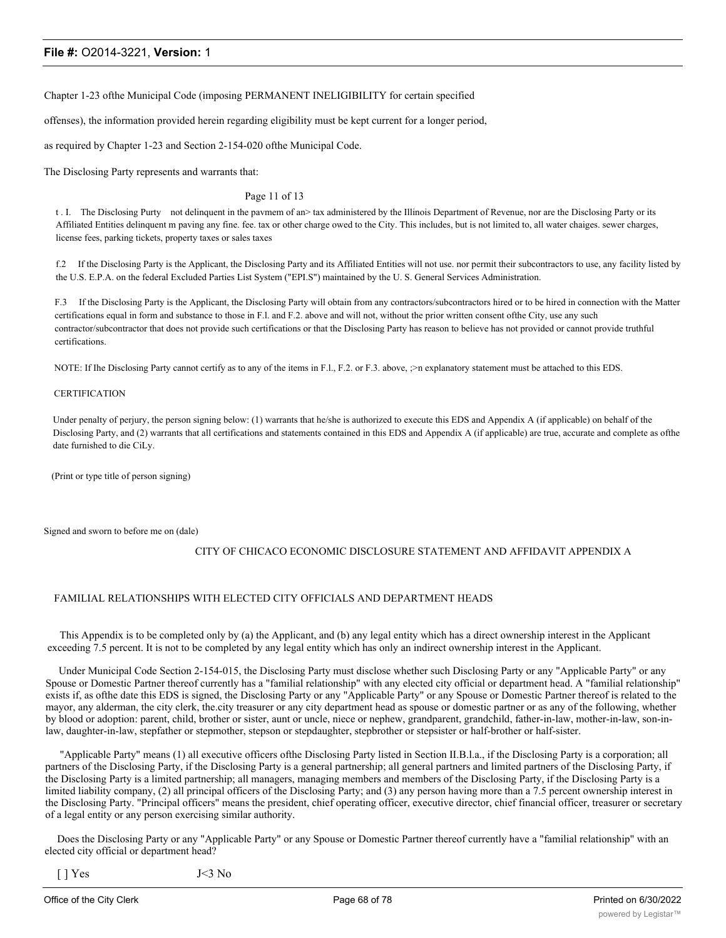Chapter 1-23 ofthe Municipal Code (imposing PERMANENT INELIGIBILITY for certain specified

offenses), the information provided herein regarding eligibility must be kept current for a longer period,

as required by Chapter 1-23 and Section 2-154-020 ofthe Municipal Code.

The Disclosing Party represents and warrants that:

#### Page 11 of 13

t . I. The Disclosing Purty not delinquent in the pavmem of an> tax administered by the Illinois Department of Revenue, nor are the Disclosing Party or its Affiliated Entities delinquent m paving any fine. fee. tax or other charge owed to the City. This includes, but is not limited to, all water chaiges. sewer charges, license fees, parking tickets, property taxes or sales taxes

f.2 If the Disclosing Party is the Applicant, the Disclosing Party and its Affiliated Entities will not use. nor permit their subcontractors to use, any facility listed by the U.S. E.P.A. on the federal Excluded Parties List System ("EPI.S") maintained by the U. S. General Services Administration.

F.3 If the Disclosing Party is the Applicant, the Disclosing Party will obtain from any contractors/subcontractors hired or to be hired in connection with the Matter certifications equal in form and substance to those in F.l. and F.2. above and will not, without the prior written consent ofthe City, use any such contractor/subcontractor that does not provide such certifications or that the Disclosing Party has reason to believe has not provided or cannot provide truthful certifications.

NOTE: If Ihe Disclosing Party cannot certify as to any of the items in F.l., F.2. or F.3. above,  $\gamma$  explanatory statement must be attached to this EDS.

#### **CERTIFICATION**

Under penalty of perjury, the person signing below: (1) warrants that he/she is authorized to execute this EDS and Appendix A (if applicable) on behalf of the Disclosing Party, and (2) warrants that all certifications and statements contained in this EDS and Appendix A (if applicable) are true, accurate and complete as ofthe date furnished to die CiLy.

(Print or type title of person signing)

Signed and sworn to before me on (dale)

#### CITY OF CHICACO ECONOMIC DISCLOSURE STATEMENT AND AFFIDAVIT APPENDIX A

#### FAMILIAL RELATIONSHIPS WITH ELECTED CITY OFFICIALS AND DEPARTMENT HEADS

This Appendix is to be completed only by (a) the Applicant, and (b) any legal entity which has a direct ownership interest in the Applicant exceeding 7.5 percent. It is not to be completed by any legal entity which has only an indirect ownership interest in the Applicant.

Under Municipal Code Section 2-154-015, the Disclosing Party must disclose whether such Disclosing Party or any "Applicable Party" or any Spouse or Domestic Partner thereof currently has a "familial relationship" with any elected city official or department head. A "familial relationship" exists if, as ofthe date this EDS is signed, the Disclosing Party or any "Applicable Party" or any Spouse or Domestic Partner thereof is related to the mayor, any alderman, the city clerk, the.city treasurer or any city department head as spouse or domestic partner or as any of the following, whether by blood or adoption: parent, child, brother or sister, aunt or uncle, niece or nephew, grandparent, grandchild, father-in-law, mother-in-law, son-inlaw, daughter-in-law, stepfather or stepmother, stepson or stepdaughter, stepbrother or stepsister or half-brother or half-sister.

"Applicable Party" means (1) all executive officers ofthe Disclosing Party listed in Section II.B.l.a., if the Disclosing Party is a corporation; all partners of the Disclosing Party, if the Disclosing Party is a general partnership; all general partners and limited partners of the Disclosing Party, if the Disclosing Party is a limited partnership; all managers, managing members and members of the Disclosing Party, if the Disclosing Party is a limited liability company, (2) all principal officers of the Disclosing Party; and (3) any person having more than a 7.5 percent ownership interest in the Disclosing Party. "Principal officers" means the president, chief operating officer, executive director, chief financial officer, treasurer or secretary of a legal entity or any person exercising similar authority.

Does the Disclosing Party or any "Applicable Party" or any Spouse or Domestic Partner thereof currently have a "familial relationship" with an elected city official or department head?

 $[$  | Yes  $J<3$  No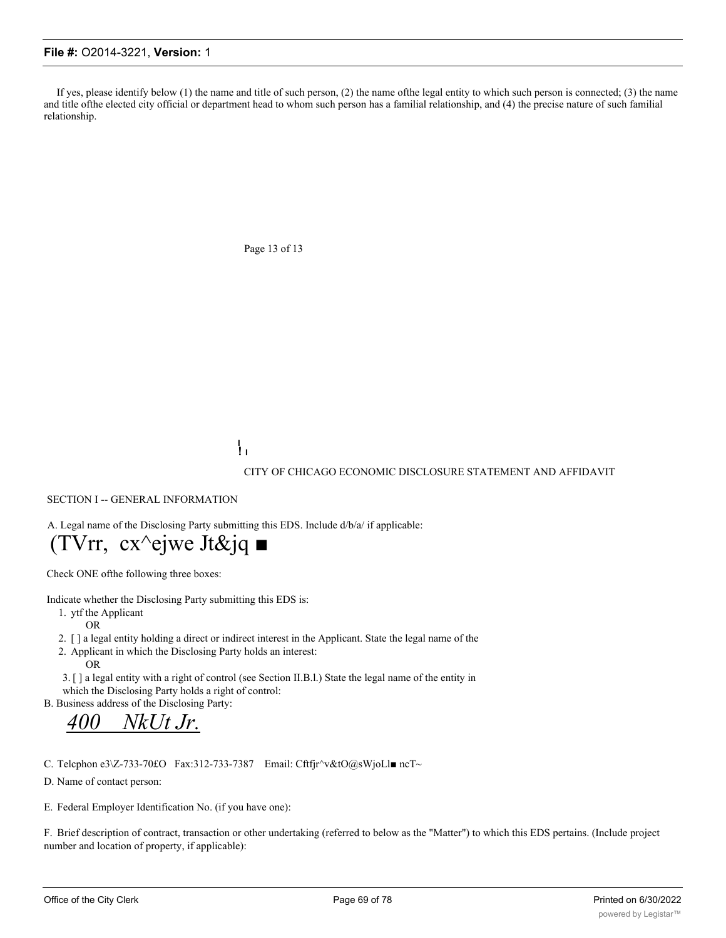If yes, please identify below  $(1)$  the name and title of such person,  $(2)$  the name of the legal entity to which such person is connected;  $(3)$  the name and title ofthe elected city official or department head to whom such person has a familial relationship, and (4) the precise nature of such familial relationship.

Page 13 of 13

**I ! I**

CITY OF CHICAGO ECONOMIC DISCLOSURE STATEMENT AND AFFIDAVIT

SECTION I -- GENERAL INFORMATION

A. Legal name of the Disclosing Party submitting this EDS. Include d/b/a/ if applicable:

# $(TVrr, cx^{\wedge}$ ejwe Jt&jq ■

Check ONE ofthe following three boxes:

Indicate whether the Disclosing Party submitting this EDS is:

1. ytf the Applicant OR

- 2. [ ] a legal entity holding a direct or indirect interest in the Applicant. State the legal name of the
- 2. Applicant in which the Disclosing Party holds an interest:
	- OR

3. [ ] a legal entity with a right of control (see Section II.B.l.) State the legal name of the entity in which the Disclosing Party holds a right of control:

B. Business address of the Disclosing Party:

*400 NkUt Jr.*

C. Telcphon e3\Z-733-70£O Fax:312-733-7387 Email: Cftfjr^v&tO@sWjoLl■ ncT~

D. Name of contact person:

E. Federal Employer Identification No. (if you have one):

F. Brief description of contract, transaction or other undertaking (referred to below as the "Matter") to which this EDS pertains. (Include project number and location of property, if applicable):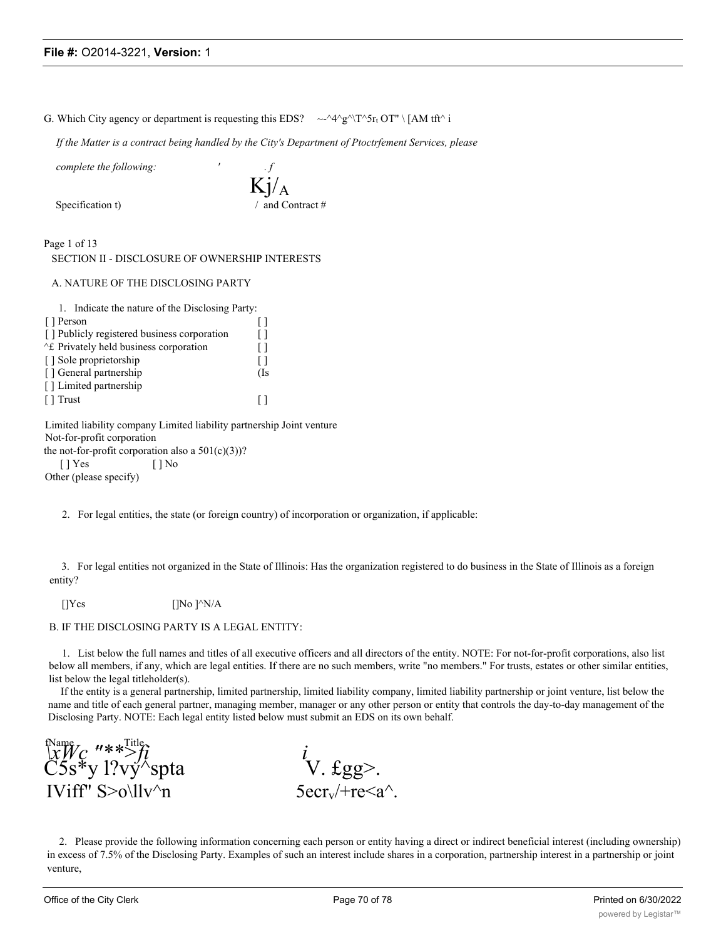|  |  | G. Which City agency or department is requesting this EDS? $\sim$ $\sim$ $\sim$ $\sim$ $\gamma$ $\sim$ $\gamma$ $\sim$ $\gamma$ $\sim$ $\gamma$ $\sim$ $\gamma$ $\sim$ $\gamma$ $\sim$ $\gamma$ $\sim$ $\gamma$ $\sim$ $\gamma$ |  |
|--|--|---------------------------------------------------------------------------------------------------------------------------------------------------------------------------------------------------------------------------------|--|

*If the Matter is a contract being handled by the City's Department of Ptoctrfement Services, please*

*complete the following: ' . f*

Specification t)  $/$  and Contract #

Kj/A

Page 1 of 13 SECTION II - DISCLOSURE OF OWNERSHIP INTERESTS

A. NATURE OF THE DISCLOSING PARTY

| 1. Indicate the nature of the Disclosing Party: |     |
|-------------------------------------------------|-----|
| [ ] Person                                      |     |
| [] Publicly registered business corporation     |     |
| E Privately held business corporation           |     |
| [] Sole proprietorship                          |     |
| [] General partnership                          | (Is |
| [] Limited partnership                          |     |
| $\lceil \cdot \rceil$ Trust                     |     |
|                                                 |     |

Limited liability company Limited liability partnership Joint venture Not-for-profit corporation the not-for-profit corporation also a  $501(c)(3)$ ? [ ] Yes [ ] No

Other (please specify)

2. For legal entities, the state (or foreign country) of incorporation or organization, if applicable:

3. For legal entities not organized in the State of Illinois: Has the organization registered to do business in the State of Illinois as a foreign entity?

 $[]Ycs$   $[]No]^\wedge N/A$ 

#### B. IF THE DISCLOSING PARTY IS A LEGAL ENTITY:

1. List below the full names and titles of all executive officers and all directors of the entity. NOTE: For not-for-profit corporations, also list below all members, if any, which are legal entities. If there are no such members, write "no members." For trusts, estates or other similar entities, list below the legal titleholder(s).

If the entity is a general partnership, limited partnership, limited liability company, limited liability partnership or joint venture, list below the name and title of each general partner, managing member, manager or any other person or entity that controls the day-to-day management of the Disclosing Party. NOTE: Each legal entity listed below must submit an EDS on its own behalf.

 $\lim_{x \to \infty} \frac{f(\text{Name})}{f(x)}$   $\lim_{x \to \infty} \frac{f(\text{Name})}{f(x)}$  *i*  $\check{C} \check{5} \check{s}^*$ y l?vý $\check{B}$ spta  $V. \text{Egg}$ . IViff"  $S > o \ll l v^n$ n 5ecr<sub>v</sub>/+re<a^.

2. Please provide the following information concerning each person or entity having a direct or indirect beneficial interest (including ownership) in excess of 7.5% of the Disclosing Party. Examples of such an interest include shares in a corporation, partnership interest in a partnership or joint venture,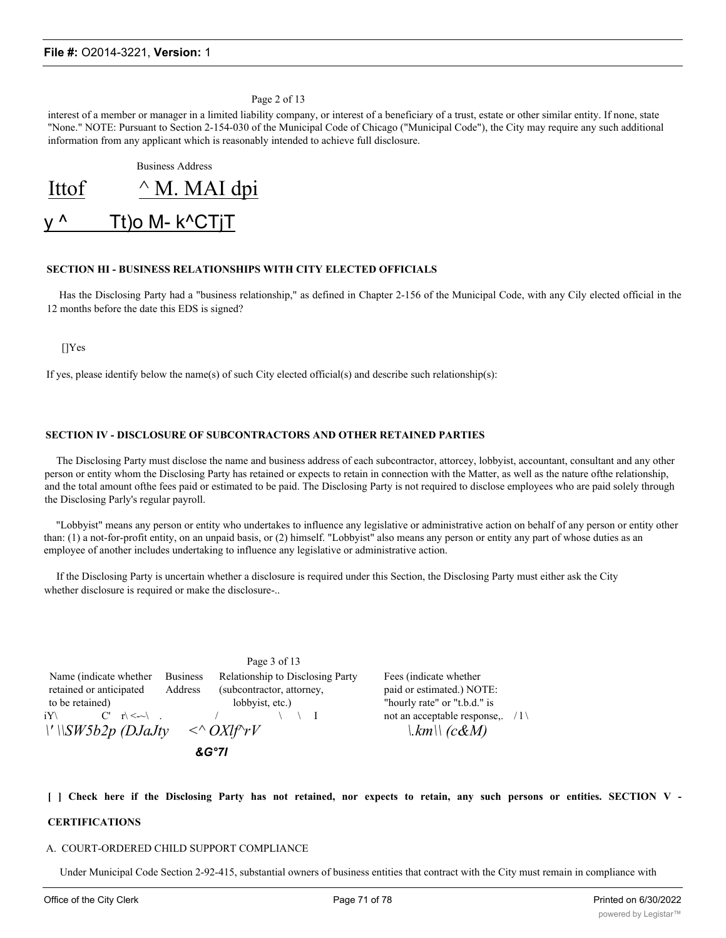Page 2 of 13

interest of a member or manager in a limited liability company, or interest of a beneficiary of a trust, estate or other similar entity. If none, state "None." NOTE: Pursuant to Section 2-154-030 of the Municipal Code of Chicago ("Municipal Code"), the City may require any such additional information from any applicant which is reasonably intended to achieve full disclosure.

Business Address

| Ittof      | $^{\wedge}$ M. MAI dpi |
|------------|------------------------|
| <u>y ^</u> | <u>Tt)o M- k^CTjT</u>  |

#### **SECTION HI - BUSINESS RELATIONSHIPS WITH CITY ELECTED OFFICIALS**

Has the Disclosing Party had a "business relationship," as defined in Chapter 2-156 of the Municipal Code, with any Cily elected official in the 12 months before the date this EDS is signed?

[]Yes

If yes, please identify below the name(s) of such City elected official(s) and describe such relationship(s):

#### **SECTION IV - DISCLOSURE OF SUBCONTRACTORS AND OTHER RETAINED PARTIES**

The Disclosing Party must disclose the name and business address of each subcontractor, attorcey, lobbyist, accountant, consultant and any other person or entity whom the Disclosing Party has retained or expects to retain in connection with the Matter, as well as the nature ofthe relationship, and the total amount ofthe fees paid or estimated to be paid. The Disclosing Party is not required to disclose employees who are paid solely through the Disclosing Parly's regular payroll.

"Lobbyist" means any person or entity who undertakes to influence any legislative or administrative action on behalf of any person or entity other than: (1) a not-for-profit entity, on an unpaid basis, or (2) himself. "Lobbyist" also means any person or entity any part of whose duties as an employee of another includes undertaking to influence any legislative or administrative action.

If the Disclosing Party is uncertain whether a disclosure is required under this Section, the Disclosing Party must either ask the City whether disclosure is required or make the disclosure-..

Page 3 of 13 Name (indicate whether Business Relationship to Disclosing Party Fees (indicate whether retained or anticipated Address (subcontractor, attorney, paid or estimated.) NOTE: to be retained) lobbyist, etc.) "hourly rate" or "t.b.d." is iY\  $C'$  r\  $\langle -\sim \rangle$  . / \ \ I not an acceptable response,. /1  $\| \cdot \| \text{SW5b2p}$  (DJaJty  $\langle \cdot \rangle$  OXIf $\uparrow \uparrow$ V  $\| \cdot \text{km} \|$  (c&M) *&G°7l*

[ ] Check here if the Disclosing Party has not retained, nor expects to retain, any such persons or entities. SECTION V -

#### **CERTIFICATIONS**

#### A. COURT-ORDERED CHILD SUPPORT COMPLIANCE

Under Municipal Code Section 2-92-415, substantial owners of business entities that contract with the City must remain in compliance with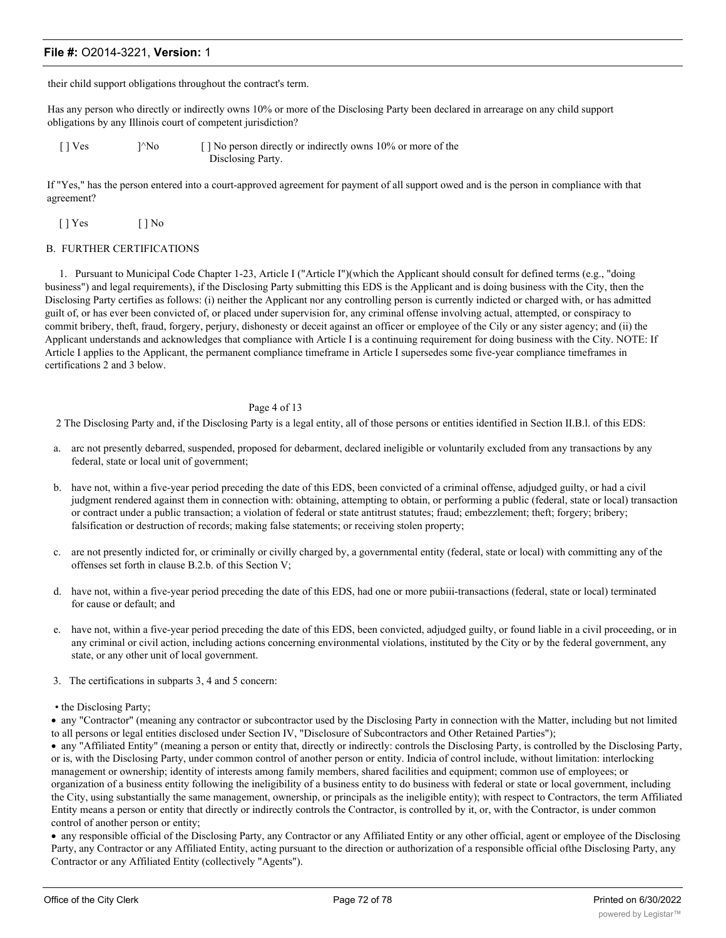their child support obligations throughout the contract's term.

Has any person who directly or indirectly owns 10% or more of the Disclosing Party been declared in arrearage on any child support obligations by any Illinois court of competent jurisdiction?

 $[$  ] Ves  $]$ <sup> $\wedge$ </sup>No  $[$  ] No person directly or indirectly owns 10% or more of the Disclosing Party.

If "Yes," has the person entered into a court-approved agreement for payment of all support owed and is the person in compliance with that agreement?

 $[$  | Yes  $[$  | No

#### B. FURTHER CERTIFICATIONS

1. Pursuant to Municipal Code Chapter 1-23, Article I ("Article I")(which the Applicant should consult for defined terms (e.g., "doing business") and legal requirements), if the Disclosing Party submitting this EDS is the Applicant and is doing business with the City, then the Disclosing Party certifies as follows: (i) neither the Applicant nor any controlling person is currently indicted or charged with, or has admitted guilt of, or has ever been convicted of, or placed under supervision for, any criminal offense involving actual, attempted, or conspiracy to commit bribery, theft, fraud, forgery, perjury, dishonesty or deceit against an officer or employee of the Cily or any sister agency; and (ii) the Applicant understands and acknowledges that compliance with Article I is a continuing requirement for doing business with the City. NOTE: If Article I applies to the Applicant, the permanent compliance timeframe in Article I supersedes some five-year compliance timeframes in certifications 2 and 3 below.

#### Page 4 of 13

2 The Disclosing Party and, if the Disclosing Party is a legal entity, all of those persons or entities identified in Section II.B.l. of this EDS:

- a. arc not presently debarred, suspended, proposed for debarment, declared ineligible or voluntarily excluded from any transactions by any federal, state or local unit of government;
- b. have not, within a five-year period preceding the date of this EDS, been convicted of a criminal offense, adjudged guilty, or had a civil judgment rendered against them in connection with: obtaining, attempting to obtain, or performing a public (federal, state or local) transaction or contract under a public transaction; a violation of federal or state antitrust statutes; fraud; embezzlement; theft; forgery; bribery; falsification or destruction of records; making false statements; or receiving stolen property;
- c. are not presently indicted for, or criminally or civilly charged by, a governmental entity (federal, state or local) with committing any of the offenses set forth in clause B.2.b. of this Section V;
- d. have not, within a five-year period preceding the date of this EDS, had one or more pubiii-transactions (federal, state or local) terminated for cause or default; and
- e. have not, within a five-year period preceding the date of this EDS, been convicted, adjudged guilty, or found liable in a civil proceeding, or in any criminal or civil action, including actions concerning environmental violations, instituted by the City or by the federal government, any state, or any other unit of local government.
- 3. The certifications in subparts 3, 4 and 5 concern:
- the Disclosing Party;

· any "Contractor" (meaning any contractor or subcontractor used by the Disclosing Party in connection with the Matter, including but not limited to all persons or legal entities disclosed under Section IV, "Disclosure of Subcontractors and Other Retained Parties");

· any "Affiliated Entity" (meaning a person or entity that, directly or indirectly: controls the Disclosing Party, is controlled by the Disclosing Party, or is, with the Disclosing Party, under common control of another person or entity. Indicia of control include, without limitation: interlocking management or ownership; identity of interests among family members, shared facilities and equipment; common use of employees; or organization of a business entity following the ineligibility of a business entity to do business with federal or state or local government, including the City, using substantially the same management, ownership, or principals as the ineligible entity); with respect to Contractors, the term Affiliated Entity means a person or entity that directly or indirectly controls the Contractor, is controlled by it, or, with the Contractor, is under common control of another person or entity;

· any responsible official of the Disclosing Party, any Contractor or any Affiliated Entity or any other official, agent or employee of the Disclosing Party, any Contractor or any Affiliated Entity, acting pursuant to the direction or authorization of a responsible official ofthe Disclosing Party, any Contractor or any Affiliated Entity (collectively "Agents").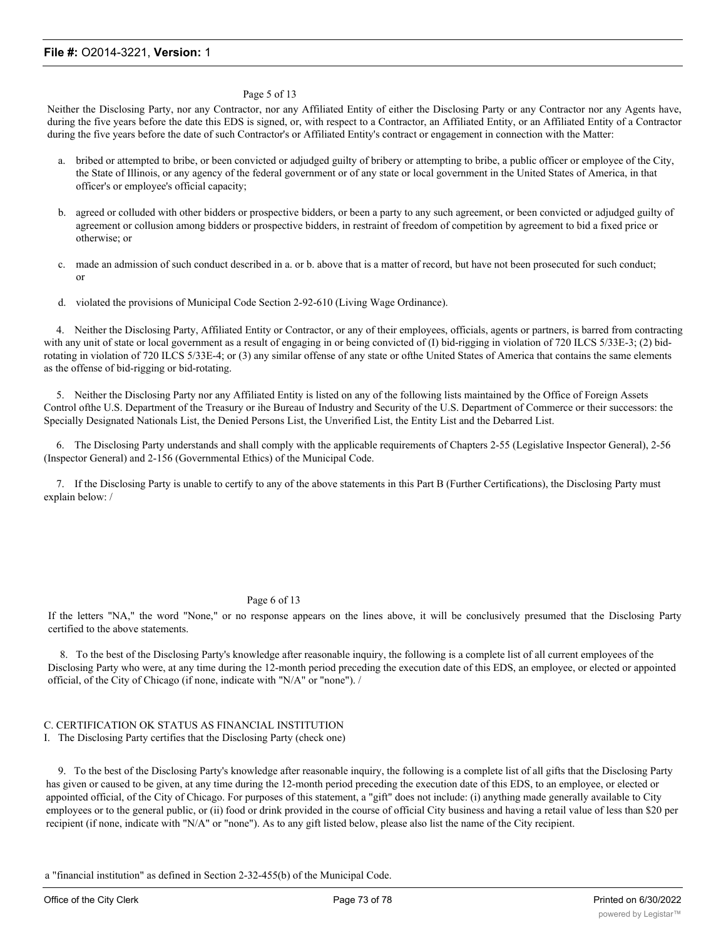#### Page 5 of 13

Neither the Disclosing Party, nor any Contractor, nor any Affiliated Entity of either the Disclosing Party or any Contractor nor any Agents have, during the five years before the date this EDS is signed, or, with respect to a Contractor, an Affiliated Entity, or an Affiliated Entity of a Contractor during the five years before the date of such Contractor's or Affiliated Entity's contract or engagement in connection with the Matter:

- a. bribed or attempted to bribe, or been convicted or adjudged guilty of bribery or attempting to bribe, a public officer or employee of the City, the State of Illinois, or any agency of the federal government or of any state or local government in the United States of America, in that officer's or employee's official capacity;
- b. agreed or colluded with other bidders or prospective bidders, or been a party to any such agreement, or been convicted or adjudged guilty of agreement or collusion among bidders or prospective bidders, in restraint of freedom of competition by agreement to bid a fixed price or otherwise; or
- c. made an admission of such conduct described in a. or b. above that is a matter of record, but have not been prosecuted for such conduct; or
- d. violated the provisions of Municipal Code Section 2-92-610 (Living Wage Ordinance).

4. Neither the Disclosing Party, Affiliated Entity or Contractor, or any of their employees, officials, agents or partners, is barred from contracting with any unit of state or local government as a result of engaging in or being convicted of (I) bid-rigging in violation of 720 ILCS 5/33E-3; (2) bidrotating in violation of 720 ILCS 5/33E-4; or (3) any similar offense of any state or ofthe United States of America that contains the same elements as the offense of bid-rigging or bid-rotating.

5. Neither the Disclosing Party nor any Affiliated Entity is listed on any of the following lists maintained by the Office of Foreign Assets Control ofthe U.S. Department of the Treasury or ihe Bureau of Industry and Security of the U.S. Department of Commerce or their successors: the Specially Designated Nationals List, the Denied Persons List, the Unverified List, the Entity List and the Debarred List.

6. The Disclosing Party understands and shall comply with the applicable requirements of Chapters 2-55 (Legislative Inspector General), 2-56 (Inspector General) and 2-156 (Governmental Ethics) of the Municipal Code.

7. If the Disclosing Party is unable to certify to any of the above statements in this Part B (Further Certifications), the Disclosing Party must explain below: /

#### Page 6 of 13

If the letters "NA," the word "None," or no response appears on the lines above, it will be conclusively presumed that the Disclosing Party certified to the above statements.

8. To the best of the Disclosing Party's knowledge after reasonable inquiry, the following is a complete list of all current employees of the Disclosing Party who were, at any time during the 12-month period preceding the execution date of this EDS, an employee, or elected or appointed official, of the City of Chicago (if none, indicate with "N/A" or "none"). /

# C. CERTIFICATION OK STATUS AS FINANCIAL INSTITUTION

I. The Disclosing Party certifies that the Disclosing Party (check one)

9. To the best of the Disclosing Party's knowledge after reasonable inquiry, the following is a complete list of all gifts that the Disclosing Party has given or caused to be given, at any time during the 12-month period preceding the execution date of this EDS, to an employee, or elected or appointed official, of the City of Chicago. For purposes of this statement, a "gift" does not include: (i) anything made generally available to City employees or to the general public, or (ii) food or drink provided in the course of official City business and having a retail value of less than \$20 per recipient (if none, indicate with "N/A" or "none"). As to any gift listed below, please also list the name of the City recipient.

a "financial institution" as defined in Section 2-32-455(b) of the Municipal Code.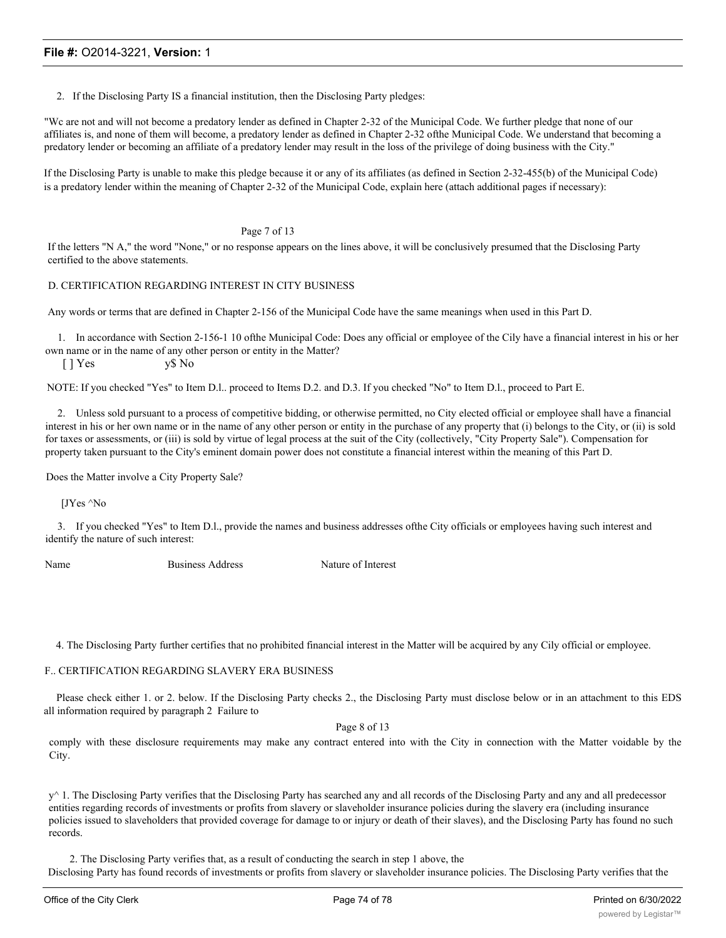2. If the Disclosing Party IS a financial institution, then the Disclosing Party pledges:

"Wc are not and will not become a predatory lender as defined in Chapter 2-32 of the Municipal Code. We further pledge that none of our affiliates is, and none of them will become, a predatory lender as defined in Chapter 2-32 ofthe Municipal Code. We understand that becoming a predatory lender or becoming an affiliate of a predatory lender may result in the loss of the privilege of doing business with the City."

If the Disclosing Party is unable to make this pledge because it or any of its affiliates (as defined in Section 2-32-455(b) of the Municipal Code) is a predatory lender within the meaning of Chapter 2-32 of the Municipal Code, explain here (attach additional pages if necessary):

#### Page 7 of 13

If the letters "N A," the word "None," or no response appears on the lines above, it will be conclusively presumed that the Disclosing Party certified to the above statements.

### D. CERTIFICATION REGARDING INTEREST IN CITY BUSINESS

Any words or terms that are defined in Chapter 2-156 of the Municipal Code have the same meanings when used in this Part D.

1. In accordance with Section 2-156-1 10 ofthe Municipal Code: Does any official or employee of the Cily have a financial interest in his or her own name or in the name of any other person or entity in the Matter?

[ ] Yes y\$ No

NOTE: If you checked "Yes" to Item D.l.. proceed to Items D.2. and D.3. If you checked "No" to Item D.l., proceed to Part E.

2. Unless sold pursuant to a process of competitive bidding, or otherwise permitted, no City elected official or employee shall have a financial interest in his or her own name or in the name of any other person or entity in the purchase of any property that (i) belongs to the City, or (ii) is sold for taxes or assessments, or (iii) is sold by virtue of legal process at the suit of the City (collectively, "City Property Sale"). Compensation for property taken pursuant to the City's eminent domain power does not constitute a financial interest within the meaning of this Part D.

Does the Matter involve a City Property Sale?

[JYes ^No

3. If you checked "Yes" to Item D.l., provide the names and business addresses ofthe City officials or employees having such interest and identify the nature of such interest:

Name Business Address Nature of Interest

4. The Disclosing Party further certifies that no prohibited financial interest in the Matter will be acquired by any Cily official or employee.

### F.. CERTIFICATION REGARDING SLAVERY ERA BUSINESS

Please check either 1. or 2. below. If the Disclosing Party checks 2., the Disclosing Party must disclose below or in an attachment to this EDS all information required by paragraph 2 Failure to

Page 8 of 13

comply with these disclosure requirements may make any contract entered into with the City in connection with the Matter voidable by the City.

y<sup> $\land$ </sup> 1. The Disclosing Party verifies that the Disclosing Party has searched any and all records of the Disclosing Party and any and all predecessor entities regarding records of investments or profits from slavery or slaveholder insurance policies during the slavery era (including insurance policies issued to slaveholders that provided coverage for damage to or injury or death of their slaves), and the Disclosing Party has found no such records.

2. The Disclosing Party verifies that, as a result of conducting the search in step 1 above, the Disclosing Party has found records of investments or profits from slavery or slaveholder insurance policies. The Disclosing Party verifies that the

following constitutes full disclosure of all such records, including the names of any and all slaves or slaveholders described in those records: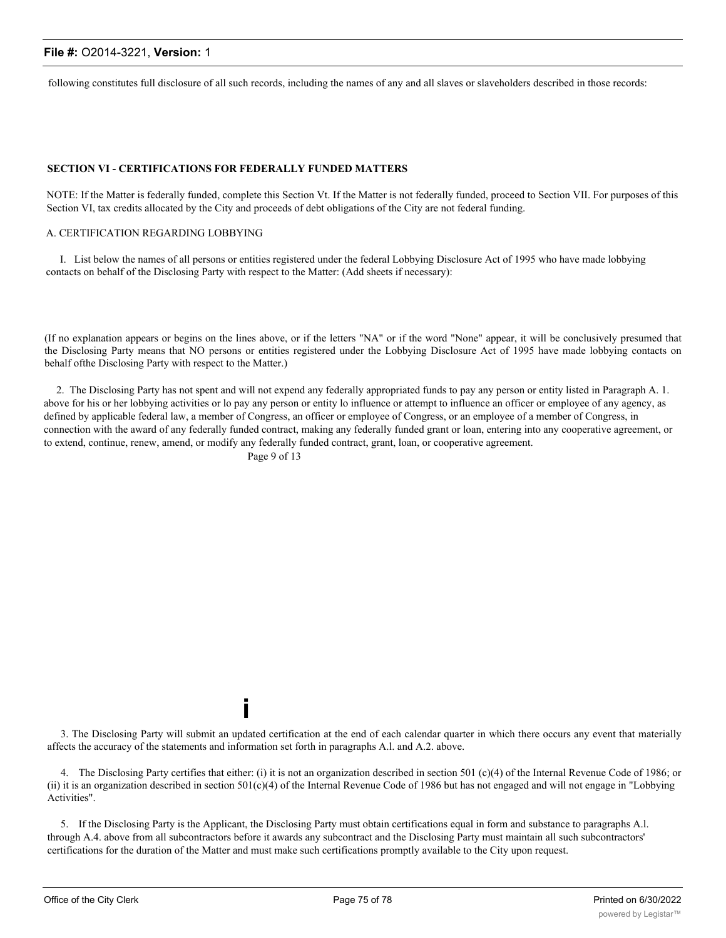following constitutes full disclosure of all such records, including the names of any and all slaves or slaveholders described in those records:

#### **SECTION VI - CERTIFICATIONS FOR FEDERALLY FUNDED MATTERS**

NOTE: If the Matter is federally funded, complete this Section Vt. If the Matter is not federally funded, proceed to Section VII. For purposes of this Section VI, tax credits allocated by the City and proceeds of debt obligations of the City are not federal funding.

#### A. CERTIFICATION REGARDING LOBBYING

I. List below the names of all persons or entities registered under the federal Lobbying Disclosure Act of 1995 who have made lobbying contacts on behalf of the Disclosing Party with respect to the Matter: (Add sheets if necessary):

(If no explanation appears or begins on the lines above, or if the letters "NA" or if the word "None" appear, it will be conclusively presumed that the Disclosing Party means that NO persons or entities registered under the Lobbying Disclosure Act of 1995 have made lobbying contacts on behalf ofthe Disclosing Party with respect to the Matter.)

2. The Disclosing Party has not spent and will not expend any federally appropriated funds to pay any person or entity listed in Paragraph A. 1. above for his or her lobbying activities or lo pay any person or entity lo influence or attempt to influence an officer or employee of any agency, as defined by applicable federal law, a member of Congress, an officer or employee of Congress, or an employee of a member of Congress, in connection with the award of any federally funded contract, making any federally funded grant or loan, entering into any cooperative agreement, or to extend, continue, renew, amend, or modify any federally funded contract, grant, loan, or cooperative agreement.

Page 9 of 13

**i**

3. The Disclosing Party will submit an updated certification at the end of each calendar quarter in which there occurs any event that materially affects the accuracy of the statements and information set forth in paragraphs A.l. and A.2. above.

4. The Disclosing Party certifies that either: (i) it is not an organization described in section 501 (c)(4) of the Internal Revenue Code of 1986; or (ii) it is an organization described in section 501(c)(4) of the Internal Revenue Code of 1986 but has not engaged and will not engage in "Lobbying Activities".

5. If the Disclosing Party is the Applicant, the Disclosing Party must obtain certifications equal in form and substance to paragraphs A.l. through A.4. above from all subcontractors before it awards any subcontract and the Disclosing Party must maintain all such subcontractors' certifications for the duration of the Matter and must make such certifications promptly available to the City upon request.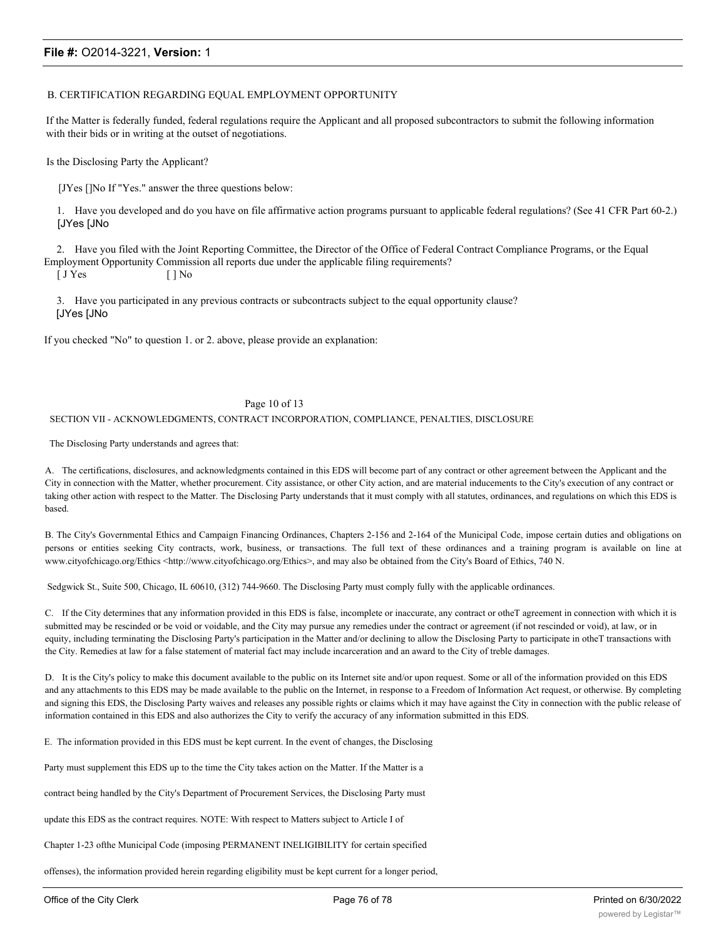#### B. CERTIFICATION REGARDING EQUAL EMPLOYMENT OPPORTUNITY

If the Matter is federally funded, federal regulations require the Applicant and all proposed subcontractors to submit the following information with their bids or in writing at the outset of negotiations.

Is the Disclosing Party the Applicant?

[JYes []No If "Yes." answer the three questions below:

1. Have you developed and do you have on file affirmative action programs pursuant to applicable federal regulations? (See 41 CFR Part 60-2.) [JYes [JNo

2. Have you filed with the Joint Reporting Committee, the Director of the Office of Federal Contract Compliance Programs, or the Equal Employment Opportunity Commission all reports due under the applicable filing requirements?

[ J Yes [ ] No

3. Have you participated in any previous contracts or subcontracts subject to the equal opportunity clause? [JYes [JNo

If you checked "No" to question 1. or 2. above, please provide an explanation:

Page 10 of 13

#### SECTION VII - ACKNOWLEDGMENTS, CONTRACT INCORPORATION, COMPLIANCE, PENALTIES, DISCLOSURE

#### The Disclosing Party understands and agrees that:

A. The certifications, disclosures, and acknowledgments contained in this EDS will become part of any contract or other agreement between the Applicant and the City in connection with the Matter, whether procurement. City assistance, or other City action, and are material inducements to the City's execution of any contract or taking other action with respect to the Matter. The Disclosing Party understands that it must comply with all statutes, ordinances, and regulations on which this EDS is based.

B. The City's Governmental Ethics and Campaign Financing Ordinances, Chapters 2-156 and 2-164 of the Municipal Code, impose certain duties and obligations on persons or entities seeking City contracts, work, business, or transactions. The full text of these ordinances and a training program is available on line at www.cityofchicago.org/Ethics <http://www.cityofchicago.org/Ethics>, and may also be obtained from the City's Board of Ethics, 740 N.

Sedgwick St., Suite 500, Chicago, IL 60610, (312) 744-9660. The Disclosing Party must comply fully with the applicable ordinances.

C. If the City determines that any information provided in this EDS is false, incomplete or inaccurate, any contract or otheT agreement in connection with which it is submitted may be rescinded or be void or voidable, and the City may pursue any remedies under the contract or agreement (if not rescinded or void), at law, or in equity, including terminating the Disclosing Party's participation in the Matter and/or declining to allow the Disclosing Party to participate in otheT transactions with the City. Remedies at law for a false statement of material fact may include incarceration and an award to the City of treble damages.

D. It is the City's policy to make this document available to the public on its Internet site and/or upon request. Some or all of the information provided on this EDS and any attachments to this EDS may be made available to the public on the Internet, in response to a Freedom of Information Act request, or otherwise. By completing and signing this EDS, the Disclosing Party waives and releases any possible rights or claims which it may have against the City in connection with the public release of information contained in this EDS and also authorizes the City to verify the accuracy of any information submitted in this EDS.

E. The information provided in this EDS must be kept current. In the event of changes, the Disclosing

Party must supplement this EDS up to the time the City takes action on the Matter. If the Matter is a

contract being handled by the City's Department of Procurement Services, the Disclosing Party must

update this EDS as the contract requires. NOTE: With respect to Matters subject to Article I of

Chapter 1-23 ofthe Municipal Code (imposing PERMANENT INELIGIBILITY for certain specified

offenses), the information provided herein regarding eligibility must be kept current for a longer period,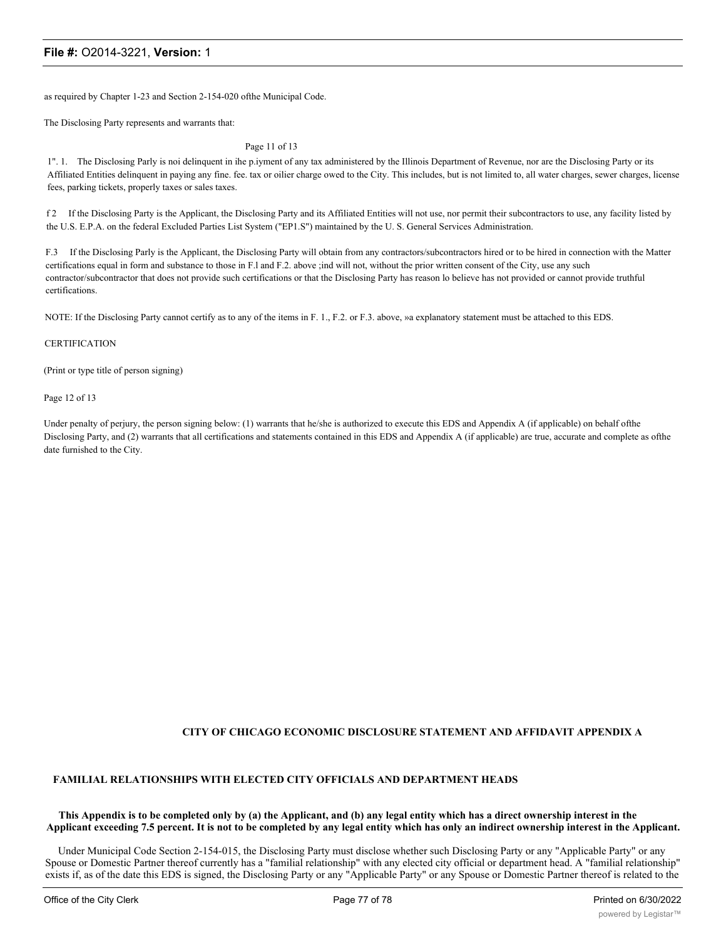as required by Chapter 1-23 and Section 2-154-020 ofthe Municipal Code.

The Disclosing Party represents and warrants that:

Page 11 of 13

1". 1. The Disclosing Parly is noi delinquent in ihe p.iyment of any tax administered by the Illinois Department of Revenue, nor are the Disclosing Party or its Affiliated Entities delinquent in paying any fine. fee. tax or oilier charge owed to the City. This includes, but is not limited to, all water charges, sewer charges, license fees, parking tickets, properly taxes or sales taxes.

f 2 If the Disclosing Party is the Applicant, the Disclosing Party and its Affiliated Entities will not use, nor permit their subcontractors to use, any facility listed by the U.S. E.P.A. on the federal Excluded Parties List System ("EP1.S") maintained by the U. S. General Services Administration.

F.3 If the Disclosing Parly is the Applicant, the Disclosing Party will obtain from any contractors/subcontractors hired or to be hired in connection with the Matter certifications equal in form and substance to those in F.l and F.2. above ;ind will not, without the prior written consent of the City, use any such contractor/subcontractor that does not provide such certifications or that the Disclosing Party has reason lo believe has not provided or cannot provide truthful certifications.

NOTE: If the Disclosing Party cannot certify as to any of the items in F. 1., F.2. or F.3. above, »a explanatory statement must be attached to this EDS.

#### CERTIFICATION

(Print or type title of person signing)

Page 12 of 13

Under penalty of perjury, the person signing below: (1) warrants that he/she is authorized to execute this EDS and Appendix A (if applicable) on behalf ofthe Disclosing Party, and (2) warrants that all certifications and statements contained in this EDS and Appendix A (if applicable) are true, accurate and complete as ofthe date furnished to the City.

# **CITY OF CHICAGO ECONOMIC DISCLOSURE STATEMENT AND AFFIDAVIT APPENDIX A**

### **FAMILIAL RELATIONSHIPS WITH ELECTED CITY OFFICIALS AND DEPARTMENT HEADS**

#### **This Appendix is to be completed only by (a) the Applicant, and (b) any legal entity which has a direct ownership interest in the Applicant exceeding 7.5 percent. It is not to be completed by any legal entity which has only an indirect ownership interest in the Applicant.**

Under Municipal Code Section 2-154-015, the Disclosing Party must disclose whether such Disclosing Party or any "Applicable Party" or any Spouse or Domestic Partner thereof currently has a "familial relationship" with any elected city official or department head. A "familial relationship" exists if, as of the date this EDS is signed, the Disclosing Party or any "Applicable Party" or any Spouse or Domestic Partner thereof is related to the